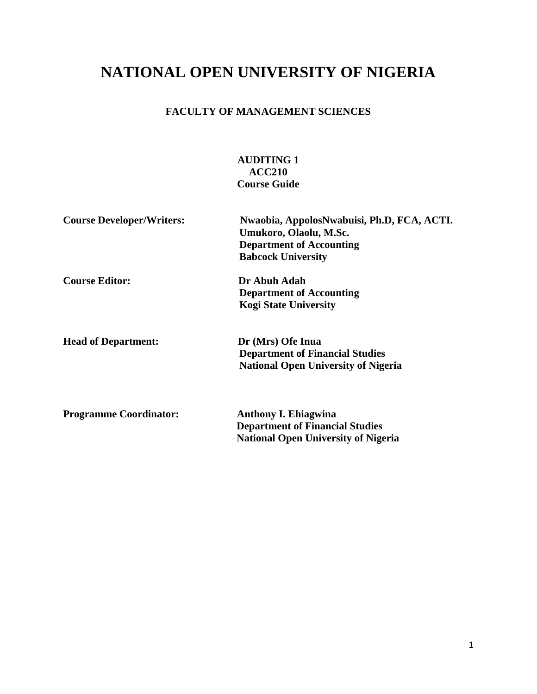# **NATIONAL OPEN UNIVERSITY OF NIGERIA**

# **FACULTY OF MANAGEMENT SCIENCES**

# **AUDITING 1 ACC210 Course Guide**

| <b>Course Developer/Writers:</b> | Nwaobia, AppolosNwabuisi, Ph.D, FCA, ACTI.<br>Umukoro, Olaolu, M.Sc.<br><b>Department of Accounting</b><br><b>Babcock University</b> |
|----------------------------------|--------------------------------------------------------------------------------------------------------------------------------------|
| <b>Course Editor:</b>            | Dr Abuh Adah<br><b>Department of Accounting</b><br><b>Kogi State University</b>                                                      |
| <b>Head of Department:</b>       | Dr (Mrs) Ofe Inua<br><b>Department of Financial Studies</b><br><b>National Open University of Nigeria</b>                            |
| <b>Programme Coordinator:</b>    | <b>Anthony I. Ehiagwina</b><br><b>Department of Financial Studies</b><br><b>National Open University of Nigeria</b>                  |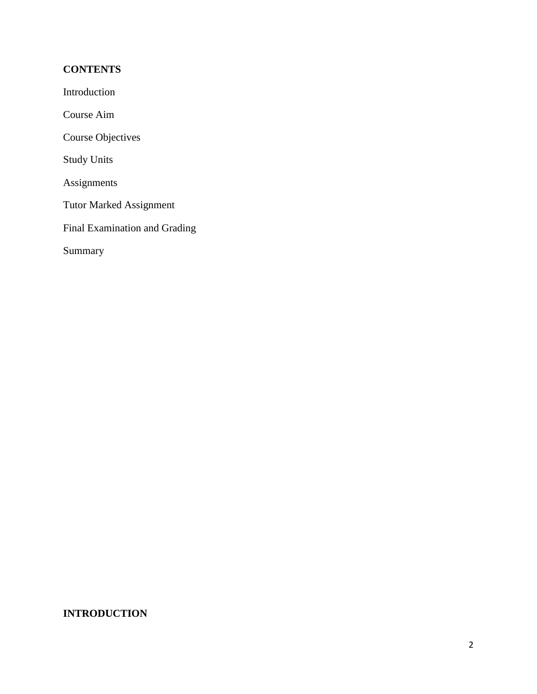# **CONTENTS**

Introduction

Course Aim

Course Objectives

Study Units

Assignments

Tutor Marked Assignment

Final Examination and Grading

Summary

# **INTRODUCTION**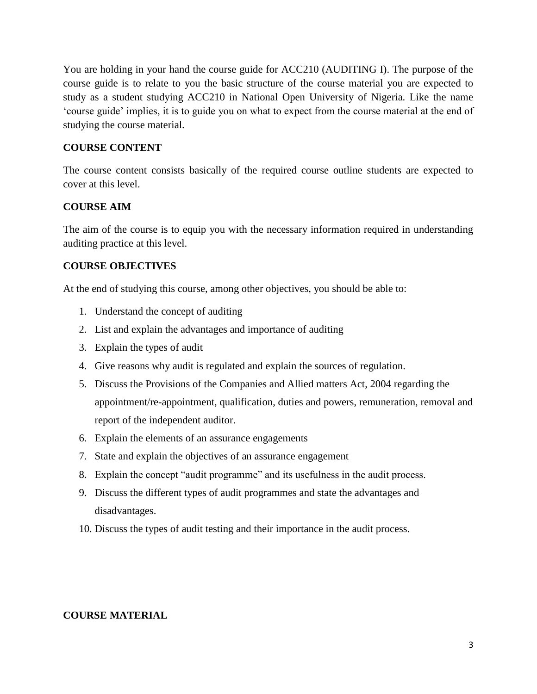You are holding in your hand the course guide for ACC210 (AUDITING I). The purpose of the course guide is to relate to you the basic structure of the course material you are expected to study as a student studying ACC210 in National Open University of Nigeria. Like the name 'course guide' implies, it is to guide you on what to expect from the course material at the end of studying the course material.

# **COURSE CONTENT**

The course content consists basically of the required course outline students are expected to cover at this level.

# **COURSE AIM**

The aim of the course is to equip you with the necessary information required in understanding auditing practice at this level.

# **COURSE OBJECTIVES**

At the end of studying this course, among other objectives, you should be able to:

- 1. Understand the concept of auditing
- 2. List and explain the advantages and importance of auditing
- 3. Explain the types of audit
- 4. Give reasons why audit is regulated and explain the sources of regulation.
- 5. Discuss the Provisions of the Companies and Allied matters Act, 2004 regarding the appointment/re-appointment, qualification, duties and powers, remuneration, removal and report of the independent auditor.
- 6. Explain the elements of an assurance engagements
- 7. State and explain the objectives of an assurance engagement
- 8. Explain the concept "audit programme" and its usefulness in the audit process.
- 9. Discuss the different types of audit programmes and state the advantages and disadvantages.
- 10. Discuss the types of audit testing and their importance in the audit process.

# **COURSE MATERIAL**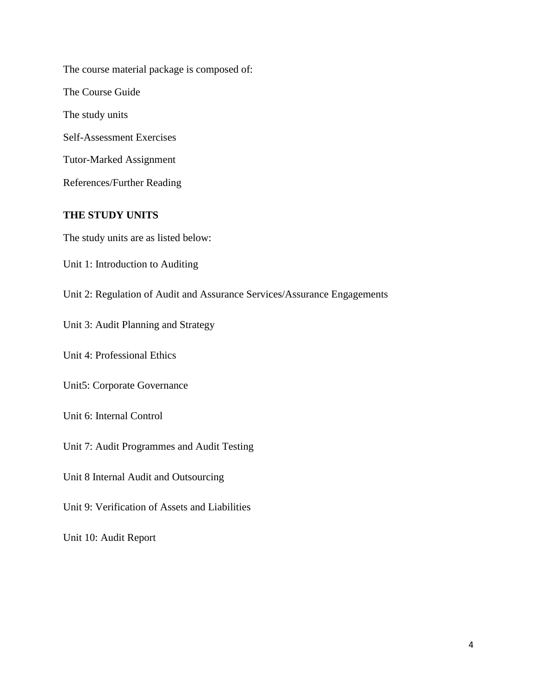The course material package is composed of: The Course Guide The study units Self-Assessment Exercises Tutor-Marked Assignment References/Further Reading

# **THE STUDY UNITS**

The study units are as listed below:

Unit 1: Introduction to Auditing

Unit 2: Regulation of Audit and Assurance Services/Assurance Engagements

Unit 3: Audit Planning and Strategy

Unit 4: Professional Ethics

Unit5: Corporate Governance

Unit 6: Internal Control

Unit 7: Audit Programmes and Audit Testing

Unit 8 Internal Audit and Outsourcing

Unit 9: Verification of Assets and Liabilities

Unit 10: Audit Report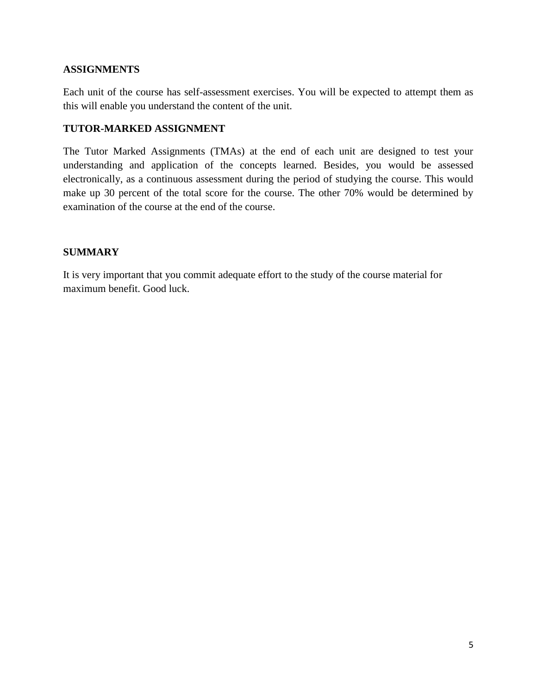# **ASSIGNMENTS**

Each unit of the course has self-assessment exercises. You will be expected to attempt them as this will enable you understand the content of the unit.

# **TUTOR-MARKED ASSIGNMENT**

The Tutor Marked Assignments (TMAs) at the end of each unit are designed to test your understanding and application of the concepts learned. Besides, you would be assessed electronically, as a continuous assessment during the period of studying the course. This would make up 30 percent of the total score for the course. The other 70% would be determined by examination of the course at the end of the course.

# **SUMMARY**

It is very important that you commit adequate effort to the study of the course material for maximum benefit. Good luck.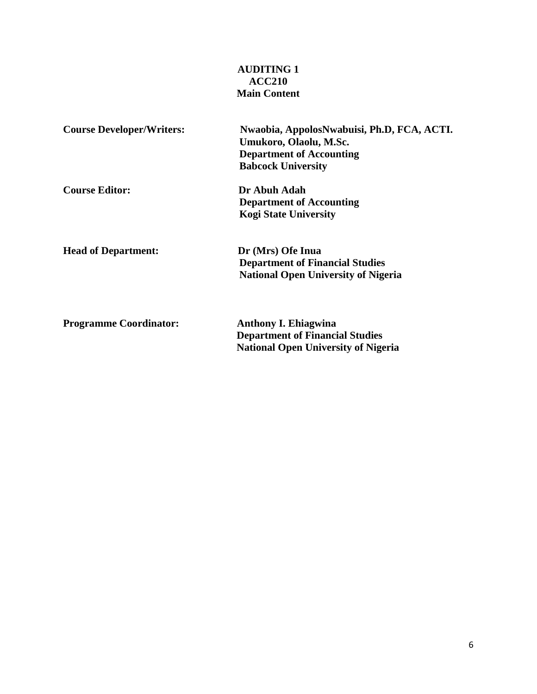# **AUDITING 1 ACC210 Main Content**

| <b>Course Developer/Writers:</b> | Nwaobia, AppolosNwabuisi, Ph.D, FCA, ACTI.<br>Umukoro, Olaolu, M.Sc.<br><b>Department of Accounting</b><br><b>Babcock University</b> |
|----------------------------------|--------------------------------------------------------------------------------------------------------------------------------------|
| <b>Course Editor:</b>            | Dr Abuh Adah<br><b>Department of Accounting</b><br><b>Kogi State University</b>                                                      |
| <b>Head of Department:</b>       | Dr (Mrs) Ofe Inua<br><b>Department of Financial Studies</b><br><b>National Open University of Nigeria</b>                            |
| <b>Programme Coordinator:</b>    | <b>Anthony I. Ehiagwina</b><br><b>Department of Financial Studies</b><br><b>National Open University of Nigeria</b>                  |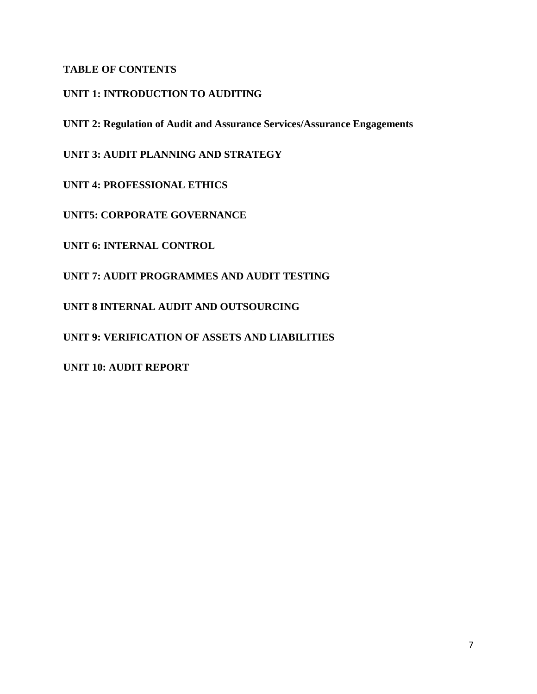# **TABLE OF CONTENTS**

# **UNIT 1: INTRODUCTION TO AUDITING**

**UNIT 2: Regulation of Audit and Assurance Services/Assurance Engagements**

**UNIT 3: AUDIT PLANNING AND STRATEGY**

**UNIT 4: PROFESSIONAL ETHICS**

**UNIT5: CORPORATE GOVERNANCE**

**UNIT 6: INTERNAL CONTROL**

**UNIT 7: AUDIT PROGRAMMES AND AUDIT TESTING**

**UNIT 8 INTERNAL AUDIT AND OUTSOURCING**

**UNIT 9: VERIFICATION OF ASSETS AND LIABILITIES**

**UNIT 10: AUDIT REPORT**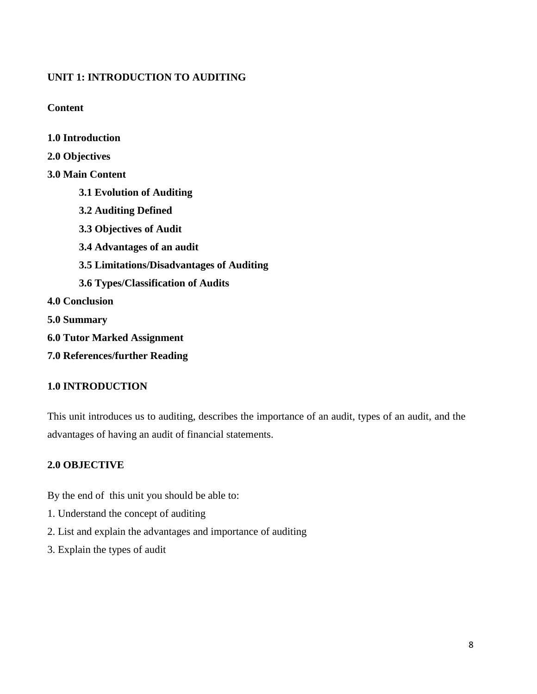# **UNIT 1: INTRODUCTION TO AUDITING**

**Content**

**1.0 Introduction**

**2.0 Objectives 3.0 Main Content 3.1 Evolution of Auditing 3.2 Auditing Defined 3.3 Objectives of Audit 3.4 Advantages of an audit 3.5 Limitations/Disadvantages of Auditing 3.6 Types/Classification of Audits 4.0 Conclusion 5.0 Summary 6.0 Tutor Marked Assignment 7.0 References/further Reading**

# **1.0 INTRODUCTION**

This unit introduces us to auditing, describes the importance of an audit, types of an audit, and the advantages of having an audit of financial statements.

# **2.0 OBJECTIVE**

By the end of this unit you should be able to:

- 1. Understand the concept of auditing
- 2. List and explain the advantages and importance of auditing
- 3. Explain the types of audit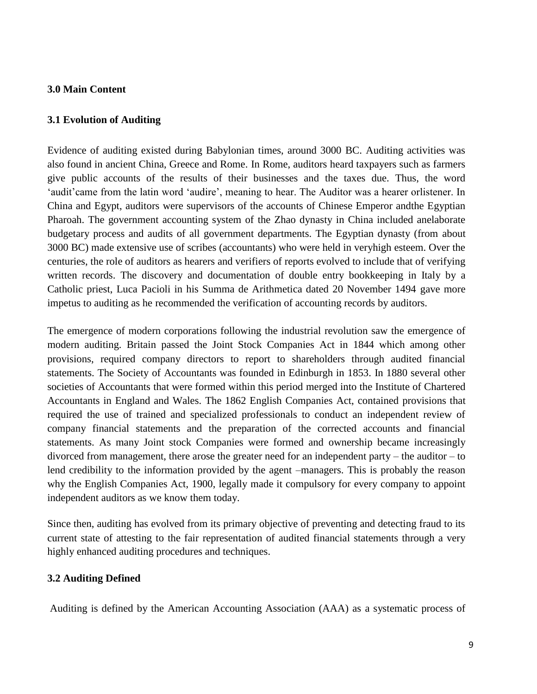# **3.0 Main Content**

# **3.1 Evolution of Auditing**

Evidence of auditing existed during Babylonian times, around 3000 BC. Auditing activities was also found in ancient China, Greece and Rome. In Rome, auditors heard taxpayers such as farmers give public accounts of the results of their businesses and the taxes due. Thus, the word 'audit'came from the latin word 'audire', meaning to hear. The Auditor was a hearer orlistener. In China and Egypt, auditors were supervisors of the accounts of Chinese Emperor andthe Egyptian Pharoah. The government accounting system of the Zhao dynasty in China included anelaborate budgetary process and audits of all government departments. The Egyptian dynasty (from about 3000 BC) made extensive use of scribes (accountants) who were held in veryhigh esteem. Over the centuries, the role of auditors as hearers and verifiers of reports evolved to include that of verifying written records. The discovery and documentation of double entry bookkeeping in Italy by a Catholic priest, Luca Pacioli in his Summa de Arithmetica dated 20 November 1494 gave more impetus to auditing as he recommended the verification of accounting records by auditors.

The emergence of modern corporations following the industrial revolution saw the emergence of modern auditing. Britain passed the Joint Stock Companies Act in 1844 which among other provisions, required company directors to report to shareholders through audited financial statements. The Society of Accountants was founded in Edinburgh in 1853. In 1880 several other societies of Accountants that were formed within this period merged into the Institute of Chartered Accountants in England and Wales. The 1862 English Companies Act, contained provisions that required the use of trained and specialized professionals to conduct an independent review of company financial statements and the preparation of the corrected accounts and financial statements. As many Joint stock Companies were formed and ownership became increasingly divorced from management, there arose the greater need for an independent party – the auditor – to lend credibility to the information provided by the agent –managers. This is probably the reason why the English Companies Act, 1900, legally made it compulsory for every company to appoint independent auditors as we know them today.

Since then, auditing has evolved from its primary objective of preventing and detecting fraud to its current state of attesting to the fair representation of audited financial statements through a very highly enhanced auditing procedures and techniques.

# **3.2 Auditing Defined**

Auditing is defined by the American Accounting Association (AAA) as a systematic process of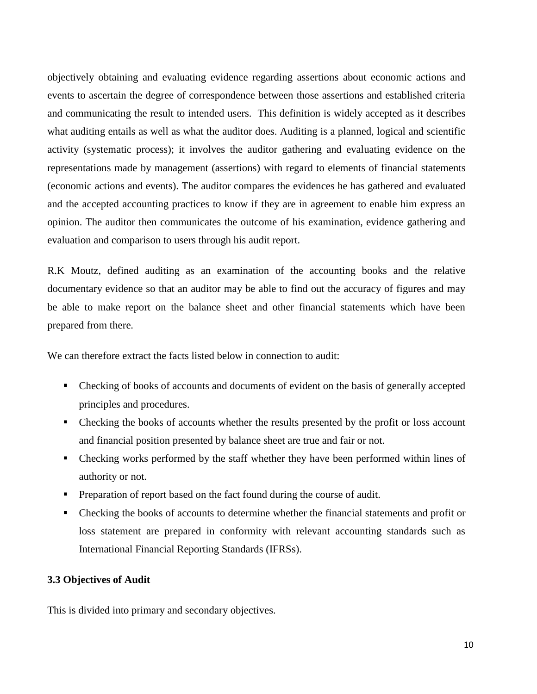objectively obtaining and evaluating evidence regarding assertions about economic actions and events to ascertain the degree of correspondence between those assertions and established criteria and communicating the result to intended users. This definition is widely accepted as it describes what auditing entails as well as what the auditor does. Auditing is a planned, logical and scientific activity (systematic process); it involves the auditor gathering and evaluating evidence on the representations made by management (assertions) with regard to elements of financial statements (economic actions and events). The auditor compares the evidences he has gathered and evaluated and the accepted accounting practices to know if they are in agreement to enable him express an opinion. The auditor then communicates the outcome of his examination, evidence gathering and evaluation and comparison to users through his audit report.

R.K Moutz, defined auditing as an examination of the accounting books and the relative documentary evidence so that an auditor may be able to find out the accuracy of figures and may be able to make report on the balance sheet and other financial statements which have been prepared from there.

We can therefore extract the facts listed below in connection to audit:

- Checking of books of accounts and documents of evident on the basis of generally accepted principles and procedures.
- Checking the books of accounts whether the results presented by the profit or loss account and financial position presented by balance sheet are true and fair or not.
- Checking works performed by the staff whether they have been performed within lines of authority or not.
- Preparation of report based on the fact found during the course of audit.
- Checking the books of accounts to determine whether the financial statements and profit or loss statement are prepared in conformity with relevant accounting standards such as International Financial Reporting Standards (IFRSs).

#### **3.3 Objectives of Audit**

This is divided into primary and secondary objectives.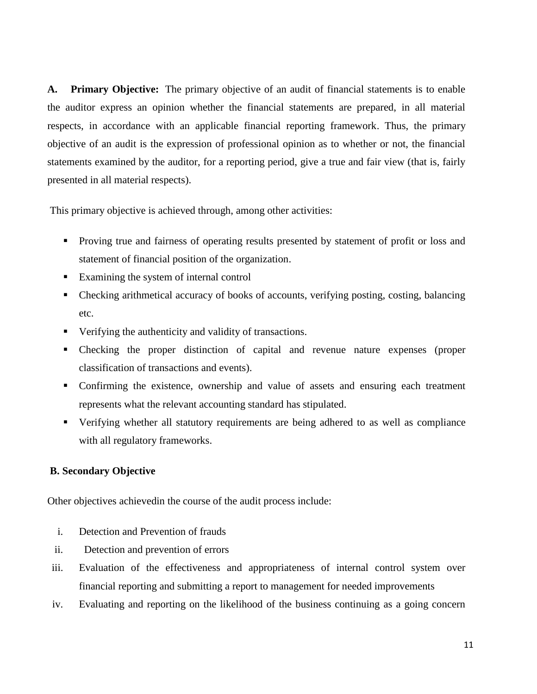**A. Primary Objective:** The primary objective of an audit of financial statements is to enable the auditor express an opinion whether the financial statements are prepared, in all material respects, in accordance with an applicable financial reporting framework. Thus, the primary objective of an audit is the expression of professional opinion as to whether or not, the financial statements examined by the auditor, for a reporting period, give a true and fair view (that is, fairly presented in all material respects).

This primary objective is achieved through, among other activities:

- **Proving true and fairness of operating results presented by statement of profit or loss and** statement of financial position of the organization.
- Examining the system of internal control
- Checking arithmetical accuracy of books of accounts, verifying posting, costing, balancing etc.
- Verifying the authenticity and validity of transactions.
- Checking the proper distinction of capital and revenue nature expenses (proper classification of transactions and events).
- Confirming the existence, ownership and value of assets and ensuring each treatment represents what the relevant accounting standard has stipulated.
- Verifying whether all statutory requirements are being adhered to as well as compliance with all regulatory frameworks.

#### **B. Secondary Objective**

Other objectives achievedin the course of the audit process include:

- i. Detection and Prevention of frauds
- ii. Detection and prevention of errors
- iii. Evaluation of the effectiveness and appropriateness of internal control system over financial reporting and submitting a report to management for needed improvements
- iv. Evaluating and reporting on the likelihood of the business continuing as a going concern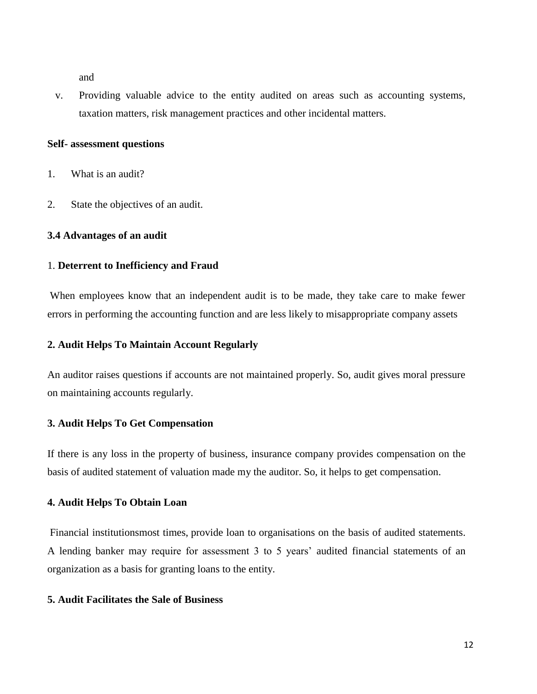and

v. Providing valuable advice to the entity audited on areas such as accounting systems, taxation matters, risk management practices and other incidental matters.

#### **Self- assessment questions**

- 1. What is an audit?
- 2. State the objectives of an audit.

#### **3.4 Advantages of an audit**

#### 1. **Deterrent to Inefficiency and Fraud**

When employees know that an independent audit is to be made, they take care to make fewer errors in performing the accounting function and are less likely to misappropriate company assets

#### **2. Audit Helps To Maintain Account Regularly**

An auditor raises questions if accounts are not maintained properly. So, audit gives moral pressure on maintaining accounts regularly.

#### **3. Audit Helps To Get Compensation**

If there is any loss in the property of business, insurance company provides compensation on the basis of audited statement of valuation made my the auditor. So, it helps to get compensation.

#### **4. Audit Helps To Obtain Loan**

Financial institutionsmost times, provide loan to organisations on the basis of audited statements. A lending banker may require for assessment 3 to 5 years' audited financial statements of an organization as a basis for granting loans to the entity.

#### **5. Audit Facilitates the Sale of Business**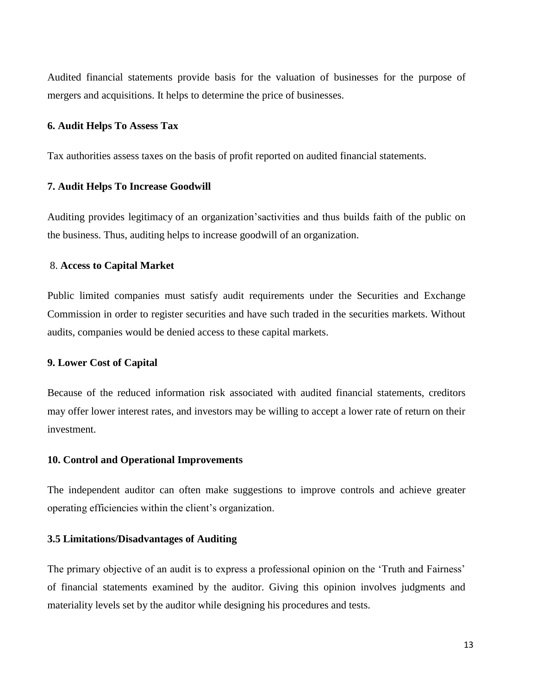Audited financial statements provide basis for the valuation of businesses for the purpose of mergers and acquisitions. It helps to determine the price of businesses.

#### **6. Audit Helps To Assess Tax**

Tax authorities assess taxes on the basis of profit reported on audited financial statements.

#### **7. Audit Helps To Increase Goodwill**

Auditing provides legitimacy of an organization'sactivities and thus builds faith of the public on the business. Thus, auditing helps to increase goodwill of an organization.

#### 8. **Access to Capital Market**

Public limited companies must satisfy audit requirements under the Securities and Exchange Commission in order to register securities and have such traded in the securities markets. Without audits, companies would be denied access to these capital markets.

#### **9. Lower Cost of Capital**

Because of the reduced information risk associated with audited financial statements, creditors may offer lower interest rates, and investors may be willing to accept a lower rate of return on their investment.

#### **10. Control and Operational Improvements**

The independent auditor can often make suggestions to improve controls and achieve greater operating efficiencies within the client's organization.

#### **3.5 Limitations/Disadvantages of Auditing**

The primary objective of an audit is to express a professional opinion on the 'Truth and Fairness' of financial statements examined by the auditor. Giving this opinion involves judgments and materiality levels set by the auditor while designing his procedures and tests.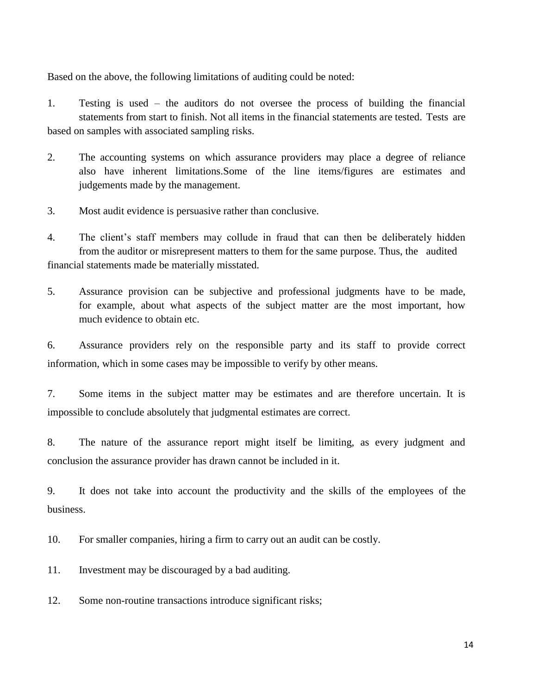Based on the above, the following limitations of auditing could be noted:

1. Testing is used – the auditors do not oversee the process of building the financial statements from start to finish. Not all items in the financial statements are tested. Tests are based on samples with associated sampling risks.

- 2. The accounting systems on which assurance providers may place a degree of reliance also have inherent limitations.Some of the line items/figures are estimates and judgements made by the management.
- 3. Most audit evidence is persuasive rather than conclusive.

4. The client's staff members may collude in fraud that can then be deliberately hidden from the auditor or misrepresent matters to them for the same purpose. Thus, the audited financial statements made be materially misstated.

5. Assurance provision can be subjective and professional judgments have to be made, for example, about what aspects of the subject matter are the most important, how much evidence to obtain etc.

6. Assurance providers rely on the responsible party and its staff to provide correct information, which in some cases may be impossible to verify by other means.

7. Some items in the subject matter may be estimates and are therefore uncertain. It is impossible to conclude absolutely that judgmental estimates are correct.

8. The nature of the assurance report might itself be limiting, as every judgment and conclusion the assurance provider has drawn cannot be included in it.

9. It does not take into account the productivity and the skills of the employees of the business.

10. For smaller companies, hiring a firm to carry out an audit can be costly.

11. Investment may be discouraged by a bad auditing.

12. Some non-routine transactions introduce significant risks;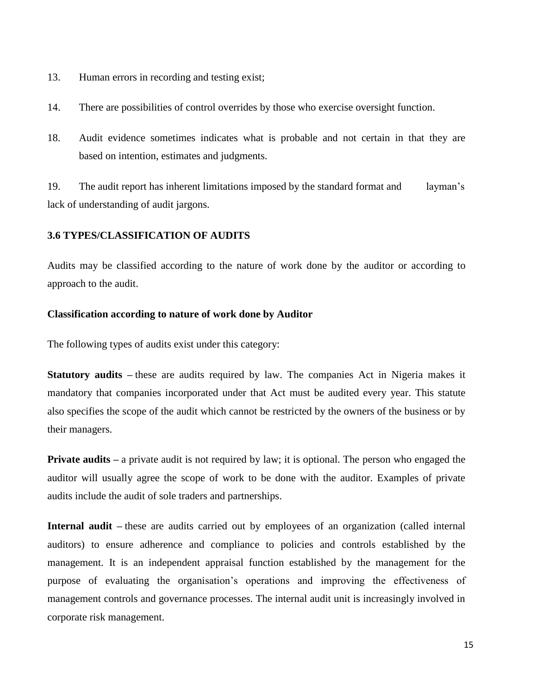- 13. Human errors in recording and testing exist;
- 14. There are possibilities of control overrides by those who exercise oversight function.
- 18. Audit evidence sometimes indicates what is probable and not certain in that they are based on intention, estimates and judgments.

19. The audit report has inherent limitations imposed by the standard format and layman's lack of understanding of audit jargons.

#### **3.6 TYPES/CLASSIFICATION OF AUDITS**

Audits may be classified according to the nature of work done by the auditor or according to approach to the audit.

#### **Classification according to nature of work done by Auditor**

The following types of audits exist under this category:

**Statutory audits –** these are audits required by law. The companies Act in Nigeria makes it mandatory that companies incorporated under that Act must be audited every year. This statute also specifies the scope of the audit which cannot be restricted by the owners of the business or by their managers.

**Private audits** – a private audit is not required by law; it is optional. The person who engaged the auditor will usually agree the scope of work to be done with the auditor. Examples of private audits include the audit of sole traders and partnerships.

**Internal audit –** these are audits carried out by employees of an organization (called internal auditors) to ensure adherence and compliance to policies and controls established by the management. It is an independent appraisal function established by the management for the purpose of evaluating the organisation's operations and improving the effectiveness of management controls and governance processes. The internal audit unit is increasingly involved in corporate risk management.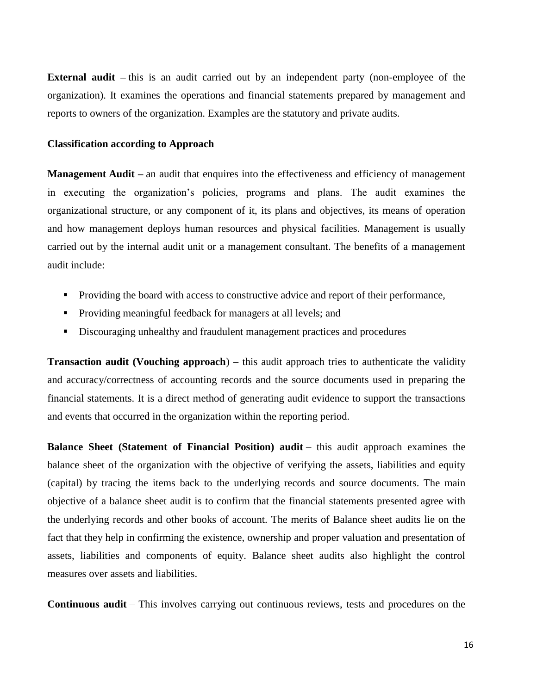**External audit** – this is an audit carried out by an independent party (non-employee of the organization). It examines the operations and financial statements prepared by management and reports to owners of the organization. Examples are the statutory and private audits.

#### **Classification according to Approach**

**Management Audit** – an audit that enquires into the effectiveness and efficiency of management in executing the organization's policies, programs and plans. The audit examines the organizational structure, or any component of it, its plans and objectives, its means of operation and how management deploys human resources and physical facilities. Management is usually carried out by the internal audit unit or a management consultant. The benefits of a management audit include:

- **Providing the board with access to constructive advice and report of their performance,**
- **Providing meaningful feedback for managers at all levels; and**
- Discouraging unhealthy and fraudulent management practices and procedures

**Transaction audit (Vouching approach**) – this audit approach tries to authenticate the validity and accuracy/correctness of accounting records and the source documents used in preparing the financial statements. It is a direct method of generating audit evidence to support the transactions and events that occurred in the organization within the reporting period.

**Balance Sheet (Statement of Financial Position) audit** – this audit approach examines the balance sheet of the organization with the objective of verifying the assets, liabilities and equity (capital) by tracing the items back to the underlying records and source documents. The main objective of a balance sheet audit is to confirm that the financial statements presented agree with the underlying records and other books of account. The merits of Balance sheet audits lie on the fact that they help in confirming the existence, ownership and proper valuation and presentation of assets, liabilities and components of equity. Balance sheet audits also highlight the control measures over assets and liabilities.

**Continuous audit** – This involves carrying out continuous reviews, tests and procedures on the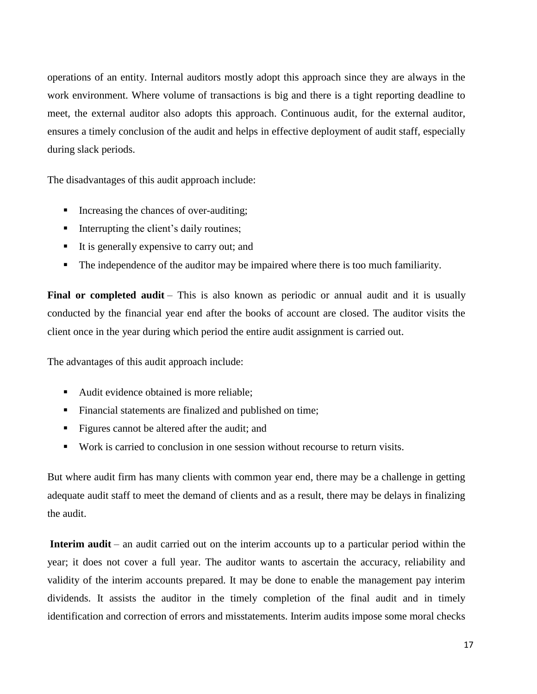operations of an entity. Internal auditors mostly adopt this approach since they are always in the work environment. Where volume of transactions is big and there is a tight reporting deadline to meet, the external auditor also adopts this approach. Continuous audit, for the external auditor, ensures a timely conclusion of the audit and helps in effective deployment of audit staff, especially during slack periods.

The disadvantages of this audit approach include:

- Increasing the chances of over-auditing;
- $\blacksquare$  Interrupting the client's daily routines;
- It is generally expensive to carry out; and
- The independence of the auditor may be impaired where there is too much familiarity.

Final or completed audit – This is also known as periodic or annual audit and it is usually conducted by the financial year end after the books of account are closed. The auditor visits the client once in the year during which period the entire audit assignment is carried out.

The advantages of this audit approach include:

- Audit evidence obtained is more reliable;
- Financial statements are finalized and published on time;
- Figures cannot be altered after the audit; and
- Work is carried to conclusion in one session without recourse to return visits.

But where audit firm has many clients with common year end, there may be a challenge in getting adequate audit staff to meet the demand of clients and as a result, there may be delays in finalizing the audit.

**Interim audit** – an audit carried out on the interim accounts up to a particular period within the year; it does not cover a full year. The auditor wants to ascertain the accuracy, reliability and validity of the interim accounts prepared. It may be done to enable the management pay interim dividends. It assists the auditor in the timely completion of the final audit and in timely identification and correction of errors and misstatements. Interim audits impose some moral checks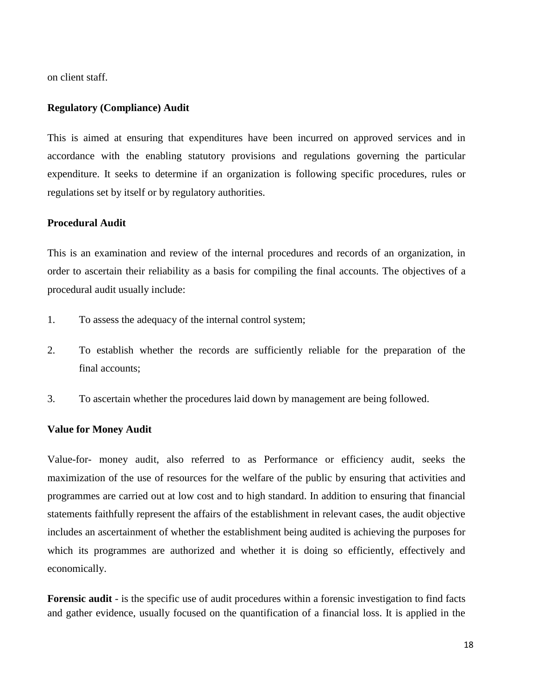on client staff.

#### **Regulatory (Compliance) Audit**

This is aimed at ensuring that expenditures have been incurred on approved services and in accordance with the enabling statutory provisions and regulations governing the particular expenditure. It seeks to determine if an organization is following specific procedures, rules or regulations set by itself or by regulatory authorities.

## **Procedural Audit**

This is an examination and review of the internal procedures and records of an organization, in order to ascertain their reliability as a basis for compiling the final accounts. The objectives of a procedural audit usually include:

- 1. To assess the adequacy of the internal control system;
- 2. To establish whether the records are sufficiently reliable for the preparation of the final accounts;
- 3. To ascertain whether the procedures laid down by management are being followed.

#### **Value for Money Audit**

Value-for- money audit, also referred to as Performance or efficiency audit, seeks the maximization of the use of resources for the welfare of the public by ensuring that activities and programmes are carried out at low cost and to high standard. In addition to ensuring that financial statements faithfully represent the affairs of the establishment in relevant cases, the audit objective includes an ascertainment of whether the establishment being audited is achieving the purposes for which its programmes are authorized and whether it is doing so efficiently, effectively and economically.

**Forensic audit** - is the specific use of audit procedures within a forensic investigation to find facts and gather evidence, usually focused on the quantification of a financial loss. It is applied in the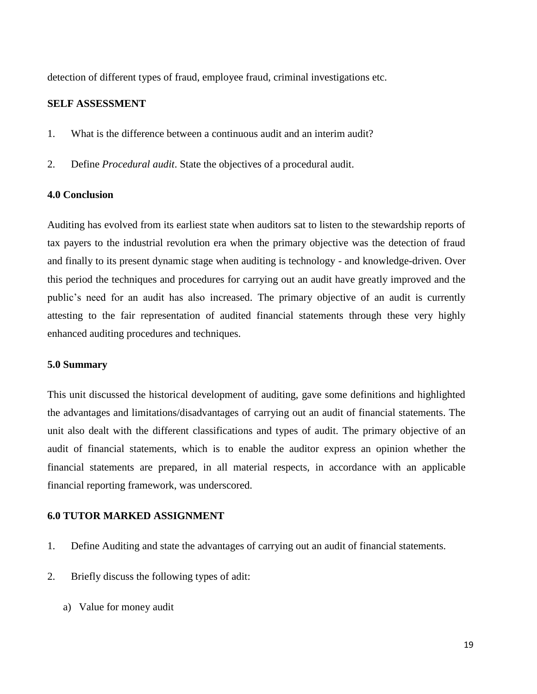detection of different types of fraud, employee fraud, criminal investigations etc.

## **SELF ASSESSMENT**

- 1. What is the difference between a continuous audit and an interim audit?
- 2. Define *Procedural audit*. State the objectives of a procedural audit.

## **4.0 Conclusion**

Auditing has evolved from its earliest state when auditors sat to listen to the stewardship reports of tax payers to the industrial revolution era when the primary objective was the detection of fraud and finally to its present dynamic stage when auditing is technology - and knowledge-driven. Over this period the techniques and procedures for carrying out an audit have greatly improved and the public's need for an audit has also increased. The primary objective of an audit is currently attesting to the fair representation of audited financial statements through these very highly enhanced auditing procedures and techniques.

#### **5.0 Summary**

This unit discussed the historical development of auditing, gave some definitions and highlighted the advantages and limitations/disadvantages of carrying out an audit of financial statements. The unit also dealt with the different classifications and types of audit. The primary objective of an audit of financial statements, which is to enable the auditor express an opinion whether the financial statements are prepared, in all material respects, in accordance with an applicable financial reporting framework, was underscored.

#### **6.0 TUTOR MARKED ASSIGNMENT**

- 1. Define Auditing and state the advantages of carrying out an audit of financial statements.
- 2. Briefly discuss the following types of adit:
	- a) Value for money audit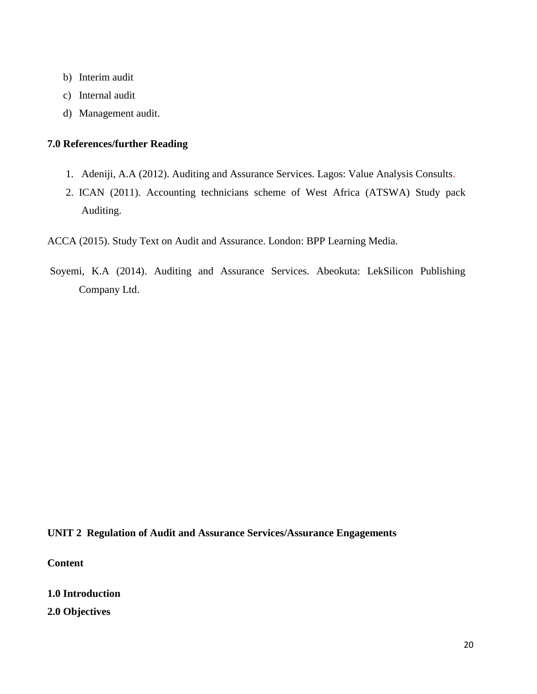- b) Interim audit
- c) Internal audit
- d) Management audit.

#### **7.0 References/further Reading**

- 1. Adeniji, A.A (2012). Auditing and Assurance Services. Lagos: Value Analysis Consults.
- 2. ICAN (2011). Accounting technicians scheme of West Africa (ATSWA) Study pack Auditing.

ACCA (2015). Study Text on Audit and Assurance. London: BPP Learning Media.

Soyemi, K.A (2014). Auditing and Assurance Services. Abeokuta: LekSilicon Publishing Company Ltd.

## **UNIT 2 Regulation of Audit and Assurance Services/Assurance Engagements**

**Content**

**1.0 Introduction**

**2.0 Objectives**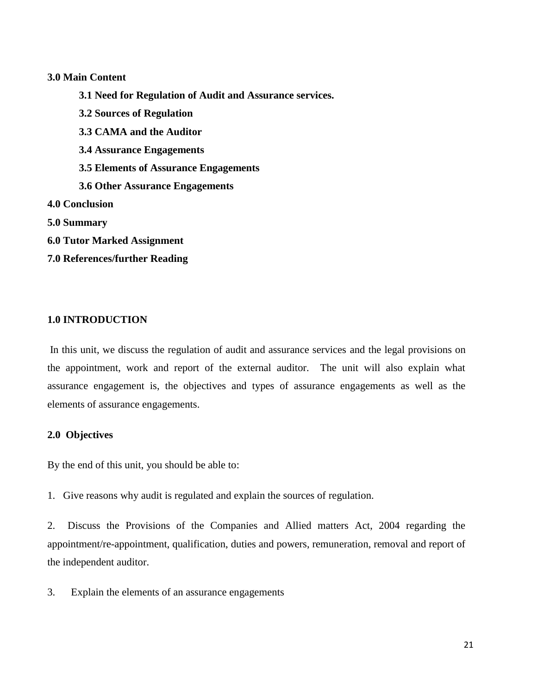#### **3.0 Main Content**

**3.1 Need for Regulation of Audit and Assurance services. 3.2 Sources of Regulation 3.3 CAMA and the Auditor 3.4 Assurance Engagements 3.5 Elements of Assurance Engagements 3.6 Other Assurance Engagements 4.0 Conclusion 5.0 Summary 6.0 Tutor Marked Assignment 7.0 References/further Reading**

# **1.0 INTRODUCTION**

In this unit, we discuss the regulation of audit and assurance services and the legal provisions on the appointment, work and report of the external auditor. The unit will also explain what assurance engagement is, the objectives and types of assurance engagements as well as the elements of assurance engagements.

#### **2.0 Objectives**

By the end of this unit, you should be able to:

1. Give reasons why audit is regulated and explain the sources of regulation.

2. Discuss the Provisions of the Companies and Allied matters Act, 2004 regarding the appointment/re-appointment, qualification, duties and powers, remuneration, removal and report of the independent auditor.

3. Explain the elements of an assurance engagements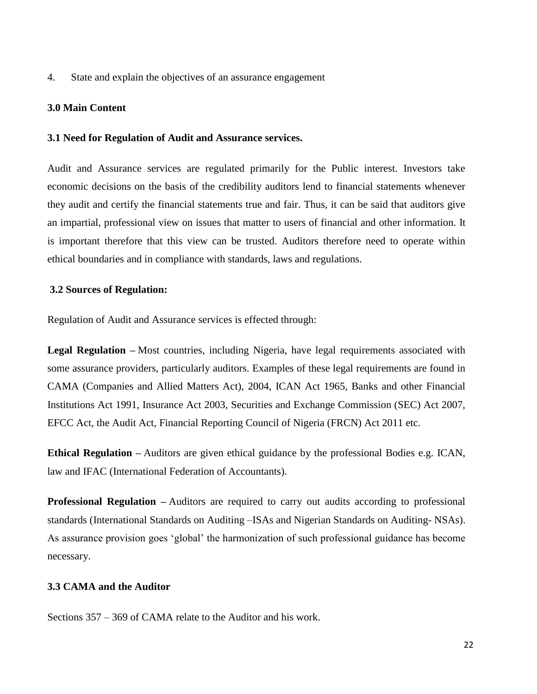4. State and explain the objectives of an assurance engagement

#### **3.0 Main Content**

#### **3.1 Need for Regulation of Audit and Assurance services.**

Audit and Assurance services are regulated primarily for the Public interest. Investors take economic decisions on the basis of the credibility auditors lend to financial statements whenever they audit and certify the financial statements true and fair. Thus, it can be said that auditors give an impartial, professional view on issues that matter to users of financial and other information. It is important therefore that this view can be trusted. Auditors therefore need to operate within ethical boundaries and in compliance with standards, laws and regulations.

#### **3.2 Sources of Regulation:**

Regulation of Audit and Assurance services is effected through:

**Legal Regulation –** Most countries, including Nigeria, have legal requirements associated with some assurance providers, particularly auditors. Examples of these legal requirements are found in CAMA (Companies and Allied Matters Act), 2004, ICAN Act 1965, Banks and other Financial Institutions Act 1991, Insurance Act 2003, Securities and Exchange Commission (SEC) Act 2007, EFCC Act, the Audit Act, Financial Reporting Council of Nigeria (FRCN) Act 2011 etc.

**Ethical Regulation –** Auditors are given ethical guidance by the professional Bodies e.g. ICAN, law and IFAC (International Federation of Accountants).

**Professional Regulation** – Auditors are required to carry out audits according to professional standards (International Standards on Auditing –ISAs and Nigerian Standards on Auditing- NSAs). As assurance provision goes 'global' the harmonization of such professional guidance has become necessary.

# **3.3 CAMA and the Auditor**

Sections 357 – 369 of CAMA relate to the Auditor and his work.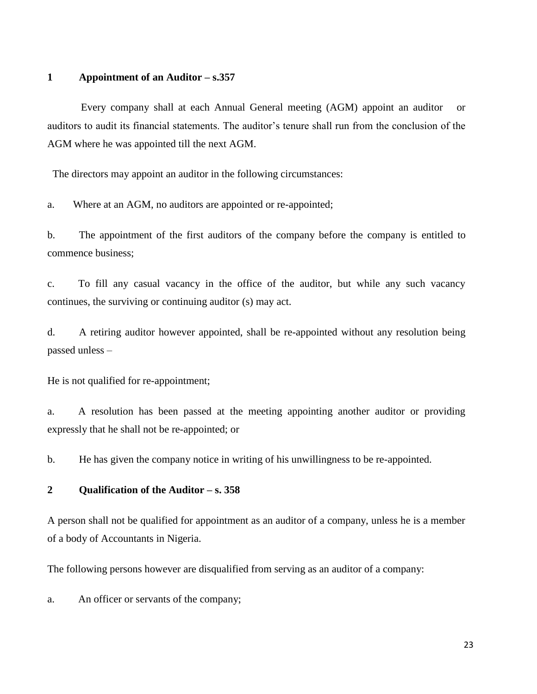#### **1 Appointment of an Auditor – s.357**

 Every company shall at each Annual General meeting (AGM) appoint an auditor or auditors to audit its financial statements. The auditor's tenure shall run from the conclusion of the AGM where he was appointed till the next AGM.

The directors may appoint an auditor in the following circumstances:

a. Where at an AGM, no auditors are appointed or re-appointed;

b. The appointment of the first auditors of the company before the company is entitled to commence business;

c. To fill any casual vacancy in the office of the auditor, but while any such vacancy continues, the surviving or continuing auditor (s) may act.

d. A retiring auditor however appointed, shall be re-appointed without any resolution being passed unless –

He is not qualified for re-appointment;

a. A resolution has been passed at the meeting appointing another auditor or providing expressly that he shall not be re-appointed; or

b. He has given the company notice in writing of his unwillingness to be re-appointed.

#### **2 Qualification of the Auditor – s. 358**

A person shall not be qualified for appointment as an auditor of a company, unless he is a member of a body of Accountants in Nigeria.

The following persons however are disqualified from serving as an auditor of a company:

a. An officer or servants of the company;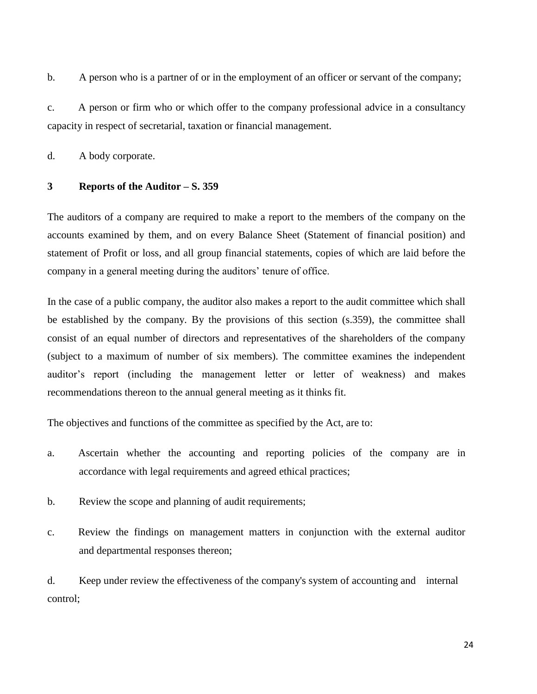b. A person who is a partner of or in the employment of an officer or servant of the company;

c. A person or firm who or which offer to the company professional advice in a consultancy capacity in respect of secretarial, taxation or financial management.

d. A body corporate.

#### **3 Reports of the Auditor – S. 359**

The auditors of a company are required to make a report to the members of the company on the accounts examined by them, and on every Balance Sheet (Statement of financial position) and statement of Profit or loss, and all group financial statements, copies of which are laid before the company in a general meeting during the auditors' tenure of office.

In the case of a public company, the auditor also makes a report to the audit committee which shall be established by the company. By the provisions of this section (s.359), the committee shall consist of an equal number of directors and representatives of the shareholders of the company (subject to a maximum of number of six members). The committee examines the independent auditor's report (including the management letter or letter of weakness) and makes recommendations thereon to the annual general meeting as it thinks fit.

The objectives and functions of the committee as specified by the Act, are to:

- a. Ascertain whether the accounting and reporting policies of the company are in accordance with legal requirements and agreed ethical practices;
- b. Review the scope and planning of audit requirements;
- c. Review the findings on management matters in conjunction with the external auditor and departmental responses thereon;

d. Keep under review the effectiveness of the company's system of accounting and internal control;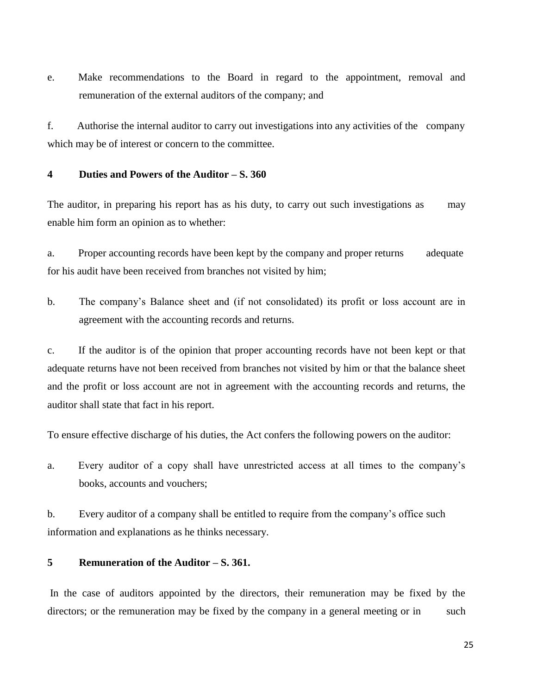e. Make recommendations to the Board in regard to the appointment, removal and remuneration of the external auditors of the company; and

f. Authorise the internal auditor to carry out investigations into any activities of the company which may be of interest or concern to the committee.

## **4 Duties and Powers of the Auditor – S. 360**

The auditor, in preparing his report has as his duty, to carry out such investigations as may enable him form an opinion as to whether:

a. Proper accounting records have been kept by the company and proper returns adequate for his audit have been received from branches not visited by him;

b. The company's Balance sheet and (if not consolidated) its profit or loss account are in agreement with the accounting records and returns.

c. If the auditor is of the opinion that proper accounting records have not been kept or that adequate returns have not been received from branches not visited by him or that the balance sheet and the profit or loss account are not in agreement with the accounting records and returns, the auditor shall state that fact in his report.

To ensure effective discharge of his duties, the Act confers the following powers on the auditor:

a. Every auditor of a copy shall have unrestricted access at all times to the company's books, accounts and vouchers;

b. Every auditor of a company shall be entitled to require from the company's office such information and explanations as he thinks necessary.

#### **5 Remuneration of the Auditor – S. 361.**

In the case of auditors appointed by the directors, their remuneration may be fixed by the directors; or the remuneration may be fixed by the company in a general meeting or in such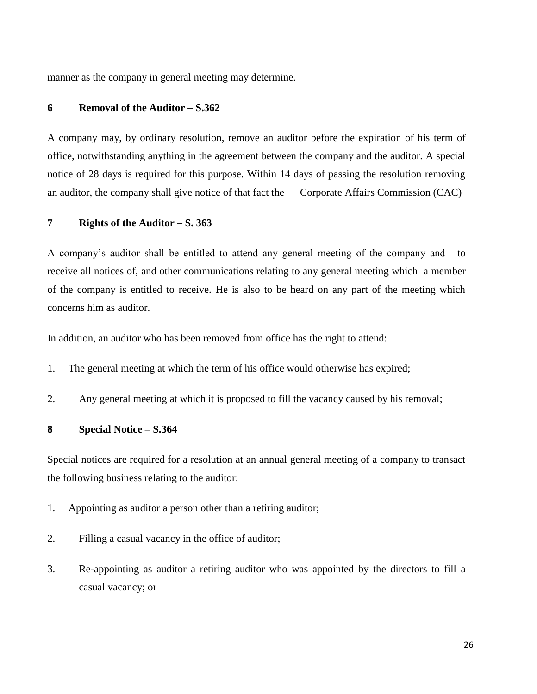manner as the company in general meeting may determine.

## **6 Removal of the Auditor – S.362**

A company may, by ordinary resolution, remove an auditor before the expiration of his term of office, notwithstanding anything in the agreement between the company and the auditor. A special notice of 28 days is required for this purpose. Within 14 days of passing the resolution removing an auditor, the company shall give notice of that fact the Corporate Affairs Commission (CAC)

#### **7 Rights of the Auditor – S. 363**

A company's auditor shall be entitled to attend any general meeting of the company and to receive all notices of, and other communications relating to any general meeting which a member of the company is entitled to receive. He is also to be heard on any part of the meeting which concerns him as auditor.

In addition, an auditor who has been removed from office has the right to attend:

- 1. The general meeting at which the term of his office would otherwise has expired;
- 2. Any general meeting at which it is proposed to fill the vacancy caused by his removal;

#### **8 Special Notice – S.364**

Special notices are required for a resolution at an annual general meeting of a company to transact the following business relating to the auditor:

- 1. Appointing as auditor a person other than a retiring auditor;
- 2. Filling a casual vacancy in the office of auditor;
- 3. Re-appointing as auditor a retiring auditor who was appointed by the directors to fill a casual vacancy; or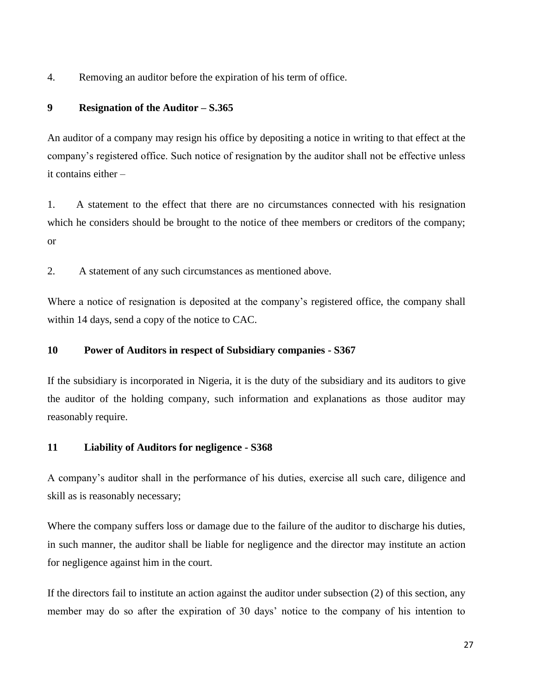4. Removing an auditor before the expiration of his term of office.

# **9 Resignation of the Auditor – S.365**

An auditor of a company may resign his office by depositing a notice in writing to that effect at the company's registered office. Such notice of resignation by the auditor shall not be effective unless it contains either –

1. A statement to the effect that there are no circumstances connected with his resignation which he considers should be brought to the notice of thee members or creditors of the company; or

2. A statement of any such circumstances as mentioned above.

Where a notice of resignation is deposited at the company's registered office, the company shall within 14 days, send a copy of the notice to CAC.

# **10 Power of Auditors in respect of Subsidiary companies - S367**

If the subsidiary is incorporated in Nigeria, it is the duty of the subsidiary and its auditors to give the auditor of the holding company, such information and explanations as those auditor may reasonably require.

# **11 Liability of Auditors for negligence - S368**

A company's auditor shall in the performance of his duties, exercise all such care, diligence and skill as is reasonably necessary;

Where the company suffers loss or damage due to the failure of the auditor to discharge his duties, in such manner, the auditor shall be liable for negligence and the director may institute an action for negligence against him in the court.

If the directors fail to institute an action against the auditor under subsection (2) of this section, any member may do so after the expiration of 30 days' notice to the company of his intention to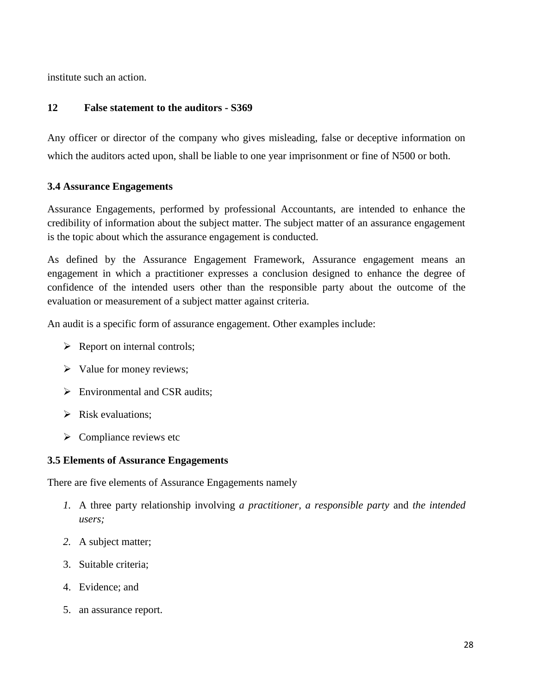institute such an action.

# **12 False statement to the auditors - S369**

Any officer or director of the company who gives misleading, false or deceptive information on which the auditors acted upon, shall be liable to one year imprisonment or fine of N500 or both.

# **3.4 Assurance Engagements**

Assurance Engagements, performed by professional Accountants, are intended to enhance the credibility of information about the subject matter. The subject matter of an assurance engagement is the topic about which the assurance engagement is conducted.

As defined by the Assurance Engagement Framework, Assurance engagement means an engagement in which a practitioner expresses a conclusion designed to enhance the degree of confidence of the intended users other than the responsible party about the outcome of the evaluation or measurement of a subject matter against criteria.

An audit is a specific form of assurance engagement. Other examples include:

- $\triangleright$  Report on internal controls;
- $\triangleright$  Value for money reviews;
- $\triangleright$  Environmental and CSR audits:
- $\triangleright$  Risk evaluations;
- $\triangleright$  Compliance reviews etc

# **3.5 Elements of Assurance Engagements**

There are five elements of Assurance Engagements namely

- *1.* A three party relationship involving *a practitioner, a responsible party* and *the intended users;*
- *2.* A subject matter;
- 3. Suitable criteria;
- 4. Evidence; and
- 5. an assurance report.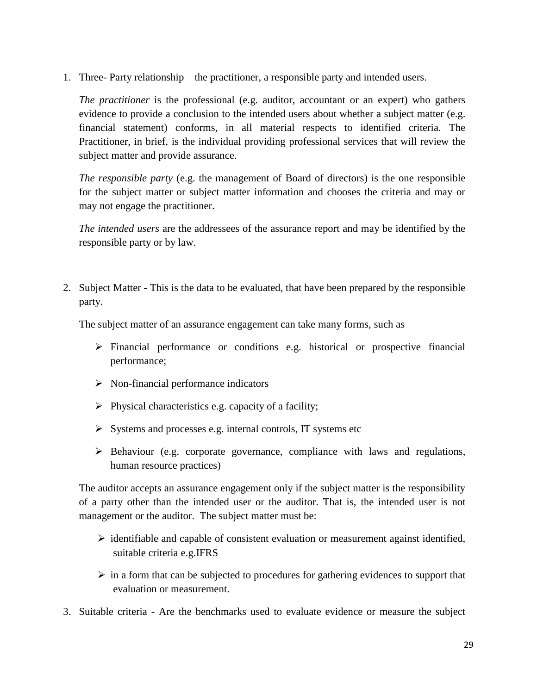1. Three- Party relationship – the practitioner, a responsible party and intended users.

*The practitioner* is the professional (e.g. auditor, accountant or an expert) who gathers evidence to provide a conclusion to the intended users about whether a subject matter (e.g. financial statement) conforms, in all material respects to identified criteria. The Practitioner, in brief, is the individual providing professional services that will review the subject matter and provide assurance.

*The responsible party* (e.g. the management of Board of directors) is the one responsible for the subject matter or subject matter information and chooses the criteria and may or may not engage the practitioner.

*The intended users* are the addressees of the assurance report and may be identified by the responsible party or by law.

2. Subject Matter - This is the data to be evaluated, that have been prepared by the responsible party.

The subject matter of an assurance engagement can take many forms, such as

- $\triangleright$  Financial performance or conditions e.g. historical or prospective financial performance;
- $\triangleright$  Non-financial performance indicators
- $\triangleright$  Physical characteristics e.g. capacity of a facility;
- $\triangleright$  Systems and processes e.g. internal controls, IT systems etc
- $\triangleright$  Behaviour (e.g. corporate governance, compliance with laws and regulations, human resource practices)

The auditor accepts an assurance engagement only if the subject matter is the responsibility of a party other than the intended user or the auditor. That is, the intended user is not management or the auditor. The subject matter must be:

- $\triangleright$  identifiable and capable of consistent evaluation or measurement against identified, suitable criteria e.g.IFRS
- $\triangleright$  in a form that can be subjected to procedures for gathering evidences to support that evaluation or measurement.
- 3. Suitable criteria Are the benchmarks used to evaluate evidence or measure the subject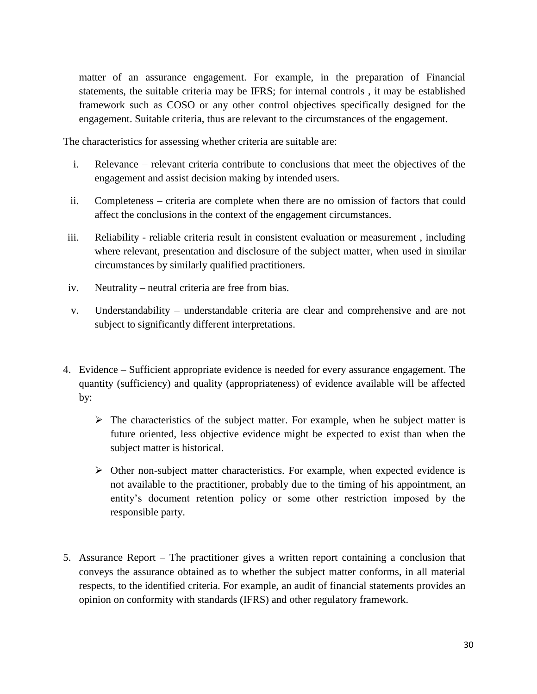matter of an assurance engagement. For example, in the preparation of Financial statements, the suitable criteria may be IFRS; for internal controls , it may be established framework such as COSO or any other control objectives specifically designed for the engagement. Suitable criteria, thus are relevant to the circumstances of the engagement.

The characteristics for assessing whether criteria are suitable are:

- i. Relevance relevant criteria contribute to conclusions that meet the objectives of the engagement and assist decision making by intended users.
- ii. Completeness criteria are complete when there are no omission of factors that could affect the conclusions in the context of the engagement circumstances.
- iii. Reliability reliable criteria result in consistent evaluation or measurement , including where relevant, presentation and disclosure of the subject matter, when used in similar circumstances by similarly qualified practitioners.
- iv. Neutrality neutral criteria are free from bias.
- v. Understandability understandable criteria are clear and comprehensive and are not subject to significantly different interpretations.
- 4. Evidence Sufficient appropriate evidence is needed for every assurance engagement. The quantity (sufficiency) and quality (appropriateness) of evidence available will be affected by:
	- $\triangleright$  The characteristics of the subject matter. For example, when he subject matter is future oriented, less objective evidence might be expected to exist than when the subject matter is historical.
	- $\triangleright$  Other non-subject matter characteristics. For example, when expected evidence is not available to the practitioner, probably due to the timing of his appointment, an entity's document retention policy or some other restriction imposed by the responsible party.
- 5. Assurance Report The practitioner gives a written report containing a conclusion that conveys the assurance obtained as to whether the subject matter conforms, in all material respects, to the identified criteria. For example, an audit of financial statements provides an opinion on conformity with standards (IFRS) and other regulatory framework.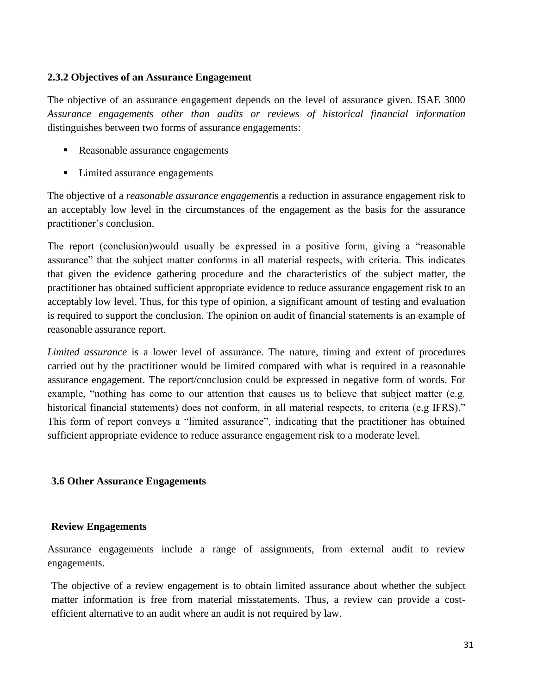# **2.3.2 Objectives of an Assurance Engagement**

The objective of an assurance engagement depends on the level of assurance given. ISAE 3000 *Assurance engagements other than audits or reviews of historical financial information* distinguishes between two forms of assurance engagements:

- Reasonable assurance engagements
- Limited assurance engagements

The objective of a *reasonable assurance engagement*is a reduction in assurance engagement risk to an acceptably low level in the circumstances of the engagement as the basis for the assurance practitioner's conclusion.

The report (conclusion)would usually be expressed in a positive form, giving a "reasonable assurance" that the subject matter conforms in all material respects, with criteria. This indicates that given the evidence gathering procedure and the characteristics of the subject matter, the practitioner has obtained sufficient appropriate evidence to reduce assurance engagement risk to an acceptably low level. Thus, for this type of opinion, a significant amount of testing and evaluation is required to support the conclusion. The opinion on audit of financial statements is an example of reasonable assurance report.

*Limited assurance* is a lower level of assurance. The nature, timing and extent of procedures carried out by the practitioner would be limited compared with what is required in a reasonable assurance engagement. The report/conclusion could be expressed in negative form of words. For example, "nothing has come to our attention that causes us to believe that subject matter (e.g. historical financial statements) does not conform, in all material respects, to criteria (e.g IFRS)." This form of report conveys a "limited assurance", indicating that the practitioner has obtained sufficient appropriate evidence to reduce assurance engagement risk to a moderate level.

#### **3.6 Other Assurance Engagements**

#### **Review Engagements**

Assurance engagements include a range of assignments, from external audit to review engagements.

The objective of a review engagement is to obtain limited assurance about whether the subject matter information is free from material misstatements. Thus, a review can provide a costefficient alternative to an audit where an audit is not required by law.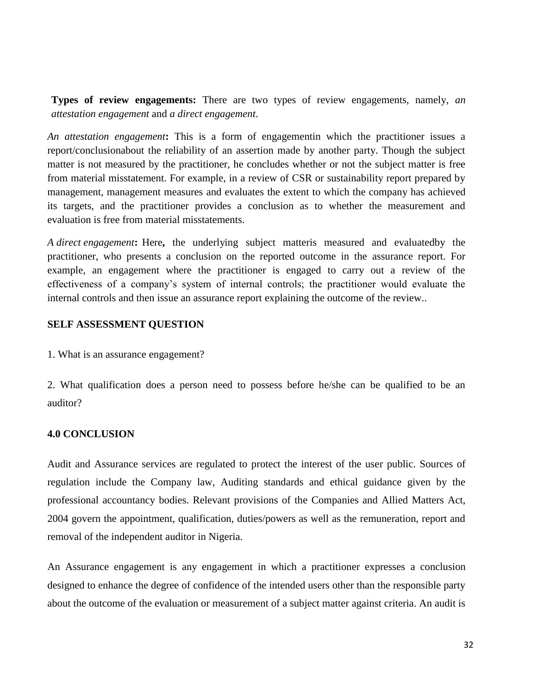**Types of review engagements:** There are two types of review engagements, namely, *an attestation engagement* and *a direct engagement*.

*An attestation engagement***:** This is a form of engagementin which the practitioner issues a report/conclusionabout the reliability of an assertion made by another party. Though the subject matter is not measured by the practitioner, he concludes whether or not the subject matter is free from material misstatement. For example, in a review of CSR or sustainability report prepared by management, management measures and evaluates the extent to which the company has achieved its targets, and the practitioner provides a conclusion as to whether the measurement and evaluation is free from material misstatements.

*A direct engagement***:** Here**,** the underlying subject matteris measured and evaluatedby the practitioner, who presents a conclusion on the reported outcome in the assurance report. For example, an engagement where the practitioner is engaged to carry out a review of the effectiveness of a company's system of internal controls; the practitioner would evaluate the internal controls and then issue an assurance report explaining the outcome of the review..

#### **SELF ASSESSMENT QUESTION**

1. What is an assurance engagement?

2. What qualification does a person need to possess before he/she can be qualified to be an auditor?

# **4.0 CONCLUSION**

Audit and Assurance services are regulated to protect the interest of the user public. Sources of regulation include the Company law, Auditing standards and ethical guidance given by the professional accountancy bodies. Relevant provisions of the Companies and Allied Matters Act, 2004 govern the appointment, qualification, duties/powers as well as the remuneration, report and removal of the independent auditor in Nigeria.

An Assurance engagement is any engagement in which a practitioner expresses a conclusion designed to enhance the degree of confidence of the intended users other than the responsible party about the outcome of the evaluation or measurement of a subject matter against criteria. An audit is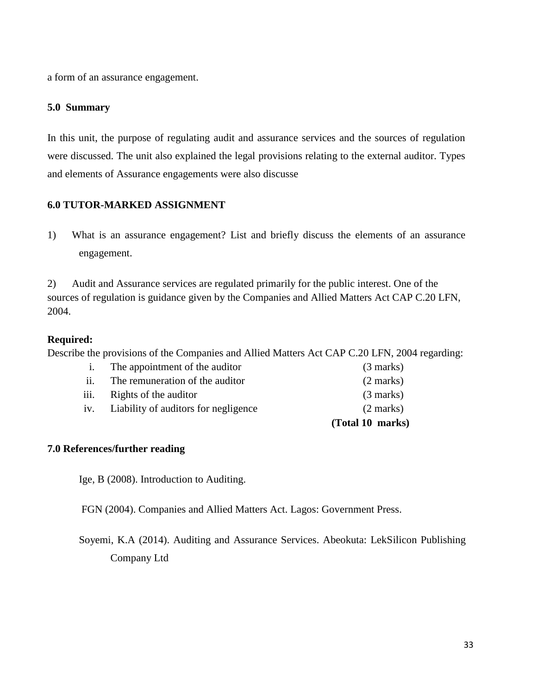a form of an assurance engagement.

# **5.0 Summary**

In this unit, the purpose of regulating audit and assurance services and the sources of regulation were discussed. The unit also explained the legal provisions relating to the external auditor. Types and elements of Assurance engagements were also discusse

# **6.0 TUTOR-MARKED ASSIGNMENT**

1) What is an assurance engagement? List and briefly discuss the elements of an assurance engagement.

2) Audit and Assurance services are regulated primarily for the public interest. One of the sources of regulation is guidance given by the Companies and Allied Matters Act CAP C.20 LFN, 2004.

# **Required:**

Describe the provisions of the Companies and Allied Matters Act CAP C.20 LFN, 2004 regarding:

|                   |                                      | (Total 10 marks)    |
|-------------------|--------------------------------------|---------------------|
| iv.               | Liability of auditors for negligence | $(2 \text{ marks})$ |
| iii.              | Rights of the auditor                | $(3$ marks)         |
| $\overline{11}$ . | The remuneration of the auditor      | $(2 \text{ marks})$ |
| $\mathbf{1}$ .    | The appointment of the auditor       | $(3$ marks)         |

# **7.0 References/further reading**

Ige, B (2008). Introduction to Auditing.

FGN (2004). Companies and Allied Matters Act. Lagos: Government Press.

Soyemi, K.A (2014). Auditing and Assurance Services. Abeokuta: LekSilicon Publishing Company Ltd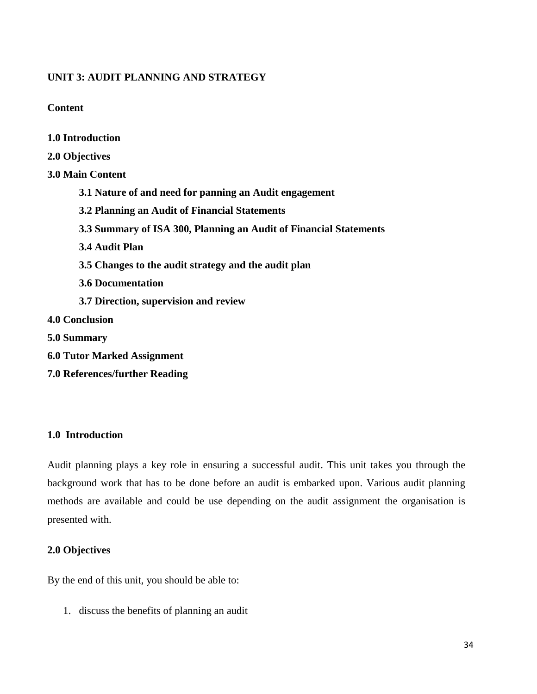# **UNIT 3: AUDIT PLANNING AND STRATEGY**

**Content**

**1.0 Introduction**

| 2.0 Objectives                                                    |
|-------------------------------------------------------------------|
| <b>3.0 Main Content</b>                                           |
| 3.1 Nature of and need for panning an Audit engagement            |
| 3.2 Planning an Audit of Financial Statements                     |
| 3.3 Summary of ISA 300, Planning an Audit of Financial Statements |
| 3.4 Audit Plan                                                    |
| 3.5 Changes to the audit strategy and the audit plan              |
| <b>3.6 Documentation</b>                                          |
| 3.7 Direction, supervision and review                             |
| <b>4.0 Conclusion</b>                                             |
| 5.0 Summary                                                       |
| <b>6.0 Tutor Marked Assignment</b>                                |

**7.0 References/further Reading**

# **1.0 Introduction**

Audit planning plays a key role in ensuring a successful audit. This unit takes you through the background work that has to be done before an audit is embarked upon. Various audit planning methods are available and could be use depending on the audit assignment the organisation is presented with.

# **2.0 Objectives**

By the end of this unit, you should be able to:

1. discuss the benefits of planning an audit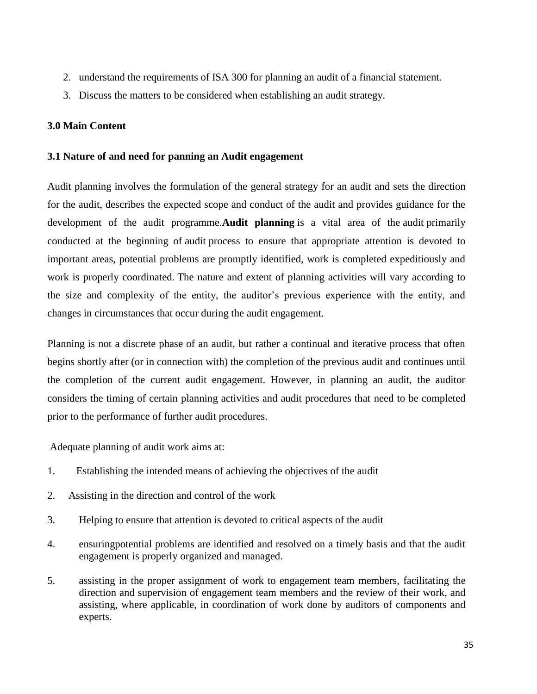- 2. understand the requirements of ISA 300 for planning an audit of a financial statement.
- 3. Discuss the matters to be considered when establishing an audit strategy.

# **3.0 Main Content**

## **3.1 Nature of and need for panning an Audit engagement**

Audit planning involves the formulation of the general strategy for an audit and sets the direction for the audit, describes the expected scope and conduct of the audit and provides guidance for the development of the audit programme.**Audit planning** is a vital area of the audit primarily conducted at the beginning of audit process to ensure that appropriate attention is devoted to important areas, potential problems are promptly identified, work is completed expeditiously and work is properly coordinated. The nature and extent of planning activities will vary according to the size and complexity of the entity, the auditor's previous experience with the entity, and changes in circumstances that occur during the audit engagement.

Planning is not a discrete phase of an audit, but rather a continual and iterative process that often begins shortly after (or in connection with) the completion of the previous audit and continues until the completion of the current audit engagement. However, in planning an audit, the auditor considers the timing of certain planning activities and audit procedures that need to be completed prior to the performance of further audit procedures.

Adequate planning of audit work aims at:

- 1. Establishing the intended means of achieving the objectives of the audit
- 2. Assisting in the direction and control of the work
- 3. Helping to ensure that attention is devoted to critical aspects of the audit
- 4. ensuringpotential problems are identified and resolved on a timely basis and that the audit engagement is properly organized and managed.
- 5. assisting in the proper assignment of work to engagement team members, facilitating the direction and supervision of engagement team members and the review of their work, and assisting, where applicable, in coordination of work done by auditors of components and experts.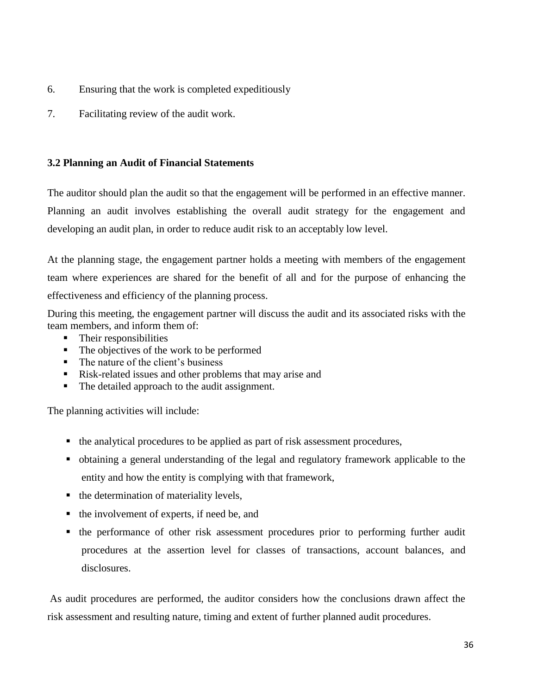- 6. Ensuring that the work is completed expeditiously
- 7. Facilitating review of the audit work.

# **3.2 Planning an Audit of Financial Statements**

The auditor should plan the audit so that the engagement will be performed in an effective manner. Planning an audit involves establishing the overall audit strategy for the engagement and developing an audit plan, in order to reduce audit risk to an acceptably low level.

At the planning stage, the engagement partner holds a meeting with members of the engagement team where experiences are shared for the benefit of all and for the purpose of enhancing the effectiveness and efficiency of the planning process.

During this meeting, the engagement partner will discuss the audit and its associated risks with the team members, and inform them of:

- Their responsibilities
- The objectives of the work to be performed
- The nature of the client's business
- Risk-related issues and other problems that may arise and
- The detailed approach to the audit assignment.

The planning activities will include:

- the analytical procedures to be applied as part of risk assessment procedures,
- obtaining a general understanding of the legal and regulatory framework applicable to the entity and how the entity is complying with that framework,
- $\blacksquare$  the determination of materiality levels,
- the involvement of experts, if need be, and
- the performance of other risk assessment procedures prior to performing further audit procedures at the assertion level for classes of transactions, account balances, and disclosures.

As audit procedures are performed, the auditor considers how the conclusions drawn affect the risk assessment and resulting nature, timing and extent of further planned audit procedures.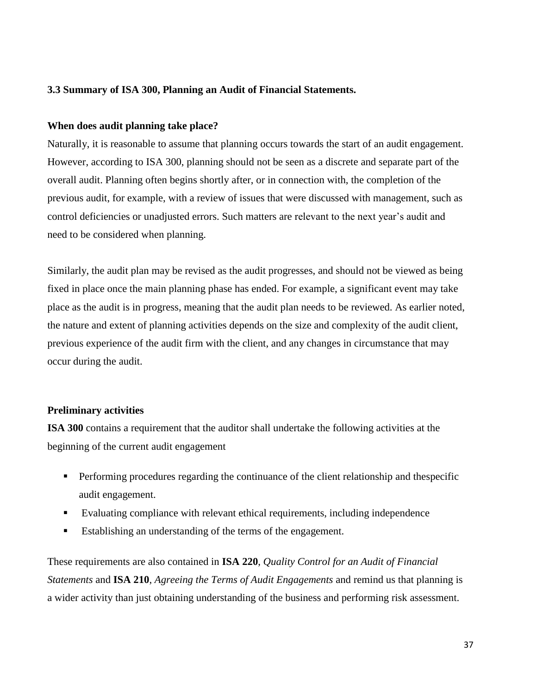# **3.3 Summary of ISA 300, Planning an Audit of Financial Statements.**

# **When does audit planning take place?**

Naturally, it is reasonable to assume that planning occurs towards the start of an audit engagement. However, according to ISA 300, planning should not be seen as a discrete and separate part of the overall audit. Planning often begins shortly after, or in connection with, the completion of the previous audit, for example, with a review of issues that were discussed with management, such as control deficiencies or unadjusted errors. Such matters are relevant to the next year's audit and need to be considered when planning.

Similarly, the audit plan may be revised as the audit progresses, and should not be viewed as being fixed in place once the main planning phase has ended. For example, a significant event may take place as the audit is in progress, meaning that the audit plan needs to be reviewed. As earlier noted, the nature and extent of planning activities depends on the size and complexity of the audit client, previous experience of the audit firm with the client, and any changes in circumstance that may occur during the audit.

#### **Preliminary activities**

**ISA 300** contains a requirement that the auditor shall undertake the following activities at the beginning of the current audit engagement

- **Performing procedures regarding the continuance of the client relationship and thespecific** audit engagement.
- Evaluating compliance with relevant ethical requirements, including independence
- Establishing an understanding of the terms of the engagement.

These requirements are also contained in **ISA 220**, *Quality Control for an Audit of Financial Statements* and **ISA 210**, *Agreeing the Terms of Audit Engagements* and remind us that planning is a wider activity than just obtaining understanding of the business and performing risk assessment.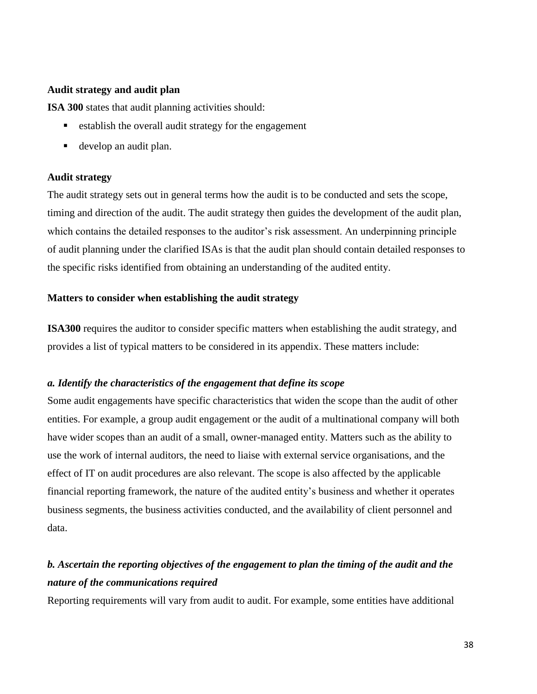# **Audit strategy and audit plan**

**ISA 300** states that audit planning activities should:

- $\blacksquare$  establish the overall audit strategy for the engagement
- develop an audit plan.

### **Audit strategy**

The audit strategy sets out in general terms how the audit is to be conducted and sets the scope, timing and direction of the audit. The audit strategy then guides the development of the audit plan, which contains the detailed responses to the auditor's risk assessment. An underpinning principle of audit planning under the clarified ISAs is that the audit plan should contain detailed responses to the specific risks identified from obtaining an understanding of the audited entity.

# **Matters to consider when establishing the audit strategy**

**ISA300** requires the auditor to consider specific matters when establishing the audit strategy, and provides a list of typical matters to be considered in its appendix. These matters include:

### *a. Identify the characteristics of the engagement that define its scope*

Some audit engagements have specific characteristics that widen the scope than the audit of other entities. For example, a group audit engagement or the audit of a multinational company will both have wider scopes than an audit of a small, owner-managed entity. Matters such as the ability to use the work of internal auditors, the need to liaise with external service organisations, and the effect of IT on audit procedures are also relevant. The scope is also affected by the applicable financial reporting framework, the nature of the audited entity's business and whether it operates business segments, the business activities conducted, and the availability of client personnel and data.

# *b. Ascertain the reporting objectives of the engagement to plan the timing of the audit and the nature of the communications required*

Reporting requirements will vary from audit to audit. For example, some entities have additional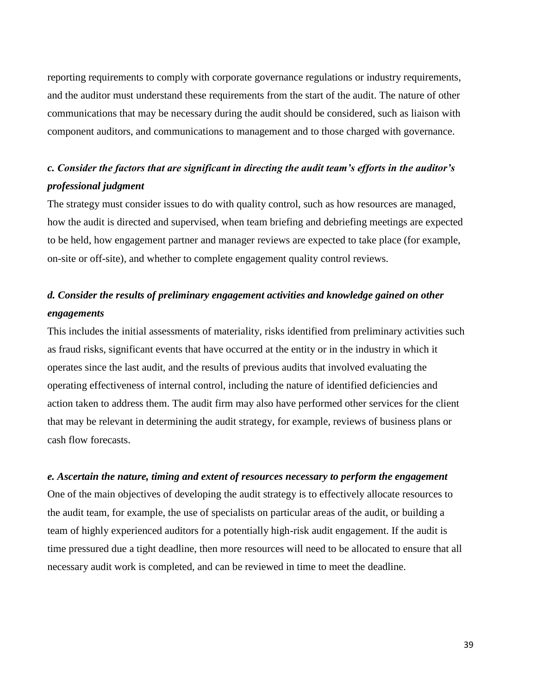reporting requirements to comply with corporate governance regulations or industry requirements, and the auditor must understand these requirements from the start of the audit. The nature of other communications that may be necessary during the audit should be considered, such as liaison with component auditors, and communications to management and to those charged with governance.

# *c. Consider the factors that are significant in directing the audit team's efforts in the auditor's professional judgment*

The strategy must consider issues to do with quality control, such as how resources are managed, how the audit is directed and supervised, when team briefing and debriefing meetings are expected to be held, how engagement partner and manager reviews are expected to take place (for example, on-site or off-site), and whether to complete engagement quality control reviews.

# *d. Consider the results of preliminary engagement activities and knowledge gained on other engagements*

This includes the initial assessments of materiality, risks identified from preliminary activities such as fraud risks, significant events that have occurred at the entity or in the industry in which it operates since the last audit, and the results of previous audits that involved evaluating the operating effectiveness of internal control, including the nature of identified deficiencies and action taken to address them. The audit firm may also have performed other services for the client that may be relevant in determining the audit strategy, for example, reviews of business plans or cash flow forecasts.

### *e. Ascertain the nature, timing and extent of resources necessary to perform the engagement*

One of the main objectives of developing the audit strategy is to effectively allocate resources to the audit team, for example, the use of specialists on particular areas of the audit, or building a team of highly experienced auditors for a potentially high-risk audit engagement. If the audit is time pressured due a tight deadline, then more resources will need to be allocated to ensure that all necessary audit work is completed, and can be reviewed in time to meet the deadline.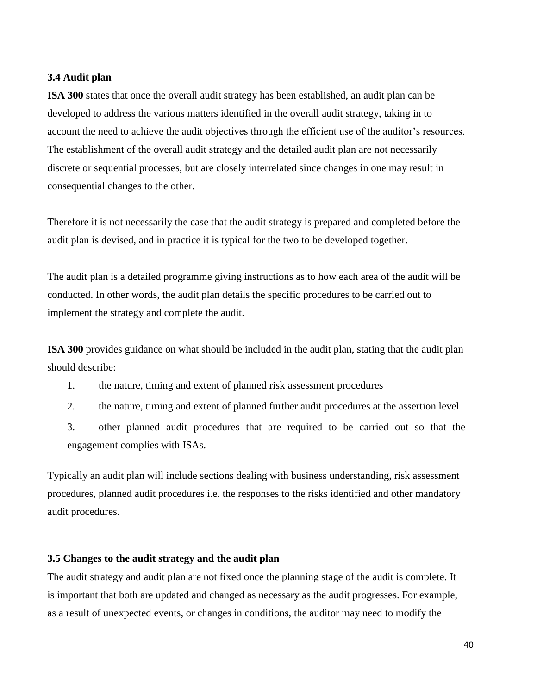### **3.4 Audit plan**

**ISA 300** states that once the overall audit strategy has been established, an audit plan can be developed to address the various matters identified in the overall audit strategy, taking in to account the need to achieve the audit objectives through the efficient use of the auditor's resources. The establishment of the overall audit strategy and the detailed audit plan are not necessarily discrete or sequential processes, but are closely interrelated since changes in one may result in consequential changes to the other.

Therefore it is not necessarily the case that the audit strategy is prepared and completed before the audit plan is devised, and in practice it is typical for the two to be developed together.

The audit plan is a detailed programme giving instructions as to how each area of the audit will be conducted. In other words, the audit plan details the specific procedures to be carried out to implement the strategy and complete the audit.

**ISA 300** provides guidance on what should be included in the audit plan, stating that the audit plan should describe:

- 1. the nature, timing and extent of planned risk assessment procedures
- 2. the nature, timing and extent of planned further audit procedures at the assertion level

3. other planned audit procedures that are required to be carried out so that the engagement complies with ISAs.

Typically an audit plan will include sections dealing with business understanding, risk assessment procedures, planned audit procedures i.e. the responses to the risks identified and other mandatory audit procedures.

# **3.5 Changes to the audit strategy and the audit plan**

The audit strategy and audit plan are not fixed once the planning stage of the audit is complete. It is important that both are updated and changed as necessary as the audit progresses. For example, as a result of unexpected events, or changes in conditions, the auditor may need to modify the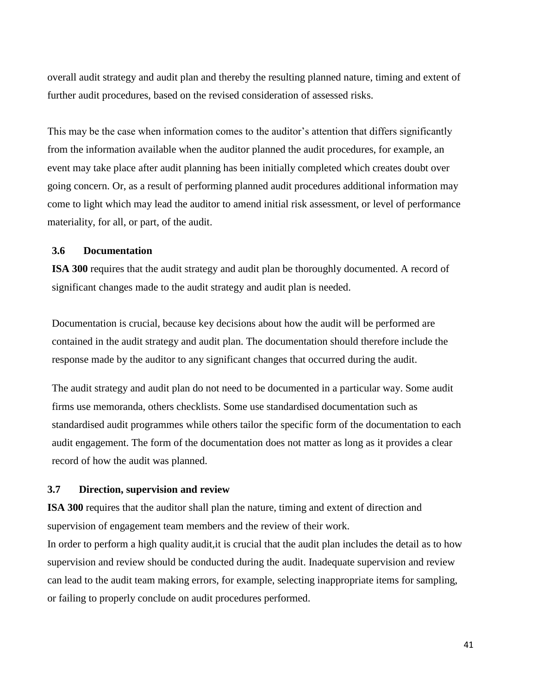overall audit strategy and audit plan and thereby the resulting planned nature, timing and extent of further audit procedures, based on the revised consideration of assessed risks.

This may be the case when information comes to the auditor's attention that differs significantly from the information available when the auditor planned the audit procedures, for example, an event may take place after audit planning has been initially completed which creates doubt over going concern. Or, as a result of performing planned audit procedures additional information may come to light which may lead the auditor to amend initial risk assessment, or level of performance materiality, for all, or part, of the audit.

# **3.6 Documentation**

**ISA 300** requires that the audit strategy and audit plan be thoroughly documented. A record of significant changes made to the audit strategy and audit plan is needed.

Documentation is crucial, because key decisions about how the audit will be performed are contained in the audit strategy and audit plan. The documentation should therefore include the response made by the auditor to any significant changes that occurred during the audit.

The audit strategy and audit plan do not need to be documented in a particular way. Some audit firms use memoranda, others checklists. Some use standardised documentation such as standardised audit programmes while others tailor the specific form of the documentation to each audit engagement. The form of the documentation does not matter as long as it provides a clear record of how the audit was planned.

# **3.7 Direction, supervision and review**

**ISA 300** requires that the auditor shall plan the nature, timing and extent of direction and supervision of engagement team members and the review of their work.

In order to perform a high quality audit,it is crucial that the audit plan includes the detail as to how supervision and review should be conducted during the audit. Inadequate supervision and review can lead to the audit team making errors, for example, selecting inappropriate items for sampling, or failing to properly conclude on audit procedures performed.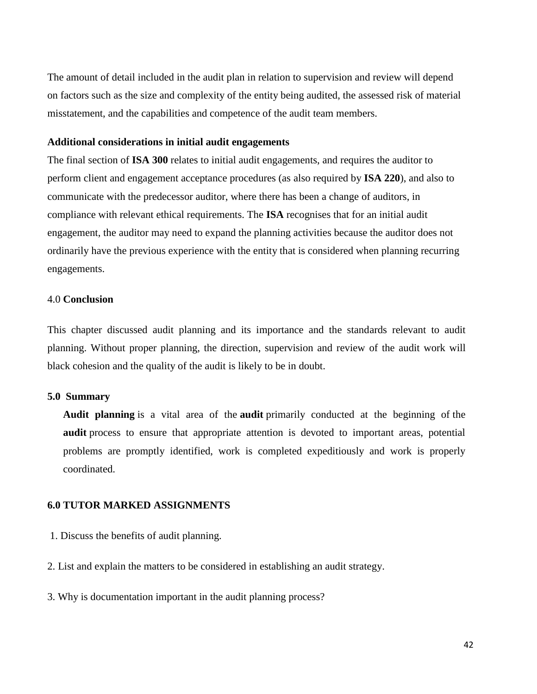The amount of detail included in the audit plan in relation to supervision and review will depend on factors such as the size and complexity of the entity being audited, the assessed risk of material misstatement, and the capabilities and competence of the audit team members.

### **Additional considerations in initial audit engagements**

The final section of **ISA 300** relates to initial audit engagements, and requires the auditor to perform client and engagement acceptance procedures (as also required by **ISA 220**), and also to communicate with the predecessor auditor, where there has been a change of auditors, in compliance with relevant ethical requirements. The **ISA** recognises that for an initial audit engagement, the auditor may need to expand the planning activities because the auditor does not ordinarily have the previous experience with the entity that is considered when planning recurring engagements.

# 4.0 **Conclusion**

This chapter discussed audit planning and its importance and the standards relevant to audit planning. Without proper planning, the direction, supervision and review of the audit work will black cohesion and the quality of the audit is likely to be in doubt.

### **5.0 Summary**

**Audit planning** is a vital area of the **audit** primarily conducted at the beginning of the **audit** process to ensure that appropriate attention is devoted to important areas, potential problems are promptly identified, work is completed expeditiously and work is properly coordinated.

### **6.0 TUTOR MARKED ASSIGNMENTS**

- 1. Discuss the benefits of audit planning.
- 2. List and explain the matters to be considered in establishing an audit strategy.
- 3. Why is documentation important in the audit planning process?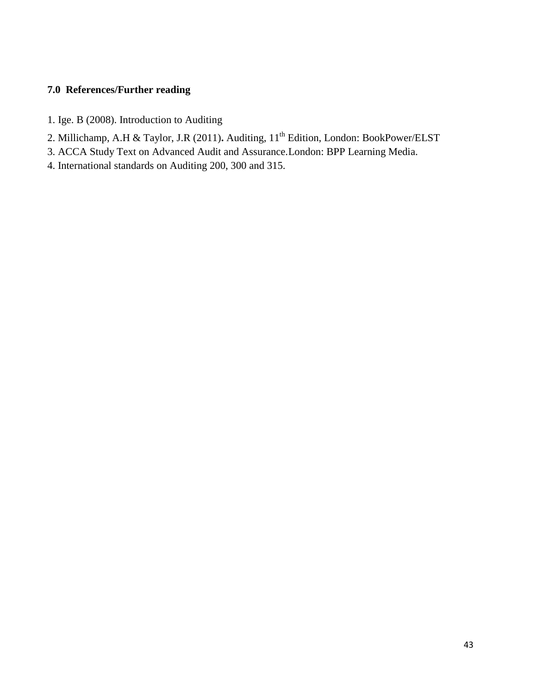# **7.0 References/Further reading**

- 1. Ige. B (2008). Introduction to Auditing
- 2. Millichamp, A.H & Taylor, J.R (2011). Auditing, 11<sup>th</sup> Edition, London: BookPower/ELST
- 3. ACCA Study Text on Advanced Audit and Assurance.London: BPP Learning Media.
- 4. International standards on Auditing 200, 300 and 315.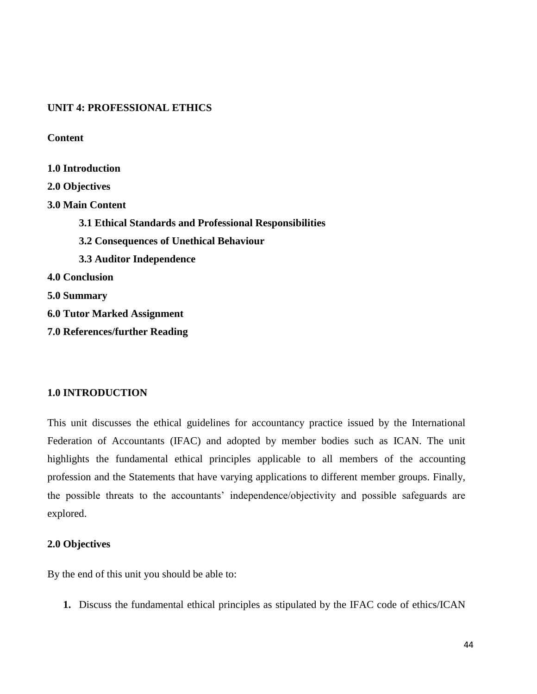# **UNIT 4: PROFESSIONAL ETHICS**

**Content**

**1.0 Introduction 2.0 Objectives 3.0 Main Content 3.1 Ethical Standards and Professional Responsibilities 3.2 Consequences of Unethical Behaviour 3.3 Auditor Independence 4.0 Conclusion 5.0 Summary 6.0 Tutor Marked Assignment 7.0 References/further Reading**

# **1.0 INTRODUCTION**

This unit discusses the ethical guidelines for accountancy practice issued by the International Federation of Accountants (IFAC) and adopted by member bodies such as ICAN. The unit highlights the fundamental ethical principles applicable to all members of the accounting profession and the Statements that have varying applications to different member groups. Finally, the possible threats to the accountants' independence/objectivity and possible safeguards are explored.

## **2.0 Objectives**

By the end of this unit you should be able to:

**1.** Discuss the fundamental ethical principles as stipulated by the IFAC code of ethics/ICAN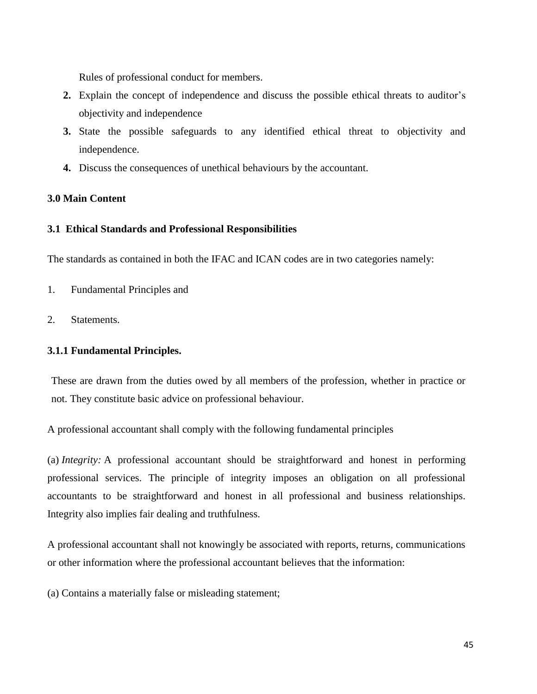Rules of professional conduct for members.

- **2.** Explain the concept of independence and discuss the possible ethical threats to auditor's objectivity and independence
- **3.** State the possible safeguards to any identified ethical threat to objectivity and independence.
- **4.** Discuss the consequences of unethical behaviours by the accountant.

# **3.0 Main Content**

### **3.1 Ethical Standards and Professional Responsibilities**

The standards as contained in both the IFAC and ICAN codes are in two categories namely:

- 1. Fundamental Principles and
- 2. Statements.

### **3.1.1 Fundamental Principles.**

These are drawn from the duties owed by all members of the profession, whether in practice or not. They constitute basic advice on professional behaviour.

A professional accountant shall comply with the following fundamental principles

(a) *Integrity:* A professional accountant should be straightforward and honest in performing professional services. The principle of integrity imposes an obligation on all professional accountants to be straightforward and honest in all professional and business relationships. Integrity also implies fair dealing and truthfulness.

A professional accountant shall not knowingly be associated with reports, returns, communications or other information where the professional accountant believes that the information:

(a) Contains a materially false or misleading statement;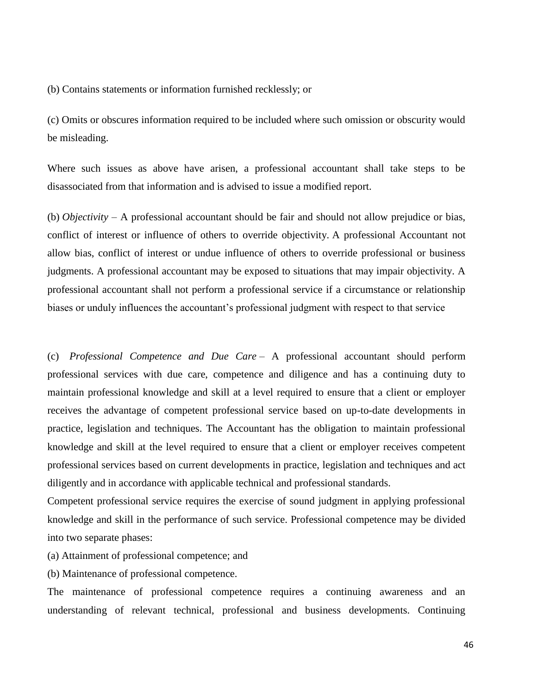(b) Contains statements or information furnished recklessly; or

(c) Omits or obscures information required to be included where such omission or obscurity would be misleading.

Where such issues as above have arisen, a professional accountant shall take steps to be disassociated from that information and is advised to issue a modified report.

(b) *Objectivity –* A professional accountant should be fair and should not allow prejudice or bias, conflict of interest or influence of others to override objectivity. A professional Accountant not allow bias, conflict of interest or undue influence of others to override professional or business judgments. A professional accountant may be exposed to situations that may impair objectivity. A professional accountant shall not perform a professional service if a circumstance or relationship biases or unduly influences the accountant's professional judgment with respect to that service

(c) *Professional Competence and Due Care* – A professional accountant should perform professional services with due care, competence and diligence and has a continuing duty to maintain professional knowledge and skill at a level required to ensure that a client or employer receives the advantage of competent professional service based on up-to-date developments in practice, legislation and techniques. The Accountant has the obligation to maintain professional knowledge and skill at the level required to ensure that a client or employer receives competent professional services based on current developments in practice, legislation and techniques and act diligently and in accordance with applicable technical and professional standards.

Competent professional service requires the exercise of sound judgment in applying professional knowledge and skill in the performance of such service. Professional competence may be divided into two separate phases:

(a) Attainment of professional competence; and

(b) Maintenance of professional competence.

The maintenance of professional competence requires a continuing awareness and an understanding of relevant technical, professional and business developments. Continuing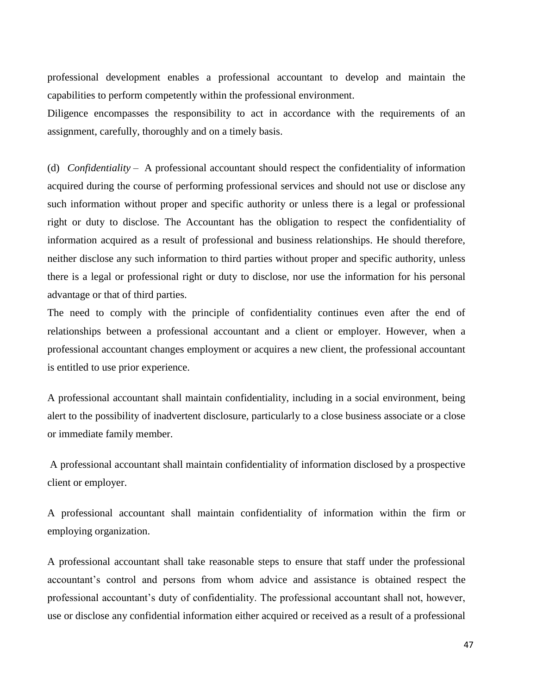professional development enables a professional accountant to develop and maintain the capabilities to perform competently within the professional environment.

Diligence encompasses the responsibility to act in accordance with the requirements of an assignment, carefully, thoroughly and on a timely basis.

(d) *Confidentiality* – A professional accountant should respect the confidentiality of information acquired during the course of performing professional services and should not use or disclose any such information without proper and specific authority or unless there is a legal or professional right or duty to disclose. The Accountant has the obligation to respect the confidentiality of information acquired as a result of professional and business relationships. He should therefore, neither disclose any such information to third parties without proper and specific authority, unless there is a legal or professional right or duty to disclose, nor use the information for his personal advantage or that of third parties.

The need to comply with the principle of confidentiality continues even after the end of relationships between a professional accountant and a client or employer. However, when a professional accountant changes employment or acquires a new client, the professional accountant is entitled to use prior experience.

A professional accountant shall maintain confidentiality, including in a social environment, being alert to the possibility of inadvertent disclosure, particularly to a close business associate or a close or immediate family member.

A professional accountant shall maintain confidentiality of information disclosed by a prospective client or employer.

A professional accountant shall maintain confidentiality of information within the firm or employing organization.

A professional accountant shall take reasonable steps to ensure that staff under the professional accountant's control and persons from whom advice and assistance is obtained respect the professional accountant's duty of confidentiality. The professional accountant shall not, however, use or disclose any confidential information either acquired or received as a result of a professional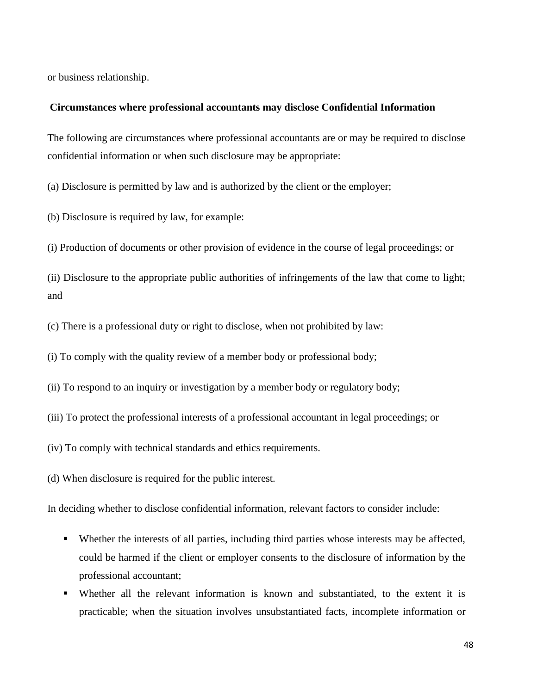or business relationship.

#### **Circumstances where professional accountants may disclose Confidential Information**

The following are circumstances where professional accountants are or may be required to disclose confidential information or when such disclosure may be appropriate:

(a) Disclosure is permitted by law and is authorized by the client or the employer;

(b) Disclosure is required by law, for example:

(i) Production of documents or other provision of evidence in the course of legal proceedings; or

(ii) Disclosure to the appropriate public authorities of infringements of the law that come to light; and

(c) There is a professional duty or right to disclose, when not prohibited by law:

(i) To comply with the quality review of a member body or professional body;

(ii) To respond to an inquiry or investigation by a member body or regulatory body;

(iii) To protect the professional interests of a professional accountant in legal proceedings; or

(iv) To comply with technical standards and ethics requirements.

(d) When disclosure is required for the public interest.

In deciding whether to disclose confidential information, relevant factors to consider include:

- Whether the interests of all parties, including third parties whose interests may be affected, could be harmed if the client or employer consents to the disclosure of information by the professional accountant;
- Whether all the relevant information is known and substantiated, to the extent it is practicable; when the situation involves unsubstantiated facts, incomplete information or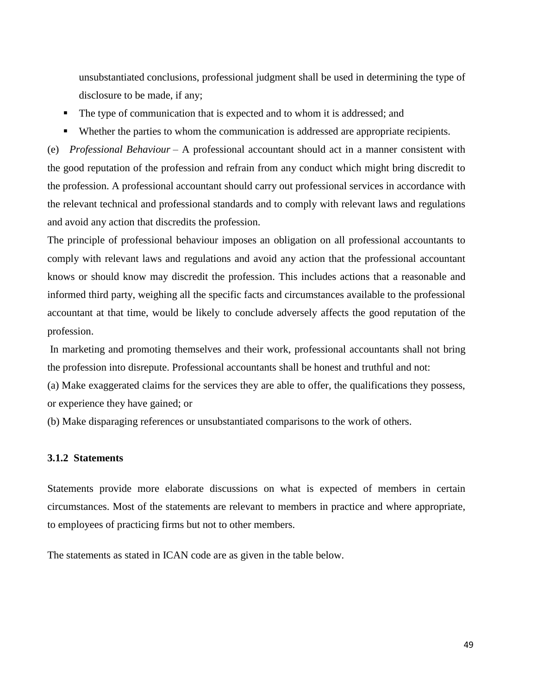unsubstantiated conclusions, professional judgment shall be used in determining the type of disclosure to be made, if any;

- The type of communication that is expected and to whom it is addressed; and
- Whether the parties to whom the communication is addressed are appropriate recipients.

(e) *Professional Behaviour* – A professional accountant should act in a manner consistent with the good reputation of the profession and refrain from any conduct which might bring discredit to the profession. A professional accountant should carry out professional services in accordance with the relevant technical and professional standards and to comply with relevant laws and regulations and avoid any action that discredits the profession.

The principle of professional behaviour imposes an obligation on all professional accountants to comply with relevant laws and regulations and avoid any action that the professional accountant knows or should know may discredit the profession. This includes actions that a reasonable and informed third party, weighing all the specific facts and circumstances available to the professional accountant at that time, would be likely to conclude adversely affects the good reputation of the profession.

In marketing and promoting themselves and their work, professional accountants shall not bring the profession into disrepute. Professional accountants shall be honest and truthful and not:

(a) Make exaggerated claims for the services they are able to offer, the qualifications they possess, or experience they have gained; or

(b) Make disparaging references or unsubstantiated comparisons to the work of others.

## **3.1.2 Statements**

Statements provide more elaborate discussions on what is expected of members in certain circumstances. Most of the statements are relevant to members in practice and where appropriate, to employees of practicing firms but not to other members.

The statements as stated in ICAN code are as given in the table below.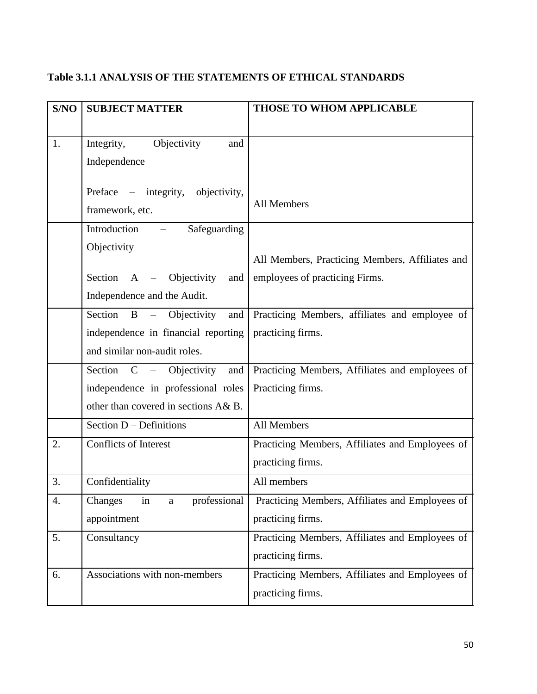# **Table 3.1.1 ANALYSIS OF THE STATEMENTS OF ETHICAL STANDARDS**

| S/NO | <b>SUBJECT MATTER</b>                | <b>THOSE TO WHOM APPLICABLE</b>                 |
|------|--------------------------------------|-------------------------------------------------|
|      |                                      |                                                 |
| 1.   | Objectivity<br>Integrity,<br>and     |                                                 |
|      | Independence                         |                                                 |
|      |                                      |                                                 |
|      | Preface – integrity, objectivity,    | All Members                                     |
|      | framework, etc.                      |                                                 |
|      | Introduction<br>Safeguarding         |                                                 |
|      | Objectivity                          | All Members, Practicing Members, Affiliates and |
|      | Section<br>A – Objectivity<br>and    | employees of practicing Firms.                  |
|      | Independence and the Audit.          |                                                 |
|      |                                      |                                                 |
|      | Section B -<br>Objectivity<br>and    | Practicing Members, affiliates and employee of  |
|      | independence in financial reporting  | practicing firms.                               |
|      | and similar non-audit roles.         |                                                 |
|      | Section C – Objectivity<br>and       | Practicing Members, Affiliates and employees of |
|      | independence in professional roles   | Practicing firms.                               |
|      | other than covered in sections A& B. |                                                 |
|      | Section D - Definitions              | All Members                                     |
| 2.   | <b>Conflicts of Interest</b>         | Practicing Members, Affiliates and Employees of |
|      |                                      | practicing firms.                               |
| 3.   | Confidentiality                      | All members                                     |
| 4.   | in<br>Changes<br>professional<br>a   | Practicing Members, Affiliates and Employees of |
|      | appointment                          | practicing firms.                               |
| 5.   | Consultancy                          | Practicing Members, Affiliates and Employees of |
|      |                                      | practicing firms.                               |
| 6.   | Associations with non-members        | Practicing Members, Affiliates and Employees of |
|      |                                      | practicing firms.                               |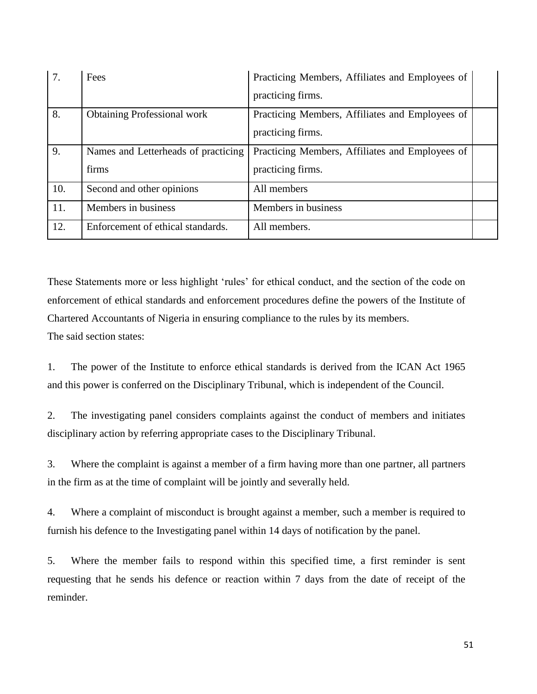| 7.  | Fees                                | Practicing Members, Affiliates and Employees of |  |
|-----|-------------------------------------|-------------------------------------------------|--|
|     |                                     | practicing firms.                               |  |
| 8.  | <b>Obtaining Professional work</b>  | Practicing Members, Affiliates and Employees of |  |
|     |                                     | practicing firms.                               |  |
| 9.  | Names and Letterheads of practicing | Practicing Members, Affiliates and Employees of |  |
|     | firms                               | practicing firms.                               |  |
| 10. | Second and other opinions           | All members                                     |  |
| 11. | Members in business                 | Members in business                             |  |
| 12. | Enforcement of ethical standards.   | All members.                                    |  |

These Statements more or less highlight 'rules' for ethical conduct, and the section of the code on enforcement of ethical standards and enforcement procedures define the powers of the Institute of Chartered Accountants of Nigeria in ensuring compliance to the rules by its members. The said section states:

1. The power of the Institute to enforce ethical standards is derived from the ICAN Act 1965 and this power is conferred on the Disciplinary Tribunal, which is independent of the Council.

2. The investigating panel considers complaints against the conduct of members and initiates disciplinary action by referring appropriate cases to the Disciplinary Tribunal.

3. Where the complaint is against a member of a firm having more than one partner, all partners in the firm as at the time of complaint will be jointly and severally held.

4. Where a complaint of misconduct is brought against a member, such a member is required to furnish his defence to the Investigating panel within 14 days of notification by the panel.

5. Where the member fails to respond within this specified time, a first reminder is sent requesting that he sends his defence or reaction within 7 days from the date of receipt of the reminder.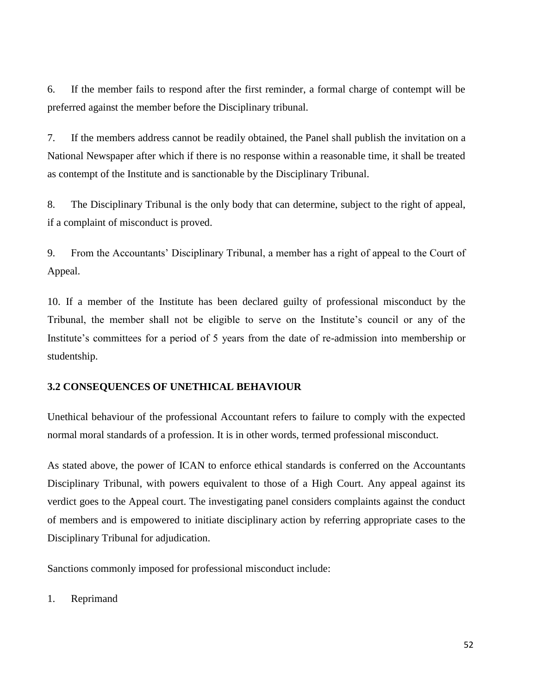6. If the member fails to respond after the first reminder, a formal charge of contempt will be preferred against the member before the Disciplinary tribunal.

7. If the members address cannot be readily obtained, the Panel shall publish the invitation on a National Newspaper after which if there is no response within a reasonable time, it shall be treated as contempt of the Institute and is sanctionable by the Disciplinary Tribunal.

8. The Disciplinary Tribunal is the only body that can determine, subject to the right of appeal, if a complaint of misconduct is proved.

9. From the Accountants' Disciplinary Tribunal, a member has a right of appeal to the Court of Appeal.

10. If a member of the Institute has been declared guilty of professional misconduct by the Tribunal, the member shall not be eligible to serve on the Institute's council or any of the Institute's committees for a period of 5 years from the date of re-admission into membership or studentship.

# **3.2 CONSEQUENCES OF UNETHICAL BEHAVIOUR**

Unethical behaviour of the professional Accountant refers to failure to comply with the expected normal moral standards of a profession. It is in other words, termed professional misconduct.

As stated above, the power of ICAN to enforce ethical standards is conferred on the Accountants Disciplinary Tribunal, with powers equivalent to those of a High Court. Any appeal against its verdict goes to the Appeal court. The investigating panel considers complaints against the conduct of members and is empowered to initiate disciplinary action by referring appropriate cases to the Disciplinary Tribunal for adjudication.

Sanctions commonly imposed for professional misconduct include:

1. Reprimand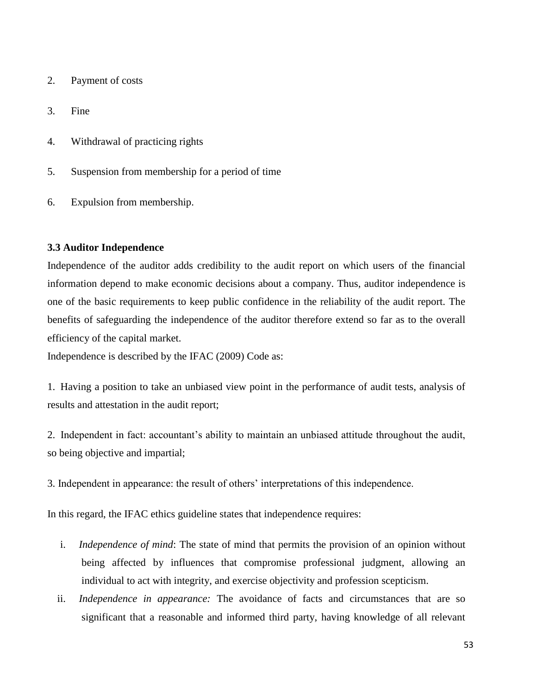- 2. Payment of costs
- 3. Fine
- 4. Withdrawal of practicing rights
- 5. Suspension from membership for a period of time
- 6. Expulsion from membership.

# **3.3 Auditor Independence**

Independence of the auditor adds credibility to the audit report on which users of the financial information depend to make economic decisions about a company. Thus, auditor independence is one of the basic requirements to keep public confidence in the reliability of the audit report. The benefits of safeguarding the independence of the auditor therefore extend so far as to the overall efficiency of the capital market.

Independence is described by the IFAC (2009) Code as:

1. Having a position to take an unbiased view point in the performance of audit tests, analysis of results and attestation in the audit report;

2. Independent in fact: accountant's ability to maintain an unbiased attitude throughout the audit, so being objective and impartial;

3. Independent in appearance: the result of others' interpretations of this independence.

In this regard, the IFAC ethics guideline states that independence requires:

- i. *Independence of mind*: The state of mind that permits the provision of an opinion without being affected by influences that compromise professional judgment, allowing an individual to act with integrity, and exercise objectivity and profession scepticism.
- ii. *Independence in appearance:* The avoidance of facts and circumstances that are so significant that a reasonable and informed third party, having knowledge of all relevant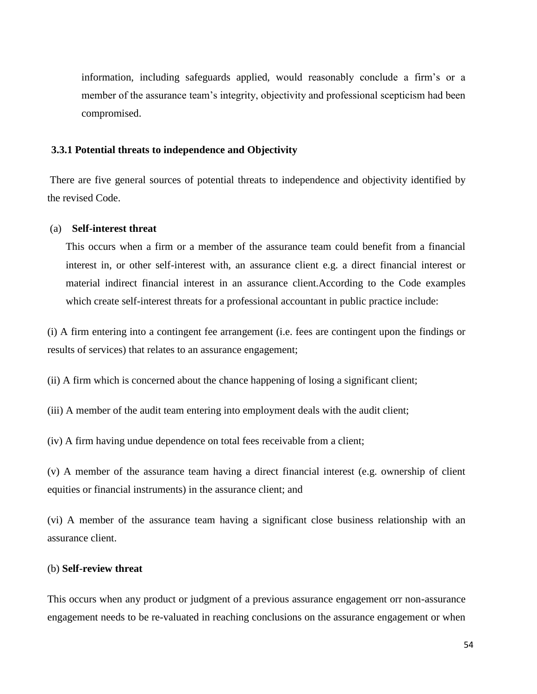information, including safeguards applied, would reasonably conclude a firm's or a member of the assurance team's integrity, objectivity and professional scepticism had been compromised.

### **3.3.1 Potential threats to independence and Objectivity**

There are five general sources of potential threats to independence and objectivity identified by the revised Code.

### (a) **Self-interest threat**

This occurs when a firm or a member of the assurance team could benefit from a financial interest in, or other self-interest with, an assurance client e.g. a direct financial interest or material indirect financial interest in an assurance client.According to the Code examples which create self-interest threats for a professional accountant in public practice include:

(i) A firm entering into a contingent fee arrangement (i.e. fees are contingent upon the findings or results of services) that relates to an assurance engagement;

(ii) A firm which is concerned about the chance happening of losing a significant client;

(iii) A member of the audit team entering into employment deals with the audit client;

(iv) A firm having undue dependence on total fees receivable from a client;

(v) A member of the assurance team having a direct financial interest (e.g. ownership of client equities or financial instruments) in the assurance client; and

(vi) A member of the assurance team having a significant close business relationship with an assurance client.

### (b) **Self-review threat**

This occurs when any product or judgment of a previous assurance engagement orr non-assurance engagement needs to be re-valuated in reaching conclusions on the assurance engagement or when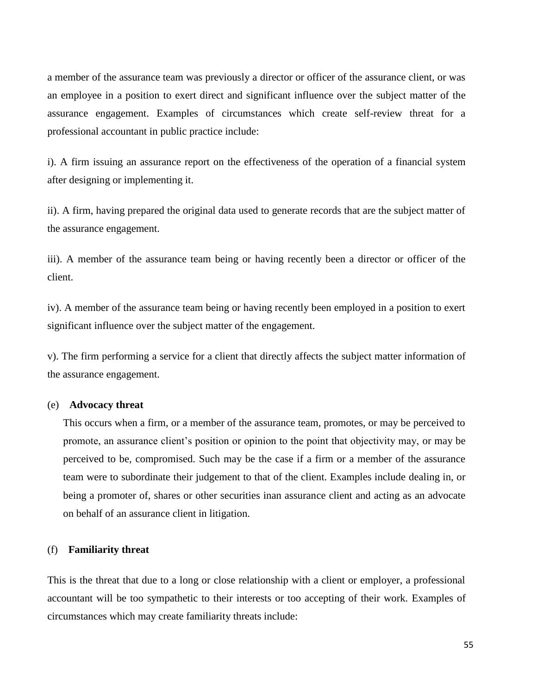a member of the assurance team was previously a director or officer of the assurance client, or was an employee in a position to exert direct and significant influence over the subject matter of the assurance engagement. Examples of circumstances which create self-review threat for a professional accountant in public practice include:

i). A firm issuing an assurance report on the effectiveness of the operation of a financial system after designing or implementing it.

ii). A firm, having prepared the original data used to generate records that are the subject matter of the assurance engagement.

iii). A member of the assurance team being or having recently been a director or officer of the client.

iv). A member of the assurance team being or having recently been employed in a position to exert significant influence over the subject matter of the engagement.

v). The firm performing a service for a client that directly affects the subject matter information of the assurance engagement.

### (e) **Advocacy threat**

This occurs when a firm, or a member of the assurance team, promotes, or may be perceived to promote, an assurance client's position or opinion to the point that objectivity may, or may be perceived to be, compromised. Such may be the case if a firm or a member of the assurance team were to subordinate their judgement to that of the client. Examples include dealing in, or being a promoter of, shares or other securities inan assurance client and acting as an advocate on behalf of an assurance client in litigation.

### (f) **Familiarity threat**

This is the threat that due to a long or close relationship with a client or employer, a professional accountant will be too sympathetic to their interests or too accepting of their work. Examples of circumstances which may create familiarity threats include: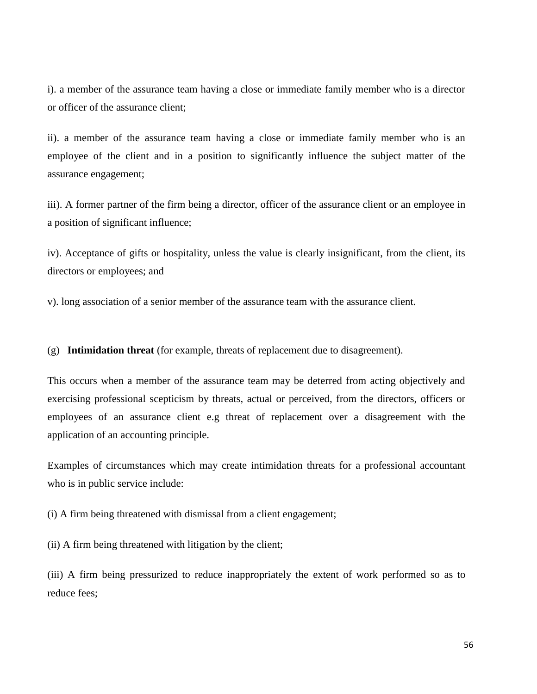i). a member of the assurance team having a close or immediate family member who is a director or officer of the assurance client;

ii). a member of the assurance team having a close or immediate family member who is an employee of the client and in a position to significantly influence the subject matter of the assurance engagement;

iii). A former partner of the firm being a director, officer of the assurance client or an employee in a position of significant influence;

iv). Acceptance of gifts or hospitality, unless the value is clearly insignificant, from the client, its directors or employees; and

v). long association of a senior member of the assurance team with the assurance client.

(g) **Intimidation threat** (for example, threats of replacement due to disagreement).

This occurs when a member of the assurance team may be deterred from acting objectively and exercising professional scepticism by threats, actual or perceived, from the directors, officers or employees of an assurance client e.g threat of replacement over a disagreement with the application of an accounting principle.

Examples of circumstances which may create intimidation threats for a professional accountant who is in public service include:

(i) A firm being threatened with dismissal from a client engagement;

(ii) A firm being threatened with litigation by the client;

(iii) A firm being pressurized to reduce inappropriately the extent of work performed so as to reduce fees;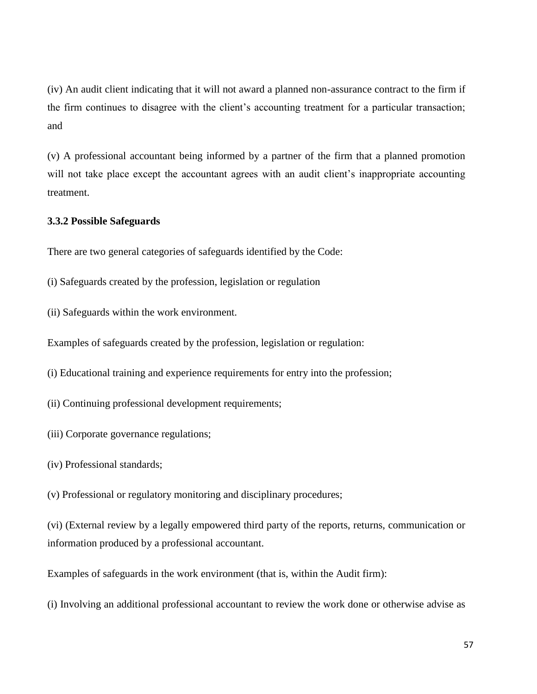(iv) An audit client indicating that it will not award a planned non-assurance contract to the firm if the firm continues to disagree with the client's accounting treatment for a particular transaction; and

(v) A professional accountant being informed by a partner of the firm that a planned promotion will not take place except the accountant agrees with an audit client's inappropriate accounting treatment.

# **3.3.2 Possible Safeguards**

There are two general categories of safeguards identified by the Code:

- (i) Safeguards created by the profession, legislation or regulation
- (ii) Safeguards within the work environment.

Examples of safeguards created by the profession, legislation or regulation:

- (i) Educational training and experience requirements for entry into the profession;
- (ii) Continuing professional development requirements;
- (iii) Corporate governance regulations;
- (iv) Professional standards;

(v) Professional or regulatory monitoring and disciplinary procedures;

(vi) (External review by a legally empowered third party of the reports, returns, communication or information produced by a professional accountant.

Examples of safeguards in the work environment (that is, within the Audit firm):

(i) Involving an additional professional accountant to review the work done or otherwise advise as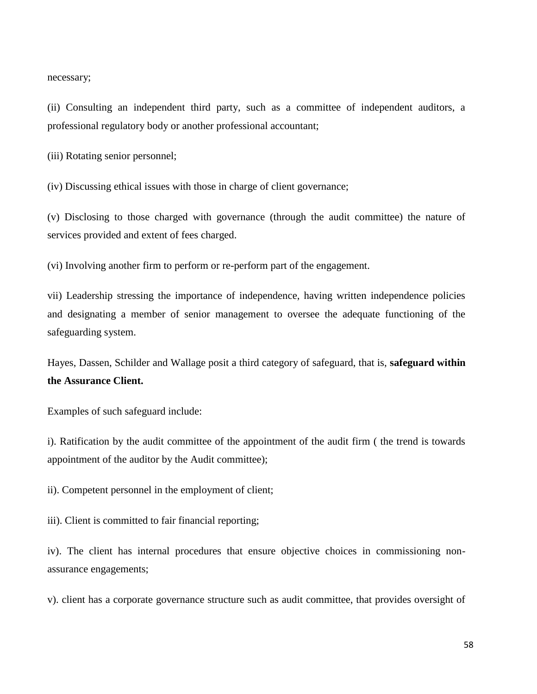necessary;

(ii) Consulting an independent third party, such as a committee of independent auditors, a professional regulatory body or another professional accountant;

(iii) Rotating senior personnel;

(iv) Discussing ethical issues with those in charge of client governance;

(v) Disclosing to those charged with governance (through the audit committee) the nature of services provided and extent of fees charged.

(vi) Involving another firm to perform or re-perform part of the engagement.

vii) Leadership stressing the importance of independence, having written independence policies and designating a member of senior management to oversee the adequate functioning of the safeguarding system.

Hayes, Dassen, Schilder and Wallage posit a third category of safeguard, that is, **safeguard within the Assurance Client.**

Examples of such safeguard include:

i). Ratification by the audit committee of the appointment of the audit firm ( the trend is towards appointment of the auditor by the Audit committee);

ii). Competent personnel in the employment of client;

iii). Client is committed to fair financial reporting;

iv). The client has internal procedures that ensure objective choices in commissioning nonassurance engagements;

v). client has a corporate governance structure such as audit committee, that provides oversight of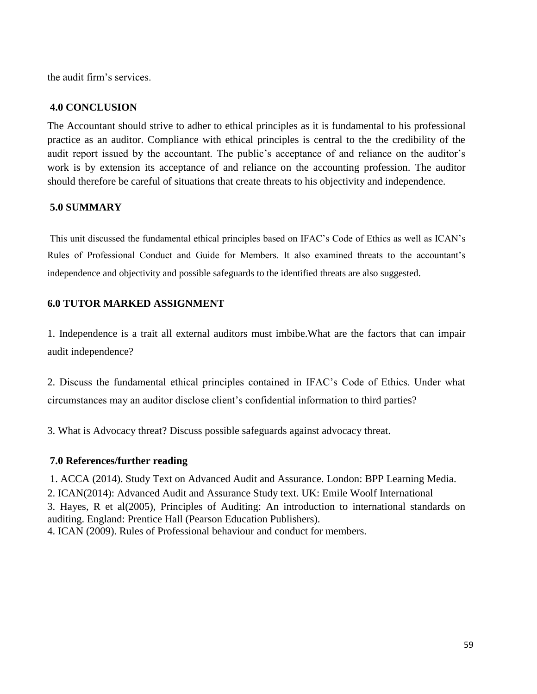the audit firm's services.

# **4.0 CONCLUSION**

The Accountant should strive to adher to ethical principles as it is fundamental to his professional practice as an auditor. Compliance with ethical principles is central to the the credibility of the audit report issued by the accountant. The public's acceptance of and reliance on the auditor's work is by extension its acceptance of and reliance on the accounting profession. The auditor should therefore be careful of situations that create threats to his objectivity and independence.

# **5.0 SUMMARY**

This unit discussed the fundamental ethical principles based on IFAC's Code of Ethics as well as ICAN's Rules of Professional Conduct and Guide for Members. It also examined threats to the accountant's independence and objectivity and possible safeguards to the identified threats are also suggested.

# **6.0 TUTOR MARKED ASSIGNMENT**

1. Independence is a trait all external auditors must imbibe.What are the factors that can impair audit independence?

2. Discuss the fundamental ethical principles contained in IFAC's Code of Ethics. Under what circumstances may an auditor disclose client's confidential information to third parties?

3. What is Advocacy threat? Discuss possible safeguards against advocacy threat.

# **7.0 References/further reading**

1. ACCA (2014). Study Text on Advanced Audit and Assurance. London: BPP Learning Media. 2. ICAN(2014): Advanced Audit and Assurance Study text. UK: Emile Woolf International 3. Hayes, R et al(2005), Principles of Auditing: An introduction to international standards on auditing. England: Prentice Hall (Pearson Education Publishers). 4. ICAN (2009). Rules of Professional behaviour and conduct for members.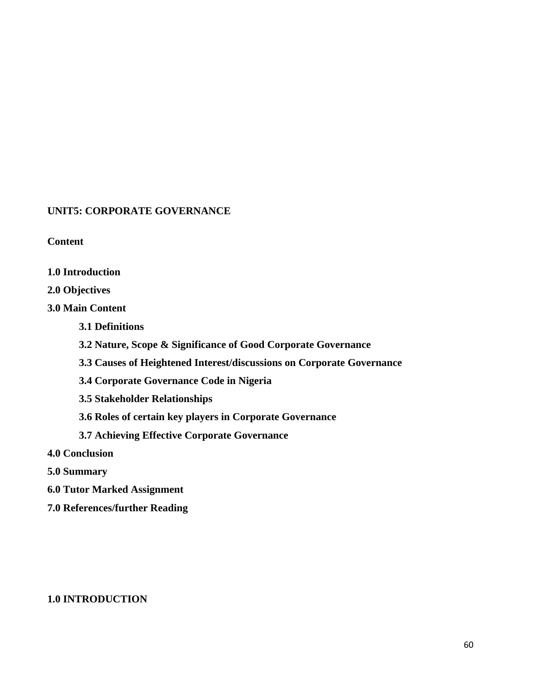# **UNIT5: CORPORATE GOVERNANCE**

# **Content**

**1.0 Introduction**

# **2.0 Objectives**

# **3.0 Main Content**

- **3.1 Definitions**
- **3.2 Nature, Scope & Significance of Good Corporate Governance**
- **3.3 Causes of Heightened Interest/discussions on Corporate Governance**
- **3.4 Corporate Governance Code in Nigeria**
- **3.5 Stakeholder Relationships**
- **3.6 Roles of certain key players in Corporate Governance**
- **3.7 Achieving Effective Corporate Governance**
- **4.0 Conclusion**
- **5.0 Summary**
- **6.0 Tutor Marked Assignment**
- **7.0 References/further Reading**

# **1.0 INTRODUCTION**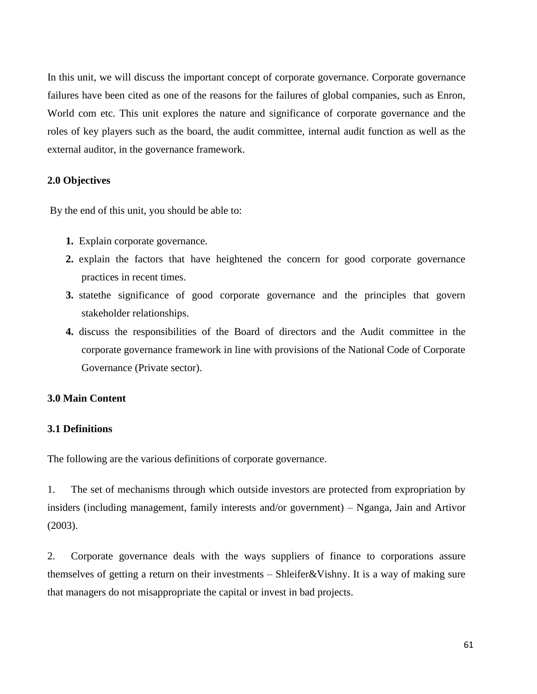In this unit, we will discuss the important concept of corporate governance. Corporate governance failures have been cited as one of the reasons for the failures of global companies, such as Enron, World com etc. This unit explores the nature and significance of corporate governance and the roles of key players such as the board, the audit committee, internal audit function as well as the external auditor, in the governance framework.

# **2.0 Objectives**

By the end of this unit, you should be able to:

- **1.** Explain corporate governance.
- **2.** explain the factors that have heightened the concern for good corporate governance practices in recent times.
- **3.** statethe significance of good corporate governance and the principles that govern stakeholder relationships.
- **4.** discuss the responsibilities of the Board of directors and the Audit committee in the corporate governance framework in line with provisions of the National Code of Corporate Governance (Private sector).

### **3.0 Main Content**

# **3.1 Definitions**

The following are the various definitions of corporate governance.

1. The set of mechanisms through which outside investors are protected from expropriation by insiders (including management, family interests and/or government) – Nganga, Jain and Artivor (2003).

2. Corporate governance deals with the ways suppliers of finance to corporations assure themselves of getting a return on their investments – Shleifer&Vishny. It is a way of making sure that managers do not misappropriate the capital or invest in bad projects.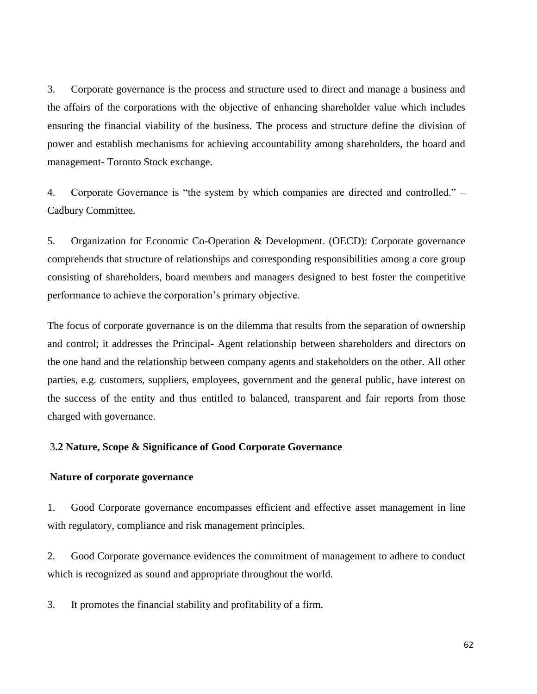3. Corporate governance is the process and structure used to direct and manage a business and the affairs of the corporations with the objective of enhancing shareholder value which includes ensuring the financial viability of the business. The process and structure define the division of power and establish mechanisms for achieving accountability among shareholders, the board and management- Toronto Stock exchange.

4. Corporate Governance is "the system by which companies are directed and controlled." – Cadbury Committee.

5. Organization for Economic Co-Operation & Development. (OECD): Corporate governance comprehends that structure of relationships and corresponding responsibilities among a core group consisting of shareholders, board members and managers designed to best foster the competitive performance to achieve the corporation's primary objective.

The focus of corporate governance is on the dilemma that results from the separation of ownership and control; it addresses the Principal- Agent relationship between shareholders and directors on the one hand and the relationship between company agents and stakeholders on the other. All other parties, e.g. customers, suppliers, employees, government and the general public, have interest on the success of the entity and thus entitled to balanced, transparent and fair reports from those charged with governance.

### 3**.2 Nature, Scope & Significance of Good Corporate Governance**

### **Nature of corporate governance**

1. Good Corporate governance encompasses efficient and effective asset management in line with regulatory, compliance and risk management principles.

2. Good Corporate governance evidences the commitment of management to adhere to conduct which is recognized as sound and appropriate throughout the world.

3. It promotes the financial stability and profitability of a firm.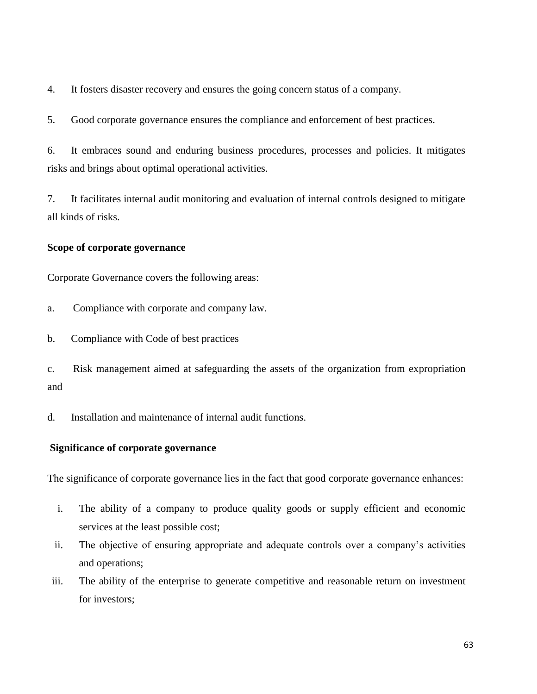4. It fosters disaster recovery and ensures the going concern status of a company.

5. Good corporate governance ensures the compliance and enforcement of best practices.

6. It embraces sound and enduring business procedures, processes and policies. It mitigates risks and brings about optimal operational activities.

7. It facilitates internal audit monitoring and evaluation of internal controls designed to mitigate all kinds of risks.

# **Scope of corporate governance**

Corporate Governance covers the following areas:

- a. Compliance with corporate and company law.
- b. Compliance with Code of best practices

c. Risk management aimed at safeguarding the assets of the organization from expropriation and

d. Installation and maintenance of internal audit functions.

### **Significance of corporate governance**

The significance of corporate governance lies in the fact that good corporate governance enhances:

- i. The ability of a company to produce quality goods or supply efficient and economic services at the least possible cost;
- ii. The objective of ensuring appropriate and adequate controls over a company's activities and operations;
- iii. The ability of the enterprise to generate competitive and reasonable return on investment for investors: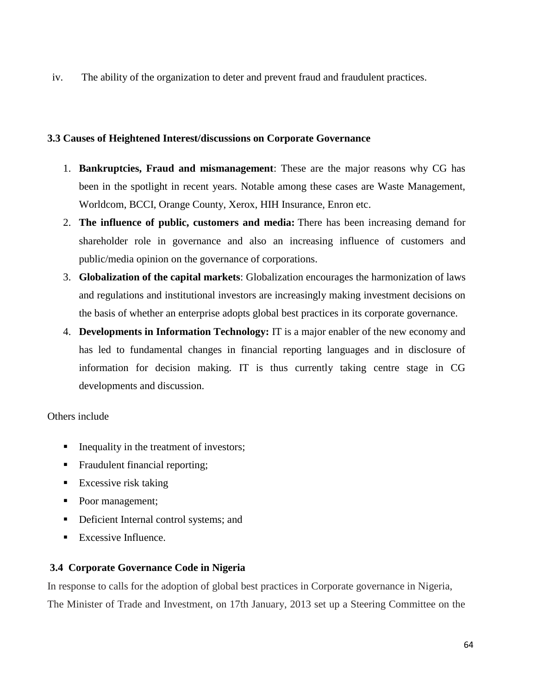iv. The ability of the organization to deter and prevent fraud and fraudulent practices.

# **3.3 Causes of Heightened Interest/discussions on Corporate Governance**

- 1. **Bankruptcies, Fraud and mismanagement**: These are the major reasons why CG has been in the spotlight in recent years. Notable among these cases are Waste Management, Worldcom, BCCI, Orange County, Xerox, HIH Insurance, Enron etc.
- 2. **The influence of public, customers and media:** There has been increasing demand for shareholder role in governance and also an increasing influence of customers and public/media opinion on the governance of corporations.
- 3. **Globalization of the capital markets**: Globalization encourages the harmonization of laws and regulations and institutional investors are increasingly making investment decisions on the basis of whether an enterprise adopts global best practices in its corporate governance.
- 4. **Developments in Information Technology:** IT is a major enabler of the new economy and has led to fundamental changes in financial reporting languages and in disclosure of information for decision making. IT is thus currently taking centre stage in CG developments and discussion.

# Others include

- Inequality in the treatment of investors;
- Fraudulent financial reporting;
- **Excessive risk taking**
- Poor management;
- **•** Deficient Internal control systems; and
- $\blacksquare$  Excessive Influence.

# **3.4 Corporate Governance Code in Nigeria**

In response to calls for the adoption of global best practices in Corporate governance in Nigeria, The Minister of Trade and Investment, on 17th January, 2013 set up a Steering Committee on the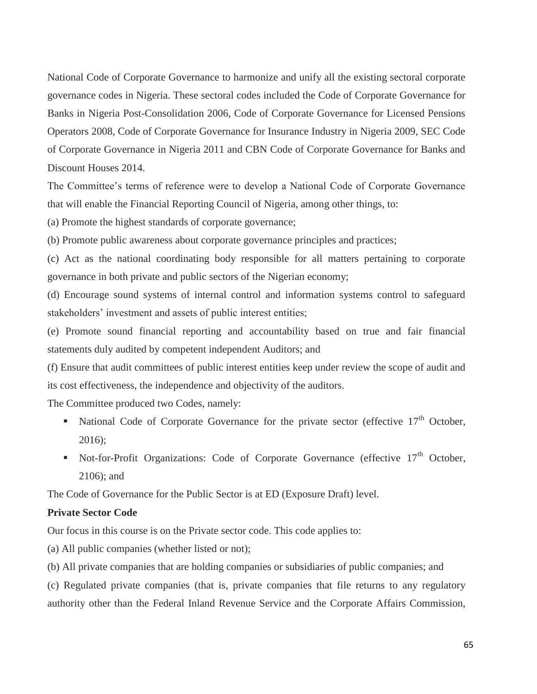National Code of Corporate Governance to harmonize and unify all the existing sectoral corporate governance codes in Nigeria. These sectoral codes included the Code of Corporate Governance for Banks in Nigeria Post-Consolidation 2006, Code of Corporate Governance for Licensed Pensions Operators 2008, Code of Corporate Governance for Insurance Industry in Nigeria 2009, SEC Code of Corporate Governance in Nigeria 2011 and CBN Code of Corporate Governance for Banks and Discount Houses 2014.

The Committee's terms of reference were to develop a National Code of Corporate Governance that will enable the Financial Reporting Council of Nigeria, among other things, to:

(a) Promote the highest standards of corporate governance;

(b) Promote public awareness about corporate governance principles and practices;

(c) Act as the national coordinating body responsible for all matters pertaining to corporate governance in both private and public sectors of the Nigerian economy;

(d) Encourage sound systems of internal control and information systems control to safeguard stakeholders' investment and assets of public interest entities;

(e) Promote sound financial reporting and accountability based on true and fair financial statements duly audited by competent independent Auditors; and

(f) Ensure that audit committees of public interest entities keep under review the scope of audit and its cost effectiveness, the independence and objectivity of the auditors.

The Committee produced two Codes, namely:

- National Code of Corporate Governance for the private sector (effective  $17<sup>th</sup>$  October, 2016);
- Not-for-Profit Organizations: Code of Corporate Governance (effective 17<sup>th</sup> October, 2106); and

The Code of Governance for the Public Sector is at ED (Exposure Draft) level.

## **Private Sector Code**

Our focus in this course is on the Private sector code. This code applies to:

(a) All public companies (whether listed or not);

(b) All private companies that are holding companies or subsidiaries of public companies; and

(c) Regulated private companies (that is, private companies that file returns to any regulatory authority other than the Federal Inland Revenue Service and the Corporate Affairs Commission,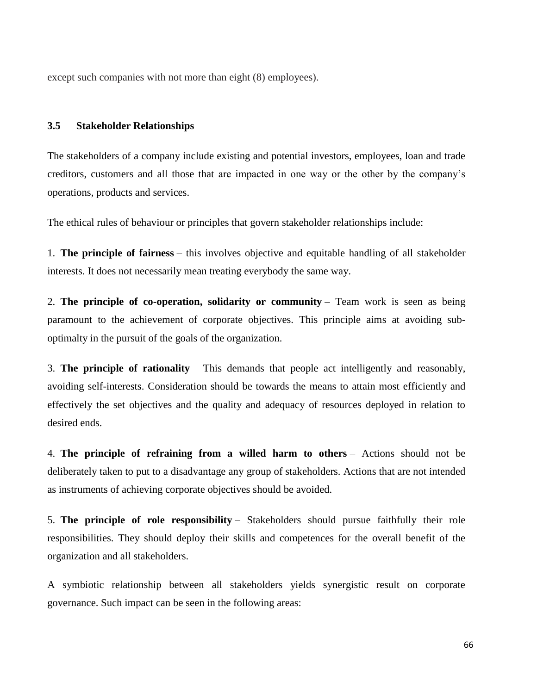except such companies with not more than eight (8) employees).

#### **3.5 Stakeholder Relationships**

The stakeholders of a company include existing and potential investors, employees, loan and trade creditors, customers and all those that are impacted in one way or the other by the company's operations, products and services.

The ethical rules of behaviour or principles that govern stakeholder relationships include:

1. **The principle of fairness** – this involves objective and equitable handling of all stakeholder interests. It does not necessarily mean treating everybody the same way.

2. **The principle of co-operation, solidarity or community** – Team work is seen as being paramount to the achievement of corporate objectives. This principle aims at avoiding suboptimalty in the pursuit of the goals of the organization.

3. **The principle of rationality** – This demands that people act intelligently and reasonably, avoiding self-interests. Consideration should be towards the means to attain most efficiently and effectively the set objectives and the quality and adequacy of resources deployed in relation to desired ends.

4. **The principle of refraining from a willed harm to others** – Actions should not be deliberately taken to put to a disadvantage any group of stakeholders. Actions that are not intended as instruments of achieving corporate objectives should be avoided.

5. **The principle of role responsibility** – Stakeholders should pursue faithfully their role responsibilities. They should deploy their skills and competences for the overall benefit of the organization and all stakeholders.

A symbiotic relationship between all stakeholders yields synergistic result on corporate governance. Such impact can be seen in the following areas: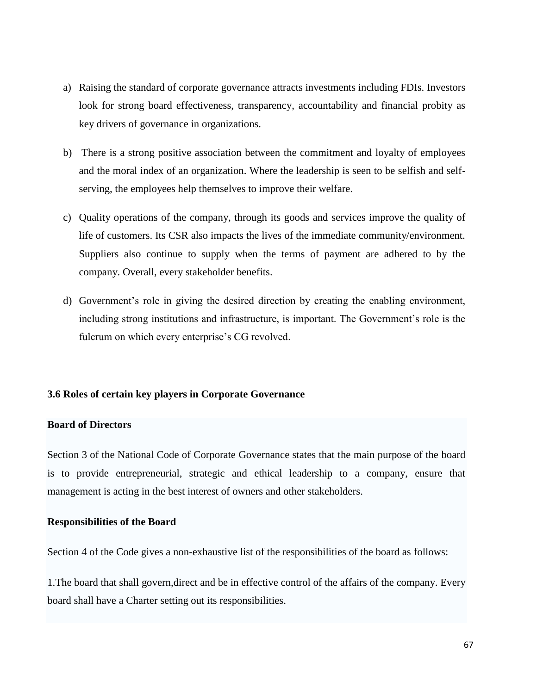- a) Raising the standard of corporate governance attracts investments including FDIs. Investors look for strong board effectiveness, transparency, accountability and financial probity as key drivers of governance in organizations.
- b) There is a strong positive association between the commitment and loyalty of employees and the moral index of an organization. Where the leadership is seen to be selfish and selfserving, the employees help themselves to improve their welfare.
- c) Quality operations of the company, through its goods and services improve the quality of life of customers. Its CSR also impacts the lives of the immediate community/environment. Suppliers also continue to supply when the terms of payment are adhered to by the company. Overall, every stakeholder benefits.
- d) Government's role in giving the desired direction by creating the enabling environment, including strong institutions and infrastructure, is important. The Government's role is the fulcrum on which every enterprise's CG revolved.

# **3.6 Roles of certain key players in Corporate Governance**

# **Board of Directors**

Section 3 of the National Code of Corporate Governance states that the main purpose of the board is to provide entrepreneurial, strategic and ethical leadership to a company, ensure that management is acting in the best interest of owners and other stakeholders.

### **Responsibilities of the Board**

Section 4 of the Code gives a non-exhaustive list of the responsibilities of the board as follows:

1.The board that shall govern,direct and be in effective control of the affairs of the company. Every board shall have a Charter setting out its responsibilities.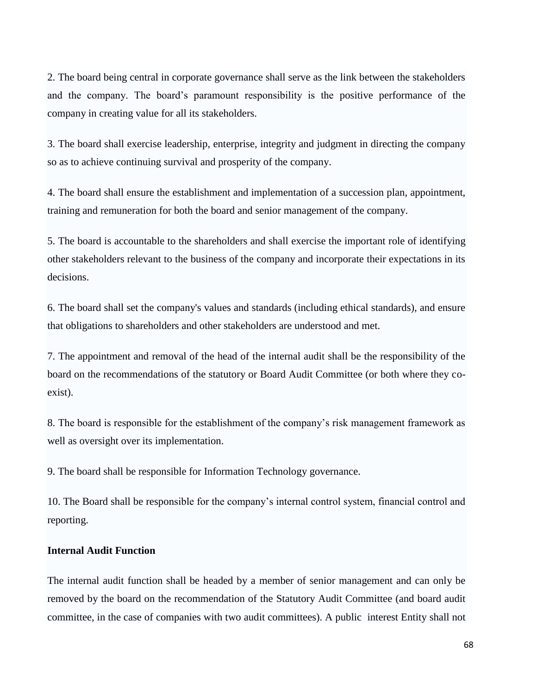2. The board being central in corporate governance shall serve as the link between the stakeholders and the company. The board's paramount responsibility is the positive performance of the company in creating value for all its stakeholders.

3. The board shall exercise leadership, enterprise, integrity and judgment in directing the company so as to achieve continuing survival and prosperity of the company.

4. The board shall ensure the establishment and implementation of a succession plan, appointment, training and remuneration for both the board and senior management of the company.

5. The board is accountable to the shareholders and shall exercise the important role of identifying other stakeholders relevant to the business of the company and incorporate their expectations in its decisions.

6. The board shall set the company's values and standards (including ethical standards), and ensure that obligations to shareholders and other stakeholders are understood and met.

7. The appointment and removal of the head of the internal audit shall be the responsibility of the board on the recommendations of the statutory or Board Audit Committee (or both where they coexist).

8. The board is responsible for the establishment of the company's risk management framework as well as oversight over its implementation.

9. The board shall be responsible for Information Technology governance.

10. The Board shall be responsible for the company's internal control system, financial control and reporting.

### **Internal Audit Function**

The internal audit function shall be headed by a member of senior management and can only be removed by the board on the recommendation of the Statutory Audit Committee (and board audit committee, in the case of companies with two audit committees). A public interest Entity shall not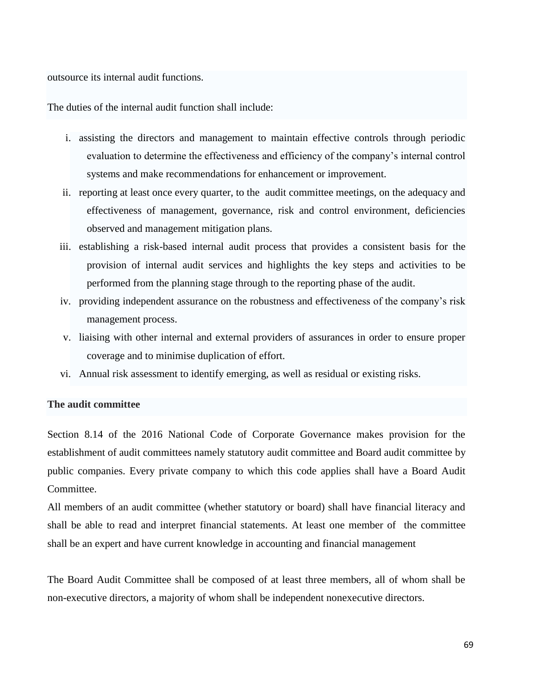outsource its internal audit functions.

The duties of the internal audit function shall include:

- i. assisting the directors and management to maintain effective controls through periodic evaluation to determine the effectiveness and efficiency of the company's internal control systems and make recommendations for enhancement or improvement.
- ii. reporting at least once every quarter, to the audit committee meetings, on the adequacy and effectiveness of management, governance, risk and control environment, deficiencies observed and management mitigation plans.
- iii. establishing a risk-based internal audit process that provides a consistent basis for the provision of internal audit services and highlights the key steps and activities to be performed from the planning stage through to the reporting phase of the audit.
- iv. providing independent assurance on the robustness and effectiveness of the company's risk management process.
- v. liaising with other internal and external providers of assurances in order to ensure proper coverage and to minimise duplication of effort.
- vi. Annual risk assessment to identify emerging, as well as residual or existing risks.

## **The audit committee**

Section 8.14 of the 2016 National Code of Corporate Governance makes provision for the establishment of audit committees namely statutory audit committee and Board audit committee by public companies. Every private company to which this code applies shall have a Board Audit Committee.

All members of an audit committee (whether statutory or board) shall have financial literacy and shall be able to read and interpret financial statements. At least one member of the committee shall be an expert and have current knowledge in accounting and financial management

The Board Audit Committee shall be composed of at least three members, all of whom shall be non-executive directors, a majority of whom shall be independent nonexecutive directors.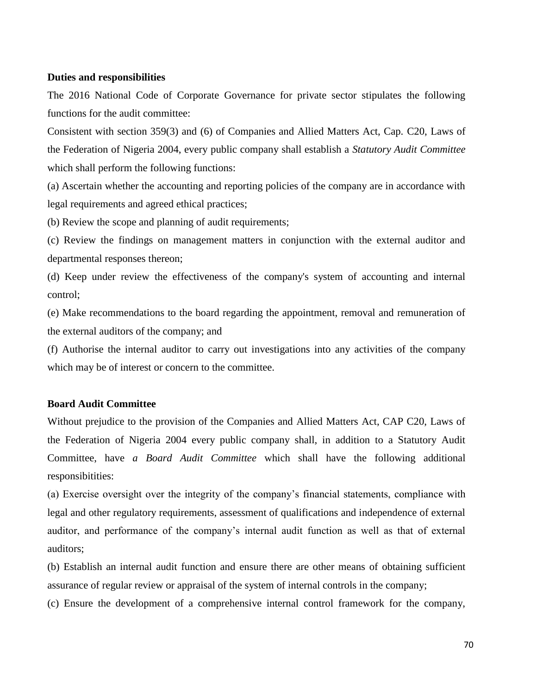### **Duties and responsibilities**

The 2016 National Code of Corporate Governance for private sector stipulates the following functions for the audit committee:

Consistent with section 359(3) and (6) of Companies and Allied Matters Act, Cap. C20, Laws of the Federation of Nigeria 2004, every public company shall establish a *Statutory Audit Committee* which shall perform the following functions:

(a) Ascertain whether the accounting and reporting policies of the company are in accordance with legal requirements and agreed ethical practices;

(b) Review the scope and planning of audit requirements;

(c) Review the findings on management matters in conjunction with the external auditor and departmental responses thereon;

(d) Keep under review the effectiveness of the company's system of accounting and internal control;

(e) Make recommendations to the board regarding the appointment, removal and remuneration of the external auditors of the company; and

(f) Authorise the internal auditor to carry out investigations into any activities of the company which may be of interest or concern to the committee.

## **Board Audit Committee**

Without prejudice to the provision of the Companies and Allied Matters Act, CAP C20, Laws of the Federation of Nigeria 2004 every public company shall, in addition to a Statutory Audit Committee, have *a Board Audit Committee* which shall have the following additional responsibitities:

(a) Exercise oversight over the integrity of the company's financial statements, compliance with legal and other regulatory requirements, assessment of qualifications and independence of external auditor, and performance of the company's internal audit function as well as that of external auditors;

(b) Establish an internal audit function and ensure there are other means of obtaining sufficient assurance of regular review or appraisal of the system of internal controls in the company;

(c) Ensure the development of a comprehensive internal control framework for the company,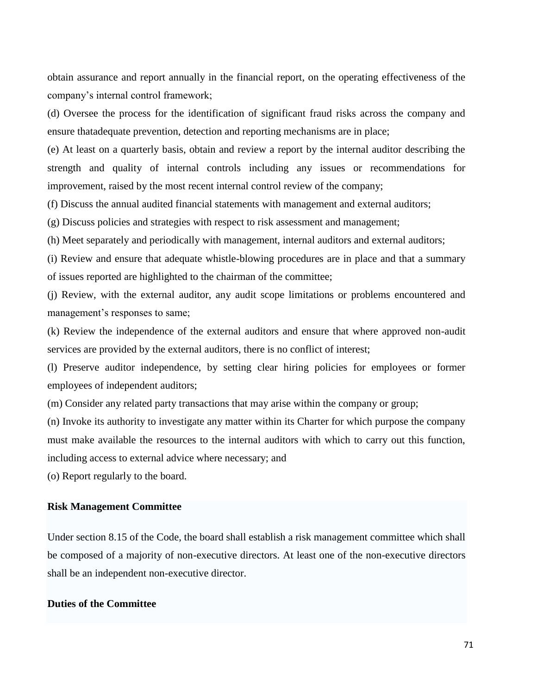obtain assurance and report annually in the financial report, on the operating effectiveness of the company's internal control framework;

(d) Oversee the process for the identification of significant fraud risks across the company and ensure thatadequate prevention, detection and reporting mechanisms are in place;

(e) At least on a quarterly basis, obtain and review a report by the internal auditor describing the strength and quality of internal controls including any issues or recommendations for improvement, raised by the most recent internal control review of the company;

(f) Discuss the annual audited financial statements with management and external auditors;

(g) Discuss policies and strategies with respect to risk assessment and management;

(h) Meet separately and periodically with management, internal auditors and external auditors;

(i) Review and ensure that adequate whistle-blowing procedures are in place and that a summary of issues reported are highlighted to the chairman of the committee;

(j) Review, with the external auditor, any audit scope limitations or problems encountered and management's responses to same;

(k) Review the independence of the external auditors and ensure that where approved non-audit services are provided by the external auditors, there is no conflict of interest;

(l) Preserve auditor independence, by setting clear hiring policies for employees or former employees of independent auditors;

(m) Consider any related party transactions that may arise within the company or group;

(n) Invoke its authority to investigate any matter within its Charter for which purpose the company must make available the resources to the internal auditors with which to carry out this function, including access to external advice where necessary; and

(o) Report regularly to the board.

### **Risk Management Committee**

Under section 8.15 of the Code, the board shall establish a risk management committee which shall be composed of a majority of non-executive directors. At least one of the non-executive directors shall be an independent non-executive director.

# **Duties of the Committee**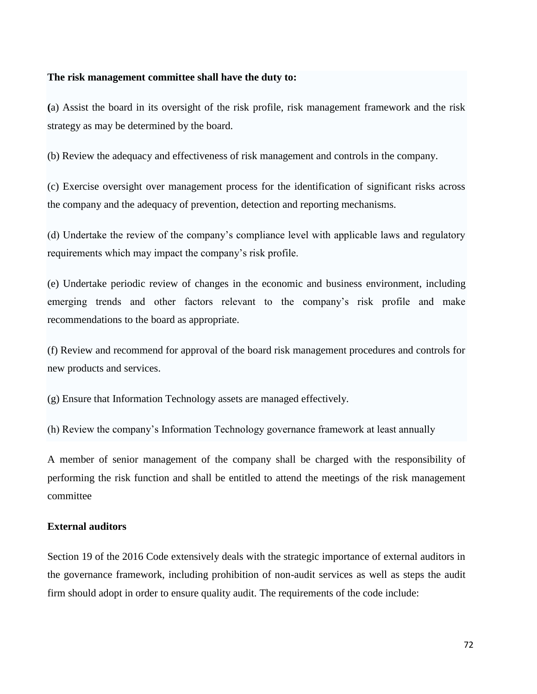### **The risk management committee shall have the duty to:**

**(**a) Assist the board in its oversight of the risk profile, risk management framework and the risk strategy as may be determined by the board.

(b) Review the adequacy and effectiveness of risk management and controls in the company.

(c) Exercise oversight over management process for the identification of significant risks across the company and the adequacy of prevention, detection and reporting mechanisms.

(d) Undertake the review of the company's compliance level with applicable laws and regulatory requirements which may impact the company's risk profile.

(e) Undertake periodic review of changes in the economic and business environment, including emerging trends and other factors relevant to the company's risk profile and make recommendations to the board as appropriate.

(f) Review and recommend for approval of the board risk management procedures and controls for new products and services.

(g) Ensure that Information Technology assets are managed effectively.

(h) Review the company's Information Technology governance framework at least annually

A member of senior management of the company shall be charged with the responsibility of performing the risk function and shall be entitled to attend the meetings of the risk management committee

#### **External auditors**

Section 19 of the 2016 Code extensively deals with the strategic importance of external auditors in the governance framework, including prohibition of non-audit services as well as steps the audit firm should adopt in order to ensure quality audit. The requirements of the code include: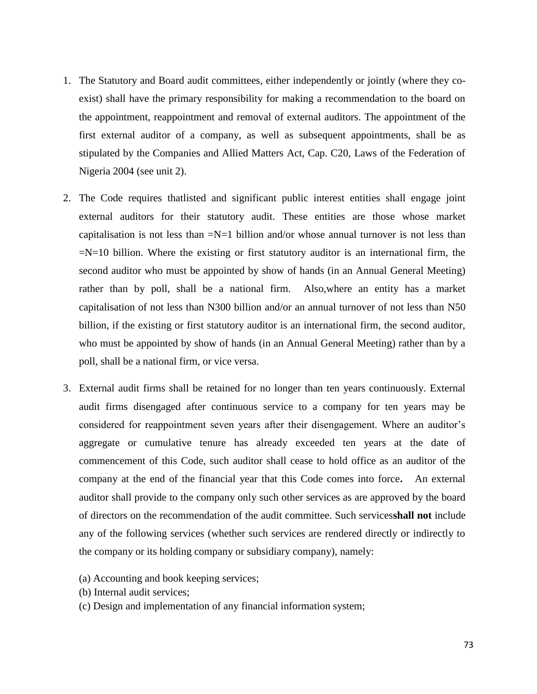- 1. The Statutory and Board audit committees, either independently or jointly (where they coexist) shall have the primary responsibility for making a recommendation to the board on the appointment, reappointment and removal of external auditors. The appointment of the first external auditor of a company, as well as subsequent appointments, shall be as stipulated by the Companies and Allied Matters Act, Cap. C20, Laws of the Federation of Nigeria 2004 (see unit 2).
- 2. The Code requires thatlisted and significant public interest entities shall engage joint external auditors for their statutory audit. These entities are those whose market capitalisation is not less than  $=N=1$  billion and/or whose annual turnover is not less than  $=N=10$  billion. Where the existing or first statutory auditor is an international firm, the second auditor who must be appointed by show of hands (in an Annual General Meeting) rather than by poll, shall be a national firm. Also,where an entity has a market capitalisation of not less than N300 billion and/or an annual turnover of not less than N50 billion, if the existing or first statutory auditor is an international firm, the second auditor, who must be appointed by show of hands (in an Annual General Meeting) rather than by a poll, shall be a national firm, or vice versa.
- 3. External audit firms shall be retained for no longer than ten years continuously. External audit firms disengaged after continuous service to a company for ten years may be considered for reappointment seven years after their disengagement. Where an auditor's aggregate or cumulative tenure has already exceeded ten years at the date of commencement of this Code, such auditor shall cease to hold office as an auditor of the company at the end of the financial year that this Code comes into force**.** An external auditor shall provide to the company only such other services as are approved by the board of directors on the recommendation of the audit committee. Such services**shall not** include any of the following services (whether such services are rendered directly or indirectly to the company or its holding company or subsidiary company), namely:
	- (a) Accounting and book keeping services;
	- (b) Internal audit services;
	- (c) Design and implementation of any financial information system;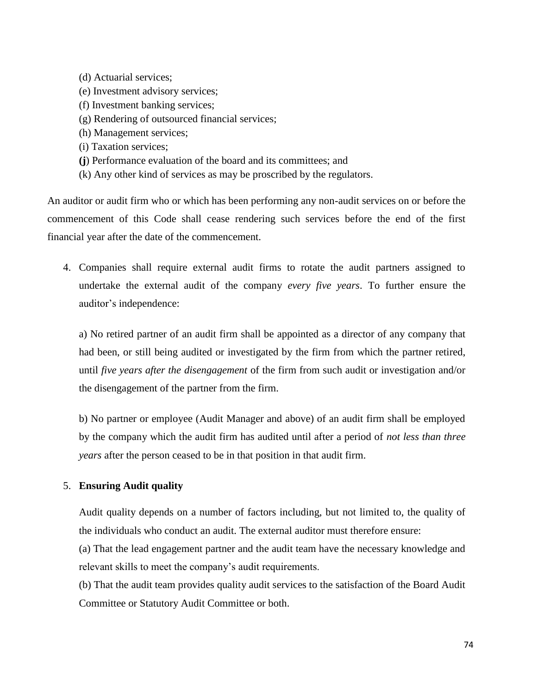(d) Actuarial services; (e) Investment advisory services; (f) Investment banking services; (g) Rendering of outsourced financial services; (h) Management services; (i) Taxation services; **(j**) Performance evaluation of the board and its committees; and (k) Any other kind of services as may be proscribed by the regulators.

An auditor or audit firm who or which has been performing any non-audit services on or before the commencement of this Code shall cease rendering such services before the end of the first financial year after the date of the commencement.

4. Companies shall require external audit firms to rotate the audit partners assigned to undertake the external audit of the company *every five years*. To further ensure the auditor's independence:

a) No retired partner of an audit firm shall be appointed as a director of any company that had been, or still being audited or investigated by the firm from which the partner retired, until *five years after the disengagement* of the firm from such audit or investigation and/or the disengagement of the partner from the firm.

b) No partner or employee (Audit Manager and above) of an audit firm shall be employed by the company which the audit firm has audited until after a period of *not less than three years* after the person ceased to be in that position in that audit firm.

## 5. **Ensuring Audit quality**

Audit quality depends on a number of factors including, but not limited to, the quality of the individuals who conduct an audit. The external auditor must therefore ensure:

(a) That the lead engagement partner and the audit team have the necessary knowledge and relevant skills to meet the company's audit requirements.

(b) That the audit team provides quality audit services to the satisfaction of the Board Audit Committee or Statutory Audit Committee or both.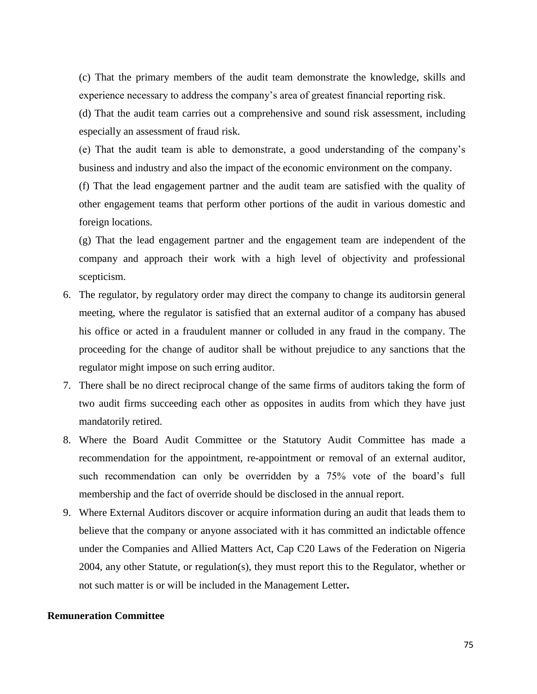(c) That the primary members of the audit team demonstrate the knowledge, skills and experience necessary to address the company's area of greatest financial reporting risk.

(d) That the audit team carries out a comprehensive and sound risk assessment, including especially an assessment of fraud risk.

(e) That the audit team is able to demonstrate, a good understanding of the company's business and industry and also the impact of the economic environment on the company.

(f) That the lead engagement partner and the audit team are satisfied with the quality of other engagement teams that perform other portions of the audit in various domestic and foreign locations.

(g) That the lead engagement partner and the engagement team are independent of the company and approach their work with a high level of objectivity and professional scepticism.

- 6. The regulator, by regulatory order may direct the company to change its auditorsin general meeting, where the regulator is satisfied that an external auditor of a company has abused his office or acted in a fraudulent manner or colluded in any fraud in the company. The proceeding for the change of auditor shall be without prejudice to any sanctions that the regulator might impose on such erring auditor.
- 7. There shall be no direct reciprocal change of the same firms of auditors taking the form of two audit firms succeeding each other as opposites in audits from which they have just mandatorily retired.
- 8. Where the Board Audit Committee or the Statutory Audit Committee has made a recommendation for the appointment, re-appointment or removal of an external auditor, such recommendation can only be overridden by a 75% vote of the board's full membership and the fact of override should be disclosed in the annual report.
- 9. Where External Auditors discover or acquire information during an audit that leads them to believe that the company or anyone associated with it has committed an indictable offence under the Companies and Allied Matters Act, Cap C20 Laws of the Federation on Nigeria 2004, any other Statute, or regulation(s), they must report this to the Regulator, whether or not such matter is or will be included in the Management Letter**.**

#### **Remuneration Committee**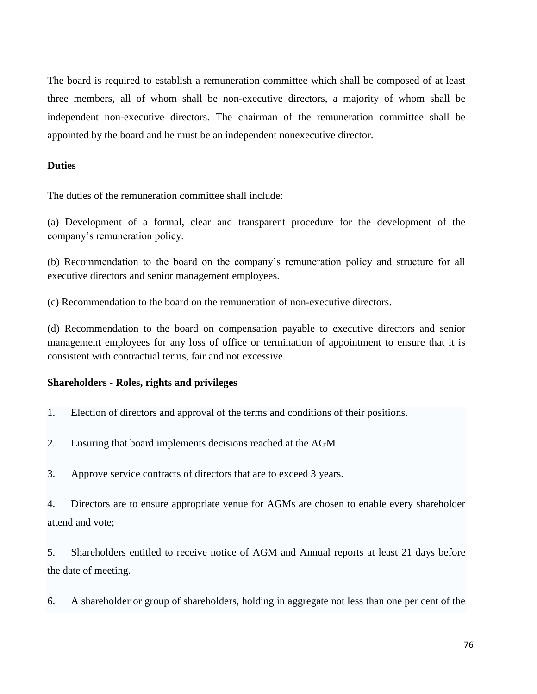The board is required to establish a remuneration committee which shall be composed of at least three members, all of whom shall be non-executive directors, a majority of whom shall be independent non-executive directors. The chairman of the remuneration committee shall be appointed by the board and he must be an independent nonexecutive director.

### **Duties**

The duties of the remuneration committee shall include:

(a) Development of a formal, clear and transparent procedure for the development of the company's remuneration policy.

(b) Recommendation to the board on the company's remuneration policy and structure for all executive directors and senior management employees.

(c) Recommendation to the board on the remuneration of non-executive directors.

(d) Recommendation to the board on compensation payable to executive directors and senior management employees for any loss of office or termination of appointment to ensure that it is consistent with contractual terms, fair and not excessive.

#### **Shareholders - Roles, rights and privileges**

- 1. Election of directors and approval of the terms and conditions of their positions.
- 2. Ensuring that board implements decisions reached at the AGM.
- 3. Approve service contracts of directors that are to exceed 3 years.

4. Directors are to ensure appropriate venue for AGMs are chosen to enable every shareholder attend and vote;

5. Shareholders entitled to receive notice of AGM and Annual reports at least 21 days before the date of meeting.

6. A shareholder or group of shareholders, holding in aggregate not less than one per cent of the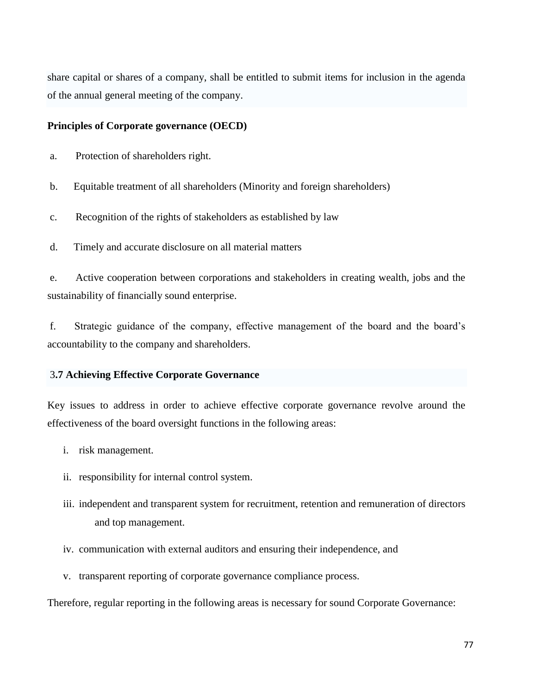share capital or shares of a company, shall be entitled to submit items for inclusion in the agenda of the annual general meeting of the company.

## **Principles of Corporate governance (OECD)**

- a. Protection of shareholders right.
- b. Equitable treatment of all shareholders (Minority and foreign shareholders)
- c. Recognition of the rights of stakeholders as established by law
- d. Timely and accurate disclosure on all material matters

e. Active cooperation between corporations and stakeholders in creating wealth, jobs and the sustainability of financially sound enterprise.

f. Strategic guidance of the company, effective management of the board and the board's accountability to the company and shareholders.

## 3**.7 Achieving Effective Corporate Governance**

Key issues to address in order to achieve effective corporate governance revolve around the effectiveness of the board oversight functions in the following areas:

- i. risk management.
- ii. responsibility for internal control system.
- iii. independent and transparent system for recruitment, retention and remuneration of directors and top management.
- iv. communication with external auditors and ensuring their independence, and
- v. transparent reporting of corporate governance compliance process.

Therefore, regular reporting in the following areas is necessary for sound Corporate Governance: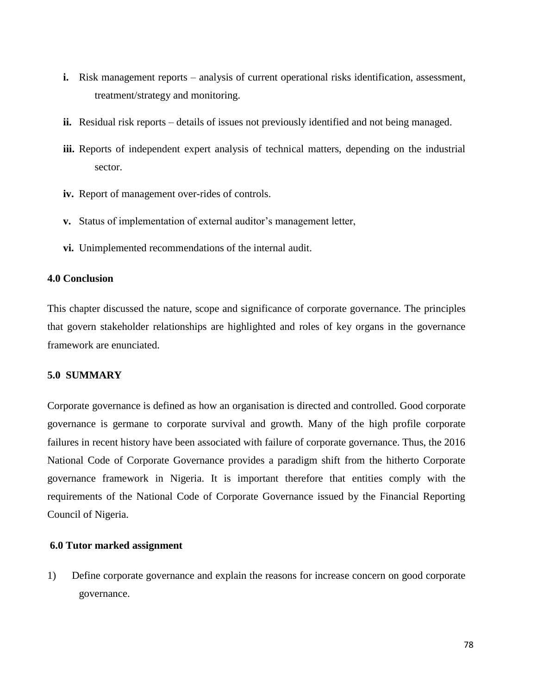- **i.** Risk management reports analysis of current operational risks identification, assessment, treatment/strategy and monitoring.
- ii. Residual risk reports details of issues not previously identified and not being managed.
- **iii.** Reports of independent expert analysis of technical matters, depending on the industrial sector.
- **iv.** Report of management over-rides of controls.
- **v.** Status of implementation of external auditor's management letter,
- **vi.** Unimplemented recommendations of the internal audit.

#### **4.0 Conclusion**

This chapter discussed the nature, scope and significance of corporate governance. The principles that govern stakeholder relationships are highlighted and roles of key organs in the governance framework are enunciated.

#### **5.0 SUMMARY**

Corporate governance is defined as how an organisation is directed and controlled. Good corporate governance is germane to corporate survival and growth. Many of the high profile corporate failures in recent history have been associated with failure of corporate governance. Thus, the 2016 National Code of Corporate Governance provides a paradigm shift from the hitherto Corporate governance framework in Nigeria. It is important therefore that entities comply with the requirements of the National Code of Corporate Governance issued by the Financial Reporting Council of Nigeria.

## **6.0 Tutor marked assignment**

1) Define corporate governance and explain the reasons for increase concern on good corporate governance.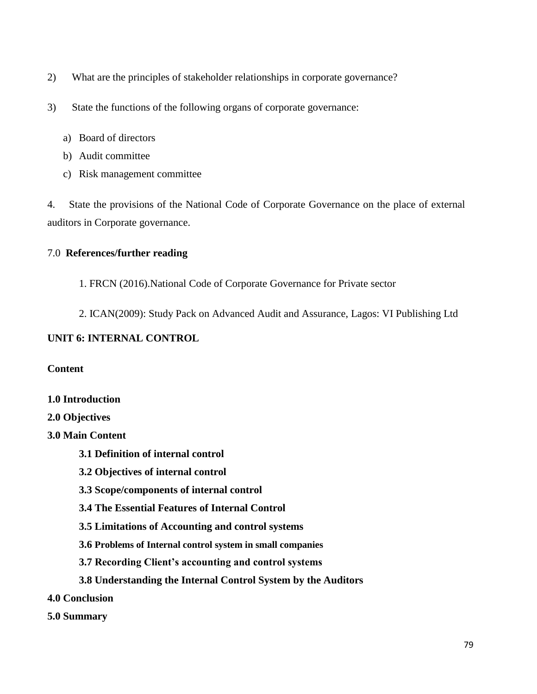- 2) What are the principles of stakeholder relationships in corporate governance?
- 3) State the functions of the following organs of corporate governance:
	- a) Board of directors
	- b) Audit committee
	- c) Risk management committee

4. State the provisions of the National Code of Corporate Governance on the place of external auditors in Corporate governance.

## 7.0 **References/further reading**

- 1. FRCN (2016).National Code of Corporate Governance for Private sector
- 2. ICAN(2009): Study Pack on Advanced Audit and Assurance, Lagos: VI Publishing Ltd

## **UNIT 6: INTERNAL CONTROL**

**Content**

- **1.0 Introduction**
- **2.0 Objectives**

**3.0 Main Content**

- **3.1 Definition of internal control**
- **3.2 Objectives of internal control**
- **3.3 Scope/components of internal control**
- **3.4 The Essential Features of Internal Control**
- **3.5 Limitations of Accounting and control systems**
- **3.6 Problems of Internal control system in small companies**
- **3.7 Recording Client's accounting and control systems**
- **3.8 Understanding the Internal Control System by the Auditors**
- **4.0 Conclusion**
- **5.0 Summary**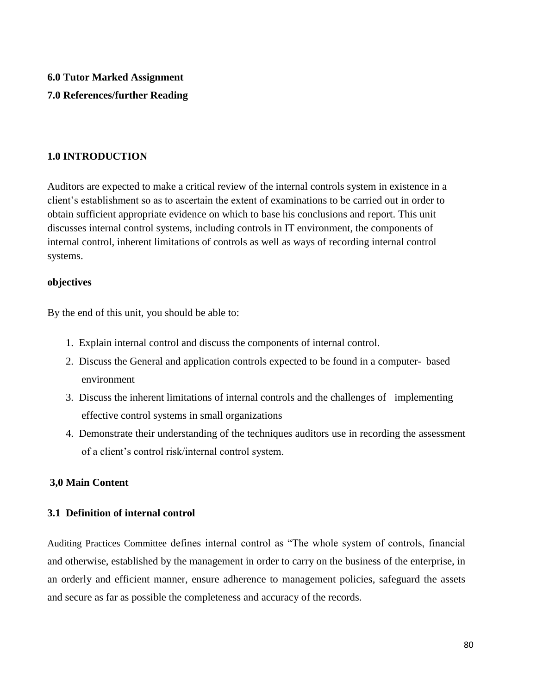# **6.0 Tutor Marked Assignment 7.0 References/further Reading**

## **1.0 INTRODUCTION**

Auditors are expected to make a critical review of the internal controls system in existence in a client's establishment so as to ascertain the extent of examinations to be carried out in order to obtain sufficient appropriate evidence on which to base his conclusions and report. This unit discusses internal control systems, including controls in IT environment, the components of internal control, inherent limitations of controls as well as ways of recording internal control systems.

## **objectives**

By the end of this unit, you should be able to:

- 1. Explain internal control and discuss the components of internal control.
- 2. Discuss the General and application controls expected to be found in a computer- based environment
- 3. Discuss the inherent limitations of internal controls and the challenges of implementing effective control systems in small organizations
- 4. Demonstrate their understanding of the techniques auditors use in recording the assessment of a client's control risk/internal control system.

## **3,0 Main Content**

## **3.1 Definition of internal control**

Auditing Practices Committee defines internal control as "The whole system of controls, financial and otherwise, established by the management in order to carry on the business of the enterprise, in an orderly and efficient manner, ensure adherence to management policies, safeguard the assets and secure as far as possible the completeness and accuracy of the records.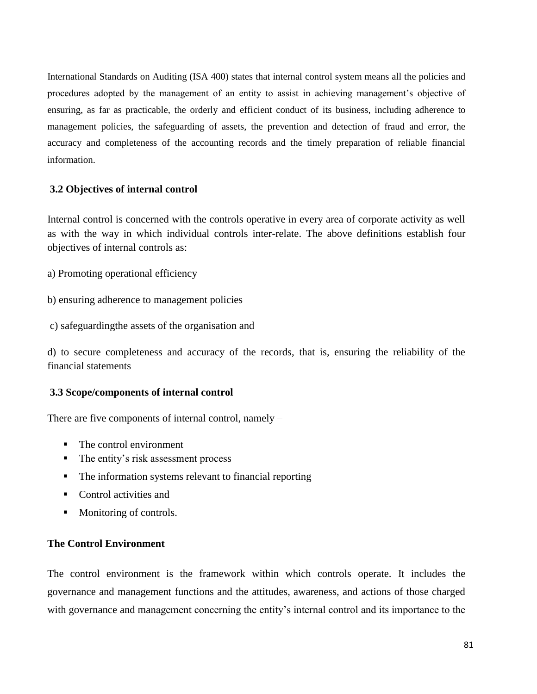International Standards on Auditing (ISA 400) states that internal control system means all the policies and procedures adopted by the management of an entity to assist in achieving management's objective of ensuring, as far as practicable, the orderly and efficient conduct of its business, including adherence to management policies, the safeguarding of assets, the prevention and detection of fraud and error, the accuracy and completeness of the accounting records and the timely preparation of reliable financial information.

## **3.2 Objectives of internal control**

Internal control is concerned with the controls operative in every area of corporate activity as well as with the way in which individual controls inter-relate. The above definitions establish four objectives of internal controls as:

- a) Promoting operational efficiency
- b) ensuring adherence to management policies
- c) safeguardingthe assets of the organisation and

d) to secure completeness and accuracy of the records, that is, ensuring the reliability of the financial statements

#### **3.3 Scope/components of internal control**

There are five components of internal control, namely –

- The control environment
- The entity's risk assessment process
- The information systems relevant to financial reporting
- Control activities and
- Monitoring of controls.

#### **The Control Environment**

The control environment is the framework within which controls operate. It includes the governance and management functions and the attitudes, awareness, and actions of those charged with governance and management concerning the entity's internal control and its importance to the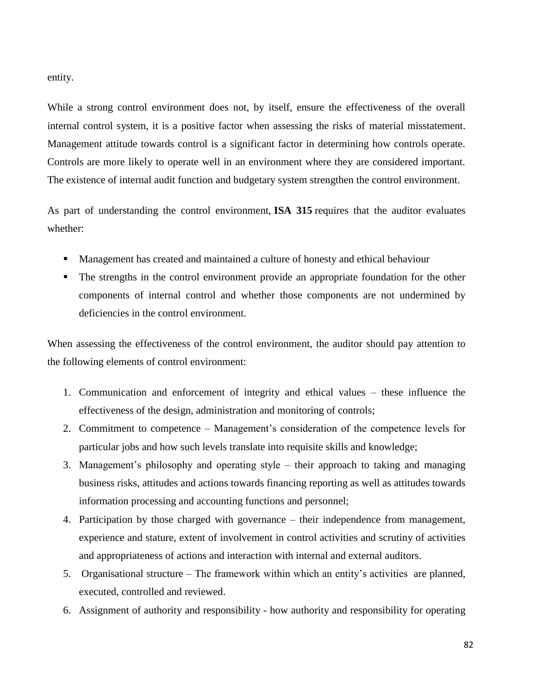entity.

While a strong control environment does not, by itself, ensure the effectiveness of the overall internal control system, it is a positive factor when assessing the risks of material misstatement. Management attitude towards control is a significant factor in determining how controls operate. Controls are more likely to operate well in an environment where they are considered important. The existence of internal audit function and budgetary system strengthen the control environment.

As part of understanding the control environment, **ISA 315** requires that the auditor evaluates whether:

- Management has created and maintained a culture of honesty and ethical behaviour
- The strengths in the control environment provide an appropriate foundation for the other components of internal control and whether those components are not undermined by deficiencies in the control environment.

When assessing the effectiveness of the control environment, the auditor should pay attention to the following elements of control environment:

- 1. Communication and enforcement of integrity and ethical values these influence the effectiveness of the design, administration and monitoring of controls;
- 2. Commitment to competence Management's consideration of the competence levels for particular jobs and how such levels translate into requisite skills and knowledge;
- 3. Management's philosophy and operating style their approach to taking and managing business risks, attitudes and actions towards financing reporting as well as attitudes towards information processing and accounting functions and personnel;
- 4. Participation by those charged with governance their independence from management, experience and stature, extent of involvement in control activities and scrutiny of activities and appropriateness of actions and interaction with internal and external auditors.
- 5. Organisational structure The framework within which an entity's activities are planned, executed, controlled and reviewed.
- 6. Assignment of authority and responsibility how authority and responsibility for operating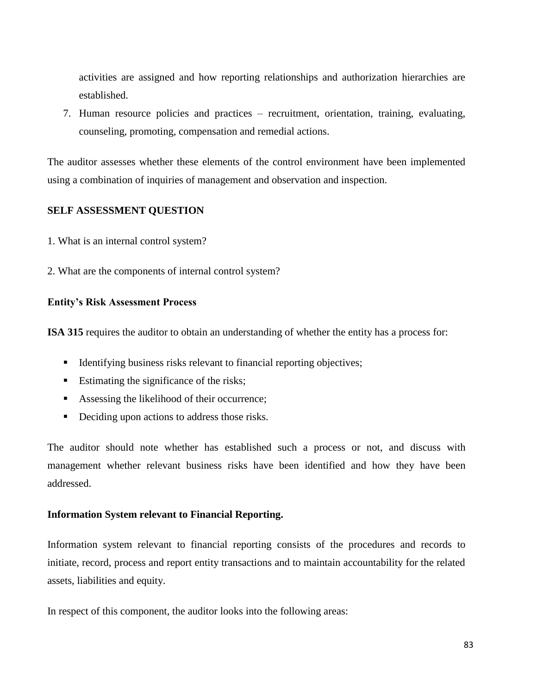activities are assigned and how reporting relationships and authorization hierarchies are established.

7. Human resource policies and practices – recruitment, orientation, training, evaluating, counseling, promoting, compensation and remedial actions.

The auditor assesses whether these elements of the control environment have been implemented using a combination of inquiries of management and observation and inspection.

## **SELF ASSESSMENT QUESTION**

- 1. What is an internal control system?
- 2. What are the components of internal control system?

## **Entity's Risk Assessment Process**

**ISA 315** requires the auditor to obtain an understanding of whether the entity has a process for:

- Identifying business risks relevant to financial reporting objectives;
- Estimating the significance of the risks;
- Assessing the likelihood of their occurrence;
- Deciding upon actions to address those risks.

The auditor should note whether has established such a process or not, and discuss with management whether relevant business risks have been identified and how they have been addressed.

## **Information System relevant to Financial Reporting.**

Information system relevant to financial reporting consists of the procedures and records to initiate, record, process and report entity transactions and to maintain accountability for the related assets, liabilities and equity.

In respect of this component, the auditor looks into the following areas: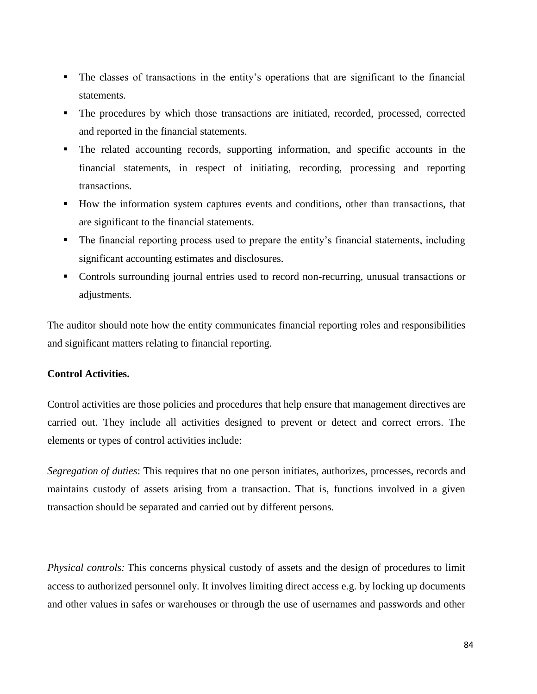- The classes of transactions in the entity's operations that are significant to the financial statements.
- The procedures by which those transactions are initiated, recorded, processed, corrected and reported in the financial statements.
- The related accounting records, supporting information, and specific accounts in the financial statements, in respect of initiating, recording, processing and reporting transactions.
- How the information system captures events and conditions, other than transactions, that are significant to the financial statements.
- The financial reporting process used to prepare the entity's financial statements, including significant accounting estimates and disclosures.
- Controls surrounding journal entries used to record non-recurring, unusual transactions or adjustments.

The auditor should note how the entity communicates financial reporting roles and responsibilities and significant matters relating to financial reporting.

## **Control Activities.**

Control activities are those policies and procedures that help ensure that management directives are carried out. They include all activities designed to prevent or detect and correct errors. The elements or types of control activities include:

*Segregation of duties*: This requires that no one person initiates, authorizes, processes, records and maintains custody of assets arising from a transaction. That is, functions involved in a given transaction should be separated and carried out by different persons.

*Physical controls:* This concerns physical custody of assets and the design of procedures to limit access to authorized personnel only. It involves limiting direct access e.g. by locking up documents and other values in safes or warehouses or through the use of usernames and passwords and other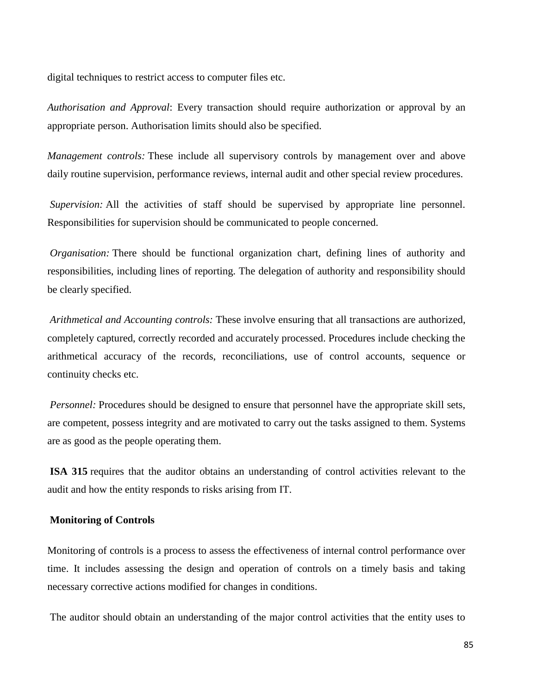digital techniques to restrict access to computer files etc.

*Authorisation and Approval*: Every transaction should require authorization or approval by an appropriate person. Authorisation limits should also be specified.

*Management controls:* These include all supervisory controls by management over and above daily routine supervision, performance reviews, internal audit and other special review procedures.

*Supervision:* All the activities of staff should be supervised by appropriate line personnel. Responsibilities for supervision should be communicated to people concerned.

*Organisation:* There should be functional organization chart, defining lines of authority and responsibilities, including lines of reporting. The delegation of authority and responsibility should be clearly specified.

*Arithmetical and Accounting controls:* These involve ensuring that all transactions are authorized, completely captured, correctly recorded and accurately processed. Procedures include checking the arithmetical accuracy of the records, reconciliations, use of control accounts, sequence or continuity checks etc.

*Personnel:* Procedures should be designed to ensure that personnel have the appropriate skill sets, are competent, possess integrity and are motivated to carry out the tasks assigned to them. Systems are as good as the people operating them.

**ISA 315** requires that the auditor obtains an understanding of control activities relevant to the audit and how the entity responds to risks arising from IT.

#### **Monitoring of Controls**

Monitoring of controls is a process to assess the effectiveness of internal control performance over time. It includes assessing the design and operation of controls on a timely basis and taking necessary corrective actions modified for changes in conditions.

The auditor should obtain an understanding of the major control activities that the entity uses to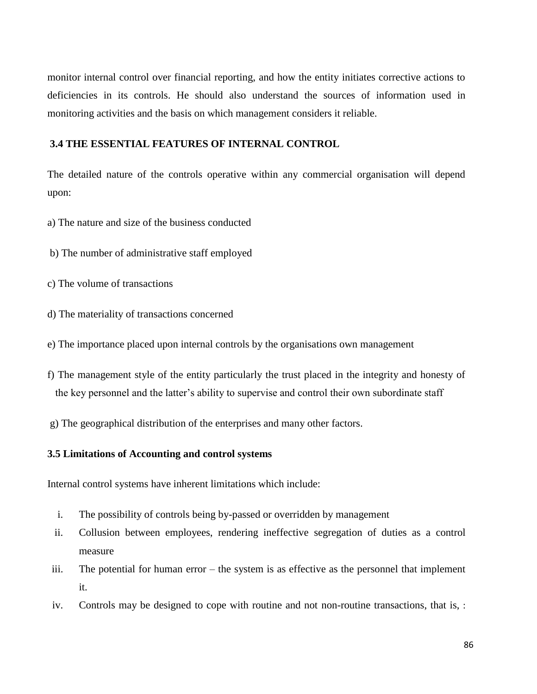monitor internal control over financial reporting, and how the entity initiates corrective actions to deficiencies in its controls. He should also understand the sources of information used in monitoring activities and the basis on which management considers it reliable.

#### **3.4 THE ESSENTIAL FEATURES OF INTERNAL CONTROL**

The detailed nature of the controls operative within any commercial organisation will depend upon:

- a) The nature and size of the business conducted
- b) The number of administrative staff employed
- c) The volume of transactions
- d) The materiality of transactions concerned
- e) The importance placed upon internal controls by the organisations own management
- f) The management style of the entity particularly the trust placed in the integrity and honesty of the key personnel and the latter's ability to supervise and control their own subordinate staff
- g) The geographical distribution of the enterprises and many other factors.

#### **3.5 Limitations of Accounting and control systems**

Internal control systems have inherent limitations which include:

- i. The possibility of controls being by-passed or overridden by management
- ii. Collusion between employees, rendering ineffective segregation of duties as a control measure
- iii. The potential for human error the system is as effective as the personnel that implement it.
- iv. Controls may be designed to cope with routine and not non-routine transactions, that is, :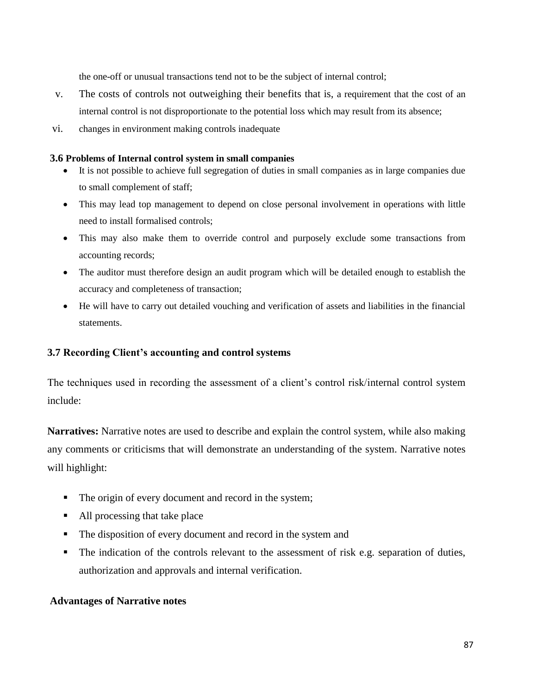the one-off or unusual transactions tend not to be the subject of internal control;

- v. The costs of controls not outweighing their benefits that is, a requirement that the cost of an internal control is not disproportionate to the potential loss which may result from its absence;
- vi. changes in environment making controls inadequate

#### **3.6 Problems of Internal control system in small companies**

- It is not possible to achieve full segregation of duties in small companies as in large companies due to small complement of staff;
- This may lead top management to depend on close personal involvement in operations with little need to install formalised controls;
- This may also make them to override control and purposely exclude some transactions from accounting records;
- The auditor must therefore design an audit program which will be detailed enough to establish the accuracy and completeness of transaction;
- He will have to carry out detailed vouching and verification of assets and liabilities in the financial statements.

## **3.7 Recording Client's accounting and control systems**

The techniques used in recording the assessment of a client's control risk/internal control system include:

**Narratives:** Narrative notes are used to describe and explain the control system, while also making any comments or criticisms that will demonstrate an understanding of the system. Narrative notes will highlight:

- The origin of every document and record in the system;
- All processing that take place
- The disposition of every document and record in the system and
- The indication of the controls relevant to the assessment of risk e.g. separation of duties, authorization and approvals and internal verification.

#### **Advantages of Narrative notes**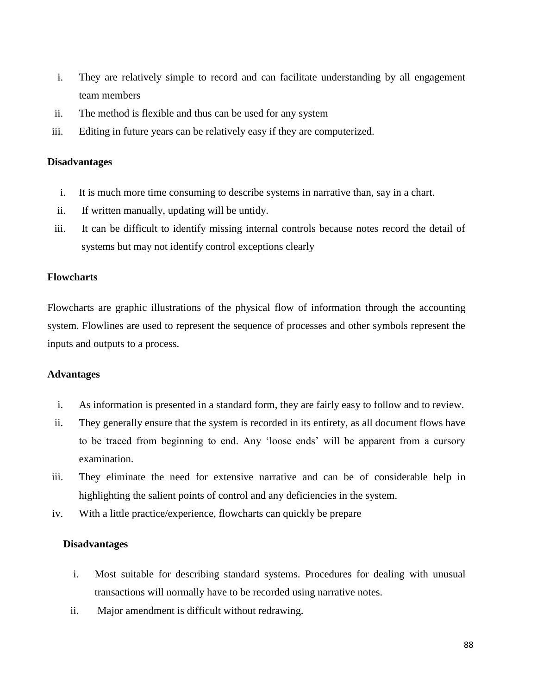- i. They are relatively simple to record and can facilitate understanding by all engagement team members
- ii. The method is flexible and thus can be used for any system
- iii. Editing in future years can be relatively easy if they are computerized.

#### **Disadvantages**

- i. It is much more time consuming to describe systems in narrative than, say in a chart.
- ii. If written manually, updating will be untidy.
- iii. It can be difficult to identify missing internal controls because notes record the detail of systems but may not identify control exceptions clearly

### **Flowcharts**

Flowcharts are graphic illustrations of the physical flow of information through the accounting system. Flowlines are used to represent the sequence of processes and other symbols represent the inputs and outputs to a process.

#### **Advantages**

- i. As information is presented in a standard form, they are fairly easy to follow and to review.
- ii. They generally ensure that the system is recorded in its entirety, as all document flows have to be traced from beginning to end. Any 'loose ends' will be apparent from a cursory examination.
- iii. They eliminate the need for extensive narrative and can be of considerable help in highlighting the salient points of control and any deficiencies in the system.
- iv. With a little practice/experience, flowcharts can quickly be prepare

#### **Disadvantages**

- i. Most suitable for describing standard systems. Procedures for dealing with unusual transactions will normally have to be recorded using narrative notes.
- ii. Major amendment is difficult without redrawing.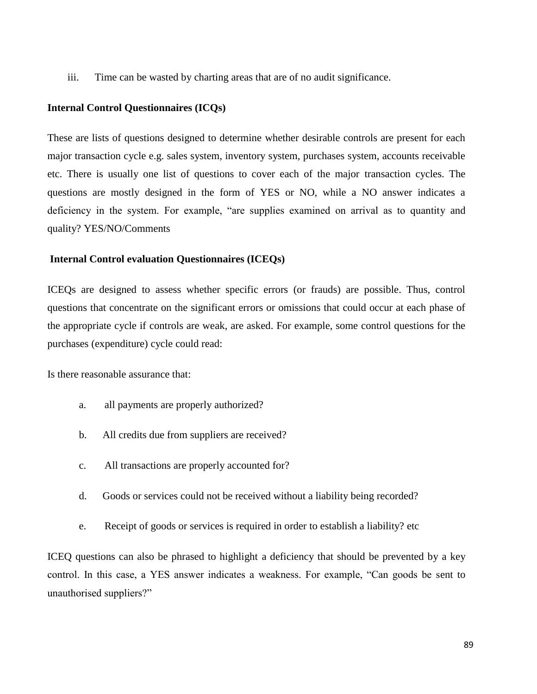iii. Time can be wasted by charting areas that are of no audit significance.

#### **Internal Control Questionnaires (ICQs)**

These are lists of questions designed to determine whether desirable controls are present for each major transaction cycle e.g. sales system, inventory system, purchases system, accounts receivable etc. There is usually one list of questions to cover each of the major transaction cycles. The questions are mostly designed in the form of YES or NO, while a NO answer indicates a deficiency in the system. For example, "are supplies examined on arrival as to quantity and quality? YES/NO/Comments

### **Internal Control evaluation Questionnaires (ICEQs)**

ICEQs are designed to assess whether specific errors (or frauds) are possible. Thus, control questions that concentrate on the significant errors or omissions that could occur at each phase of the appropriate cycle if controls are weak, are asked. For example, some control questions for the purchases (expenditure) cycle could read:

Is there reasonable assurance that:

- a. all payments are properly authorized?
- b. All credits due from suppliers are received?
- c. All transactions are properly accounted for?
- d. Goods or services could not be received without a liability being recorded?
- e. Receipt of goods or services is required in order to establish a liability? etc

ICEQ questions can also be phrased to highlight a deficiency that should be prevented by a key control. In this case, a YES answer indicates a weakness. For example, "Can goods be sent to unauthorised suppliers?"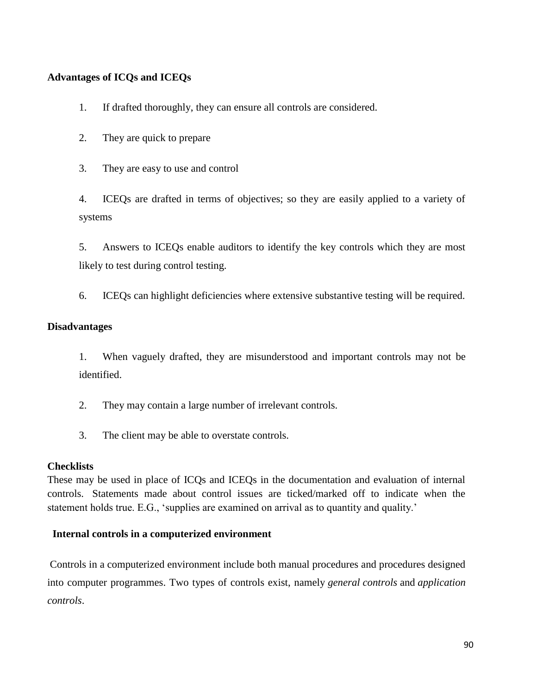## **Advantages of ICQs and ICEQs**

- 1. If drafted thoroughly, they can ensure all controls are considered.
- 2. They are quick to prepare
- 3. They are easy to use and control

4. ICEQs are drafted in terms of objectives; so they are easily applied to a variety of systems

5. Answers to ICEQs enable auditors to identify the key controls which they are most likely to test during control testing.

6. ICEQs can highlight deficiencies where extensive substantive testing will be required.

### **Disadvantages**

1. When vaguely drafted, they are misunderstood and important controls may not be identified.

- 2. They may contain a large number of irrelevant controls.
- 3. The client may be able to overstate controls.

## **Checklists**

These may be used in place of ICQs and ICEQs in the documentation and evaluation of internal controls. Statements made about control issues are ticked/marked off to indicate when the statement holds true. E.G., 'supplies are examined on arrival as to quantity and quality.'

## **Internal controls in a computerized environment**

Controls in a computerized environment include both manual procedures and procedures designed into computer programmes. Two types of controls exist, namely *general controls* and *application controls*.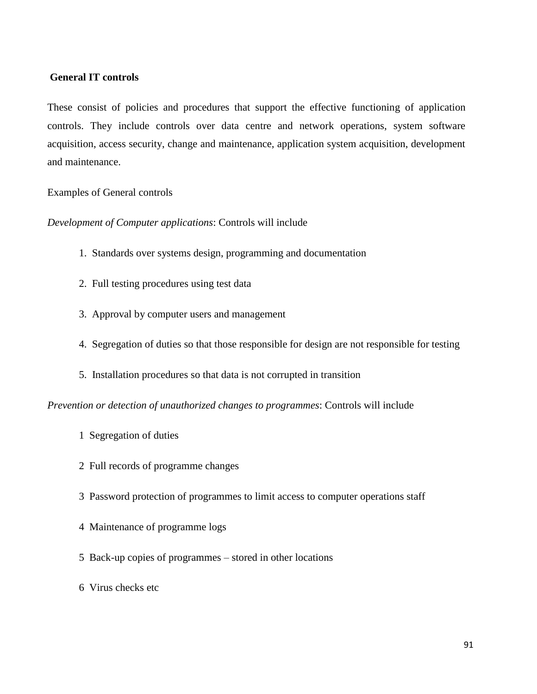### **General IT controls**

These consist of policies and procedures that support the effective functioning of application controls. They include controls over data centre and network operations, system software acquisition, access security, change and maintenance, application system acquisition, development and maintenance.

Examples of General controls

*Development of Computer applications*: Controls will include

- 1. Standards over systems design, programming and documentation
- 2. Full testing procedures using test data
- 3. Approval by computer users and management
- 4. Segregation of duties so that those responsible for design are not responsible for testing
- 5. Installation procedures so that data is not corrupted in transition

*Prevention or detection of unauthorized changes to programmes*: Controls will include

- 1 Segregation of duties
- 2 Full records of programme changes
- 3 Password protection of programmes to limit access to computer operations staff
- 4 Maintenance of programme logs
- 5 Back-up copies of programmes stored in other locations
- 6 Virus checks etc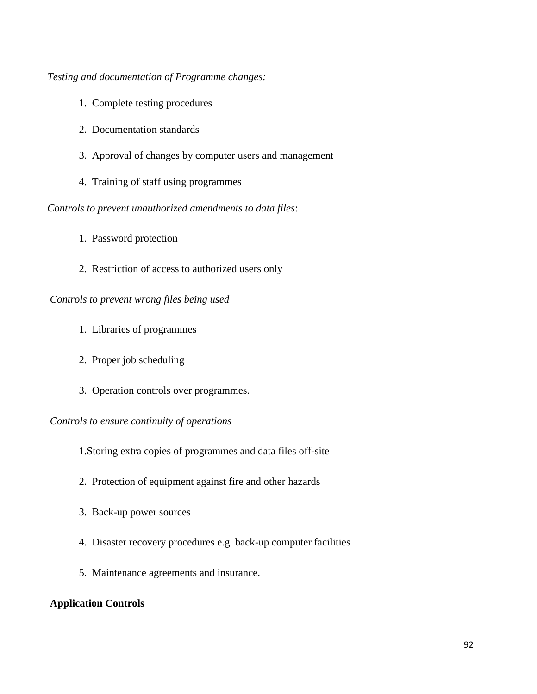*Testing and documentation of Programme changes:*

- 1. Complete testing procedures
- 2. Documentation standards
- 3. Approval of changes by computer users and management
- 4. Training of staff using programmes

*Controls to prevent unauthorized amendments to data files*:

- 1. Password protection
- 2. Restriction of access to authorized users only

### *Controls to prevent wrong files being used*

- 1. Libraries of programmes
- 2. Proper job scheduling
- 3. Operation controls over programmes.

### *Controls to ensure continuity of operations*

1.Storing extra copies of programmes and data files off-site

- 2. Protection of equipment against fire and other hazards
- 3. Back-up power sources
- 4. Disaster recovery procedures e.g. back-up computer facilities
- 5. Maintenance agreements and insurance.

## **Application Controls**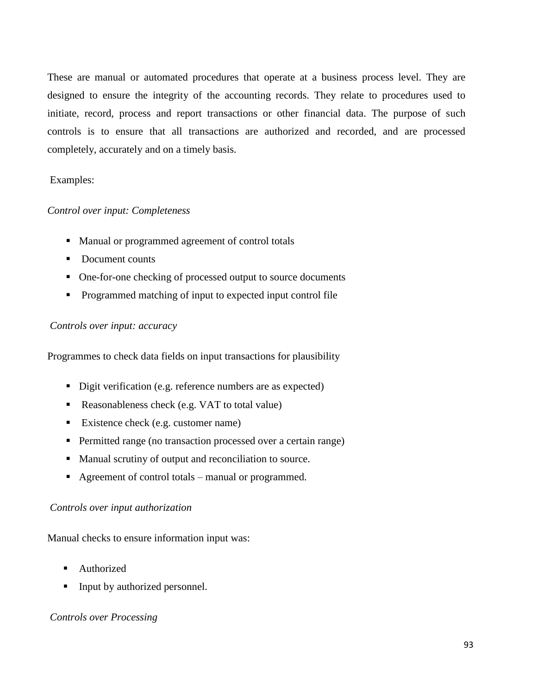These are manual or automated procedures that operate at a business process level. They are designed to ensure the integrity of the accounting records. They relate to procedures used to initiate, record, process and report transactions or other financial data. The purpose of such controls is to ensure that all transactions are authorized and recorded, and are processed completely, accurately and on a timely basis.

## Examples:

## *Control over input: Completeness*

- Manual or programmed agreement of control totals
- Document counts
- One-for-one checking of processed output to source documents
- **•** Programmed matching of input to expected input control file

## *Controls over input: accuracy*

Programmes to check data fields on input transactions for plausibility

- Digit verification (e.g. reference numbers are as expected)
- Reasonableness check (e.g. VAT to total value)
- Existence check (e.g. customer name)
- **Permitted range (no transaction processed over a certain range)**
- Manual scrutiny of output and reconciliation to source.
- Agreement of control totals manual or programmed.

#### *Controls over input authorization*

Manual checks to ensure information input was:

- Authorized
- Input by authorized personnel.

## *Controls over Processing*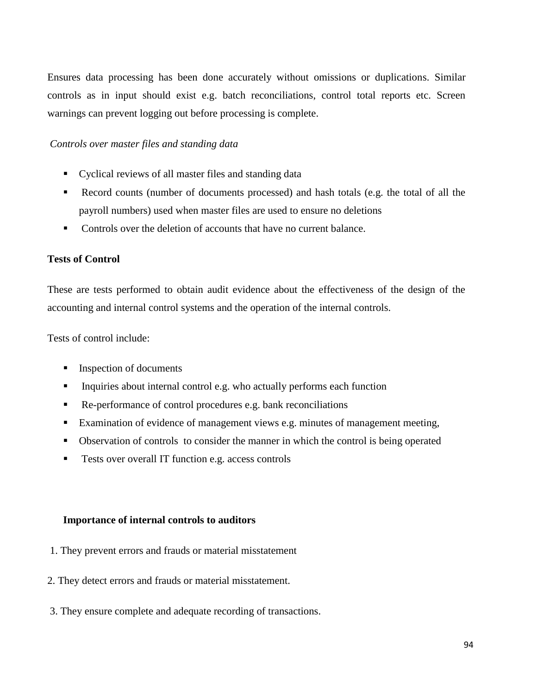Ensures data processing has been done accurately without omissions or duplications. Similar controls as in input should exist e.g. batch reconciliations, control total reports etc. Screen warnings can prevent logging out before processing is complete.

### *Controls over master files and standing data*

- Cyclical reviews of all master files and standing data
- Record counts (number of documents processed) and hash totals (e.g. the total of all the payroll numbers) used when master files are used to ensure no deletions
- Controls over the deletion of accounts that have no current balance.

#### **Tests of Control**

These are tests performed to obtain audit evidence about the effectiveness of the design of the accounting and internal control systems and the operation of the internal controls.

Tests of control include:

- **Inspection of documents**
- Inquiries about internal control e.g. who actually performs each function
- Re-performance of control procedures e.g. bank reconciliations
- Examination of evidence of management views e.g. minutes of management meeting,
- Observation of controls to consider the manner in which the control is being operated
- **Tests over overall IT function e.g. access controls**

#### **Importance of internal controls to auditors**

- 1. They prevent errors and frauds or material misstatement
- 2. They detect errors and frauds or material misstatement.
- 3. They ensure complete and adequate recording of transactions.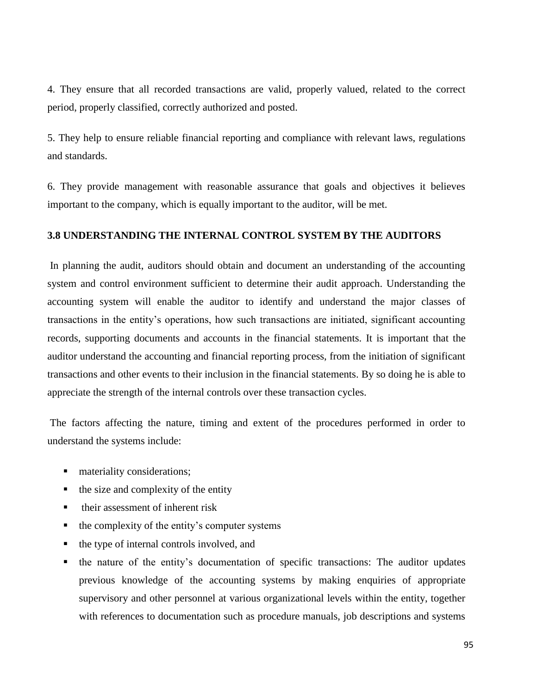4. They ensure that all recorded transactions are valid, properly valued, related to the correct period, properly classified, correctly authorized and posted.

5. They help to ensure reliable financial reporting and compliance with relevant laws, regulations and standards.

6. They provide management with reasonable assurance that goals and objectives it believes important to the company, which is equally important to the auditor, will be met.

#### **3.8 UNDERSTANDING THE INTERNAL CONTROL SYSTEM BY THE AUDITORS**

In planning the audit, auditors should obtain and document an understanding of the accounting system and control environment sufficient to determine their audit approach. Understanding the accounting system will enable the auditor to identify and understand the major classes of transactions in the entity's operations, how such transactions are initiated, significant accounting records, supporting documents and accounts in the financial statements. It is important that the auditor understand the accounting and financial reporting process, from the initiation of significant transactions and other events to their inclusion in the financial statements. By so doing he is able to appreciate the strength of the internal controls over these transaction cycles.

The factors affecting the nature, timing and extent of the procedures performed in order to understand the systems include:

- **nationalle** materiality considerations;
- $\blacksquare$  the size and complexity of the entity
- their assessment of inherent risk
- the complexity of the entity's computer systems
- the type of internal controls involved, and
- the nature of the entity's documentation of specific transactions: The auditor updates previous knowledge of the accounting systems by making enquiries of appropriate supervisory and other personnel at various organizational levels within the entity, together with references to documentation such as procedure manuals, job descriptions and systems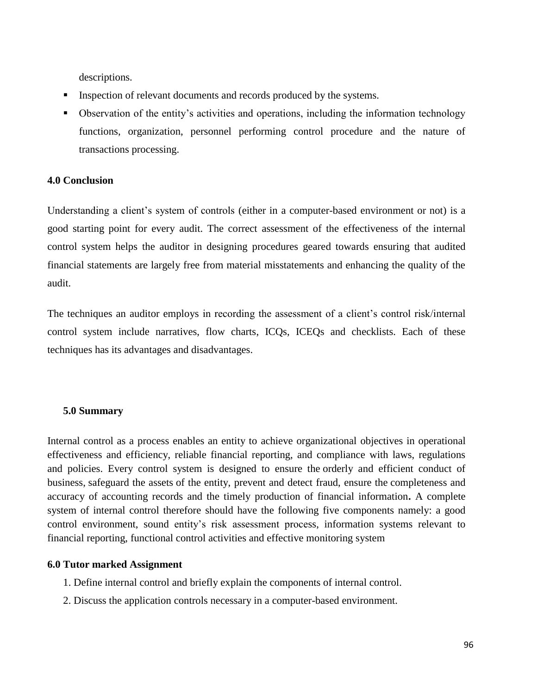descriptions.

- Inspection of relevant documents and records produced by the systems.
- Observation of the entity's activities and operations, including the information technology functions, organization, personnel performing control procedure and the nature of transactions processing.

## **4.0 Conclusion**

Understanding a client's system of controls (either in a computer-based environment or not) is a good starting point for every audit. The correct assessment of the effectiveness of the internal control system helps the auditor in designing procedures geared towards ensuring that audited financial statements are largely free from material misstatements and enhancing the quality of the audit.

The techniques an auditor employs in recording the assessment of a client's control risk/internal control system include narratives, flow charts, ICQs, ICEQs and checklists. Each of these techniques has its advantages and disadvantages.

#### **5.0 Summary**

Internal control as a process enables an entity to achieve organizational objectives in operational effectiveness and efficiency, reliable financial reporting, and compliance with laws, regulations and policies. Every control system is designed to ensure the orderly and efficient conduct of business, safeguard the assets of the entity, prevent and detect fraud, ensure the completeness and accuracy of accounting records and the timely production of financial information**.** A complete system of internal control therefore should have the following five components namely: a good control environment, sound entity's risk assessment process, information systems relevant to financial reporting, functional control activities and effective monitoring system

#### **6.0 Tutor marked Assignment**

- 1. Define internal control and briefly explain the components of internal control.
- 2. Discuss the application controls necessary in a computer-based environment.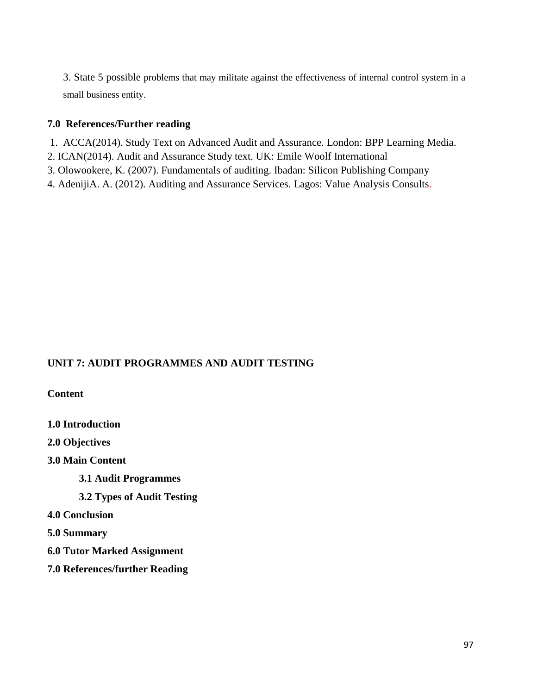3. State 5 possible problems that may militate against the effectiveness of internal control system in a small business entity.

## **7.0 References/Further reading**

- 1. ACCA(2014). Study Text on Advanced Audit and Assurance. London: BPP Learning Media.
- 2. ICAN(2014). Audit and Assurance Study text. UK: Emile Woolf International
- 3. Olowookere, K. (2007). Fundamentals of auditing. Ibadan: Silicon Publishing Company
- 4. AdenijiA. A. (2012). Auditing and Assurance Services. Lagos: Value Analysis Consults.

## **UNIT 7: AUDIT PROGRAMMES AND AUDIT TESTING**

**Content**

**1.0 Introduction 2.0 Objectives 3.0 Main Content 3.1 Audit Programmes 3.2 Types of Audit Testing 4.0 Conclusion 5.0 Summary 6.0 Tutor Marked Assignment 7.0 References/further Reading**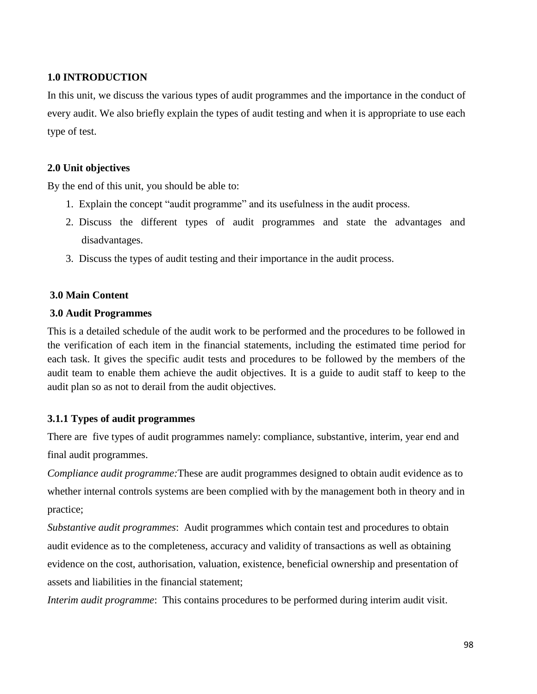## **1.0 INTRODUCTION**

In this unit, we discuss the various types of audit programmes and the importance in the conduct of every audit. We also briefly explain the types of audit testing and when it is appropriate to use each type of test.

## **2.0 Unit objectives**

By the end of this unit, you should be able to:

- 1. Explain the concept "audit programme" and its usefulness in the audit process.
- 2. Discuss the different types of audit programmes and state the advantages and disadvantages.
- 3. Discuss the types of audit testing and their importance in the audit process.

## **3.0 Main Content**

## **3.0 Audit Programmes**

This is a detailed schedule of the audit work to be performed and the procedures to be followed in the verification of each item in the financial statements, including the estimated time period for each task. It gives the specific audit tests and procedures to be followed by the members of the audit team to enable them achieve the audit objectives. It is a guide to audit staff to keep to the audit plan so as not to derail from the audit objectives.

## **3.1.1 Types of audit programmes**

There are five types of audit programmes namely: compliance, substantive, interim, year end and final audit programmes.

*Compliance audit programme:*These are audit programmes designed to obtain audit evidence as to whether internal controls systems are been complied with by the management both in theory and in practice;

*Substantive audit programmes*: Audit programmes which contain test and procedures to obtain audit evidence as to the completeness, accuracy and validity of transactions as well as obtaining evidence on the cost, authorisation, valuation, existence, beneficial ownership and presentation of assets and liabilities in the financial statement;

*Interim audit programme*: This contains procedures to be performed during interim audit visit.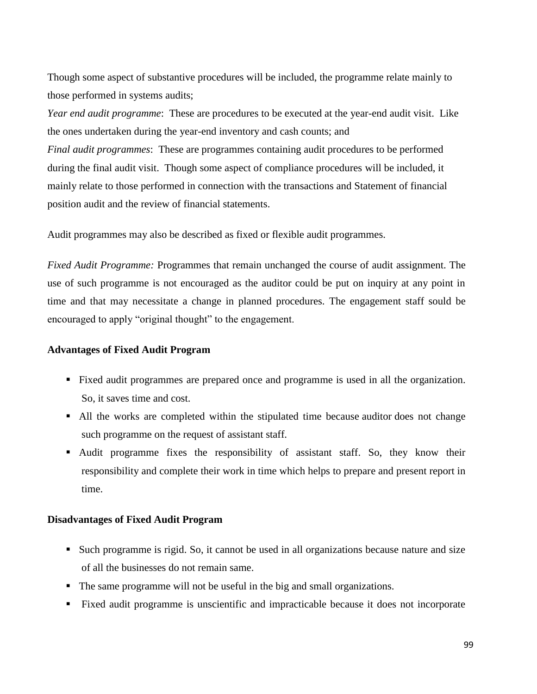Though some aspect of substantive procedures will be included, the programme relate mainly to those performed in systems audits;

*Year end audit programme*: These are procedures to be executed at the year-end audit visit. Like the ones undertaken during the year-end inventory and cash counts; and

*Final audit programmes*: These are programmes containing audit procedures to be performed during the final audit visit. Though some aspect of compliance procedures will be included, it mainly relate to those performed in connection with the transactions and Statement of financial position audit and the review of financial statements.

Audit programmes may also be described as fixed or flexible audit programmes.

*Fixed Audit Programme:* Programmes that remain unchanged the course of audit assignment. The use of such programme is not encouraged as the auditor could be put on inquiry at any point in time and that may necessitate a change in planned procedures. The engagement staff sould be encouraged to apply "original thought" to the engagement.

#### **Advantages of Fixed Audit Program**

- Fixed audit programmes are prepared once and programme is used in all the organization. So, it saves time and cost.
- All the works are completed within the stipulated time because auditor does not change such programme on the request of assistant staff.
- Audit programme fixes the responsibility of assistant staff. So, they know their responsibility and complete their work in time which helps to prepare and present report in time.

#### **Disadvantages of Fixed Audit Program**

- Such programme is rigid. So, it cannot be used in all organizations because nature and size of all the businesses do not remain same.
- The same programme will not be useful in the big and small organizations.
- Fixed audit programme is unscientific and impracticable because it does not incorporate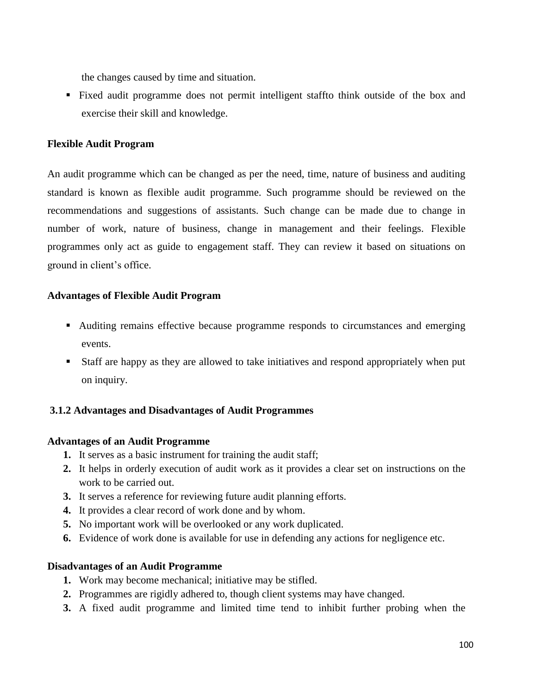the changes caused by time and situation.

 Fixed audit programme does not permit intelligent staffto think outside of the box and exercise their skill and knowledge.

## **Flexible Audit Program**

An audit programme which can be changed as per the need, time, nature of business and auditing standard is known as flexible audit programme. Such programme should be reviewed on the recommendations and suggestions of assistants. Such change can be made due to change in number of work, nature of business, change in management and their feelings. Flexible programmes only act as guide to engagement staff. They can review it based on situations on ground in client's office.

## **Advantages of Flexible Audit Program**

- Auditing remains effective because programme responds to circumstances and emerging events.
- Staff are happy as they are allowed to take initiatives and respond appropriately when put on inquiry.

## **3.1.2 Advantages and Disadvantages of Audit Programmes**

## **Advantages of an Audit Programme**

- **1.** It serves as a basic instrument for training the audit staff;
- **2.** It helps in orderly execution of audit work as it provides a clear set on instructions on the work to be carried out.
- **3.** It serves a reference for reviewing future audit planning efforts.
- **4.** It provides a clear record of work done and by whom.
- **5.** No important work will be overlooked or any work duplicated.
- **6.** Evidence of work done is available for use in defending any actions for negligence etc.

## **Disadvantages of an Audit Programme**

- **1.** Work may become mechanical; initiative may be stifled.
- **2.** Programmes are rigidly adhered to, though client systems may have changed.
- **3.** A fixed audit programme and limited time tend to inhibit further probing when the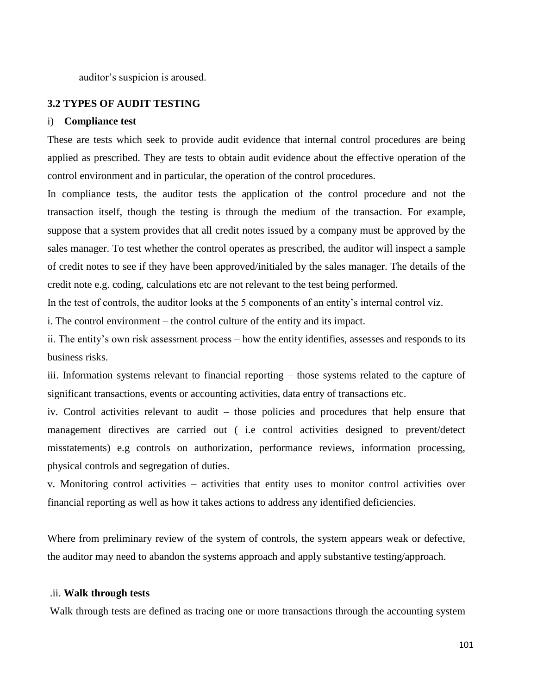auditor's suspicion is aroused.

### **3.2 TYPES OF AUDIT TESTING**

#### i) **Compliance test**

These are tests which seek to provide audit evidence that internal control procedures are being applied as prescribed. They are tests to obtain audit evidence about the effective operation of the control environment and in particular, the operation of the control procedures.

In compliance tests, the auditor tests the application of the control procedure and not the transaction itself, though the testing is through the medium of the transaction. For example, suppose that a system provides that all credit notes issued by a company must be approved by the sales manager. To test whether the control operates as prescribed, the auditor will inspect a sample of credit notes to see if they have been approved/initialed by the sales manager. The details of the credit note e.g. coding, calculations etc are not relevant to the test being performed.

In the test of controls, the auditor looks at the 5 components of an entity's internal control viz.

i. The control environment – the control culture of the entity and its impact.

ii. The entity's own risk assessment process – how the entity identifies, assesses and responds to its business risks.

iii. Information systems relevant to financial reporting – those systems related to the capture of significant transactions, events or accounting activities, data entry of transactions etc.

iv. Control activities relevant to audit – those policies and procedures that help ensure that management directives are carried out ( i.e control activities designed to prevent/detect misstatements) e.g controls on authorization, performance reviews, information processing, physical controls and segregation of duties.

v. Monitoring control activities – activities that entity uses to monitor control activities over financial reporting as well as how it takes actions to address any identified deficiencies.

Where from preliminary review of the system of controls, the system appears weak or defective, the auditor may need to abandon the systems approach and apply substantive testing/approach.

#### .ii. **Walk through tests**

Walk through tests are defined as tracing one or more transactions through the accounting system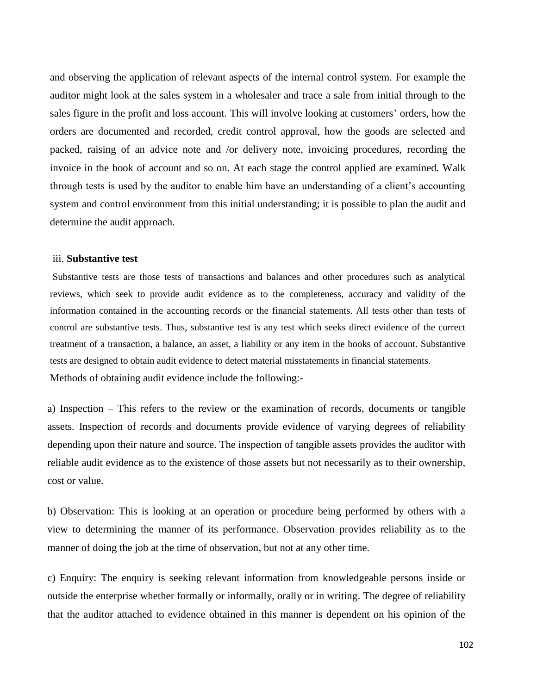and observing the application of relevant aspects of the internal control system. For example the auditor might look at the sales system in a wholesaler and trace a sale from initial through to the sales figure in the profit and loss account. This will involve looking at customers' orders, how the orders are documented and recorded, credit control approval, how the goods are selected and packed, raising of an advice note and /or delivery note, invoicing procedures, recording the invoice in the book of account and so on. At each stage the control applied are examined. Walk through tests is used by the auditor to enable him have an understanding of a client's accounting system and control environment from this initial understanding; it is possible to plan the audit and determine the audit approach.

#### iii. **Substantive test**

Substantive tests are those tests of transactions and balances and other procedures such as analytical reviews, which seek to provide audit evidence as to the completeness, accuracy and validity of the information contained in the accounting records or the financial statements. All tests other than tests of control are substantive tests. Thus, substantive test is any test which seeks direct evidence of the correct treatment of a transaction, a balance, an asset, a liability or any item in the books of account. Substantive tests are designed to obtain audit evidence to detect material misstatements in financial statements. Methods of obtaining audit evidence include the following:-

a) Inspection – This refers to the review or the examination of records, documents or tangible assets. Inspection of records and documents provide evidence of varying degrees of reliability depending upon their nature and source. The inspection of tangible assets provides the auditor with reliable audit evidence as to the existence of those assets but not necessarily as to their ownership, cost or value.

b) Observation: This is looking at an operation or procedure being performed by others with a view to determining the manner of its performance. Observation provides reliability as to the manner of doing the job at the time of observation, but not at any other time.

c) Enquiry: The enquiry is seeking relevant information from knowledgeable persons inside or outside the enterprise whether formally or informally, orally or in writing. The degree of reliability that the auditor attached to evidence obtained in this manner is dependent on his opinion of the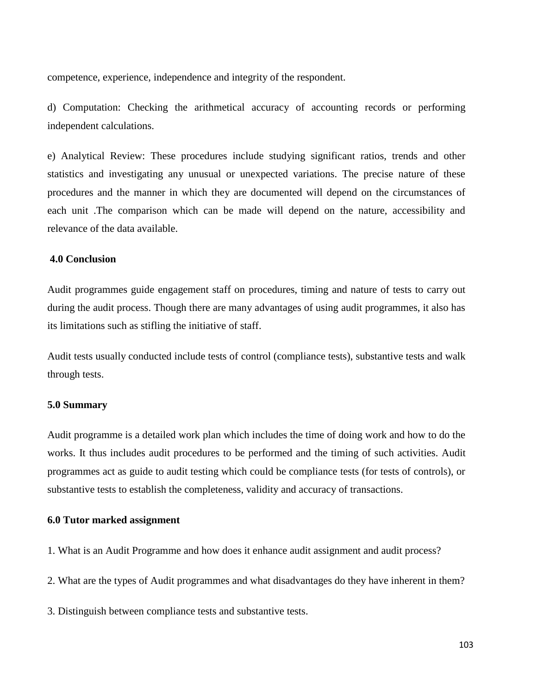competence, experience, independence and integrity of the respondent.

d) Computation: Checking the arithmetical accuracy of accounting records or performing independent calculations.

e) Analytical Review: These procedures include studying significant ratios, trends and other statistics and investigating any unusual or unexpected variations. The precise nature of these procedures and the manner in which they are documented will depend on the circumstances of each unit .The comparison which can be made will depend on the nature, accessibility and relevance of the data available.

#### **4.0 Conclusion**

Audit programmes guide engagement staff on procedures, timing and nature of tests to carry out during the audit process. Though there are many advantages of using audit programmes, it also has its limitations such as stifling the initiative of staff.

Audit tests usually conducted include tests of control (compliance tests), substantive tests and walk through tests.

#### **5.0 Summary**

Audit programme is a detailed work plan which includes the time of doing work and how to do the works. It thus includes audit procedures to be performed and the timing of such activities. Audit programmes act as guide to audit testing which could be compliance tests (for tests of controls), or substantive tests to establish the completeness, validity and accuracy of transactions.

#### **6.0 Tutor marked assignment**

1. What is an Audit Programme and how does it enhance audit assignment and audit process?

- 2. What are the types of Audit programmes and what disadvantages do they have inherent in them?
- 3. Distinguish between compliance tests and substantive tests.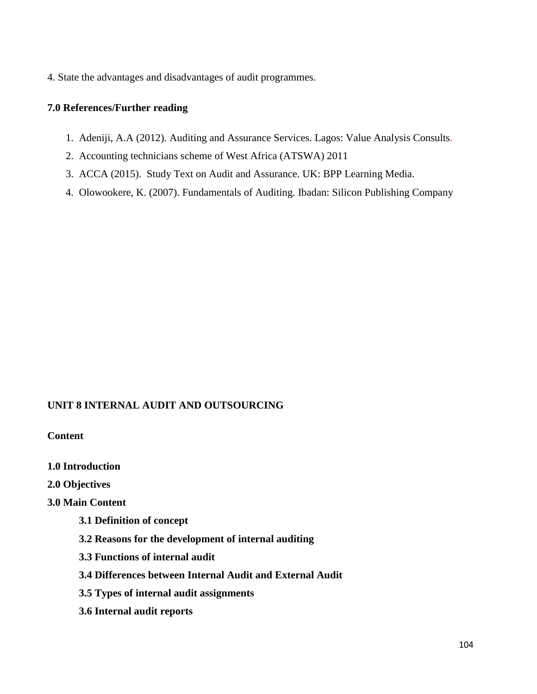4. State the advantages and disadvantages of audit programmes.

## **7.0 References/Further reading**

- 1. Adeniji, A.A (2012). Auditing and Assurance Services. Lagos: Value Analysis Consults.
- 2. Accounting technicians scheme of West Africa (ATSWA) 2011
- 3. ACCA (2015). Study Text on Audit and Assurance. UK: BPP Learning Media.
- 4. Olowookere, K. (2007). Fundamentals of Auditing. Ibadan: Silicon Publishing Company

## **UNIT 8 INTERNAL AUDIT AND OUTSOURCING**

**Content**

- **1.0 Introduction**
- **2.0 Objectives**

## **3.0 Main Content**

- **3.1 Definition of concept**
- **3.2 Reasons for the development of internal auditing**
- **3.3 Functions of internal audit**
- **3.4 Differences between Internal Audit and External Audit**
- **3.5 Types of internal audit assignments**
- **3.6 Internal audit reports**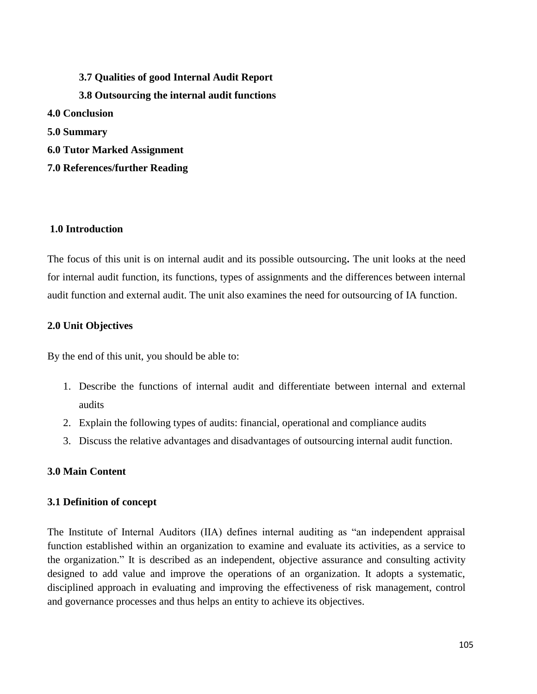**3.7 Qualities of good Internal Audit Report 3.8 Outsourcing the internal audit functions 4.0 Conclusion 5.0 Summary 6.0 Tutor Marked Assignment 7.0 References/further Reading**

## **1.0 Introduction**

The focus of this unit is on internal audit and its possible outsourcing**.** The unit looks at the need for internal audit function, its functions, types of assignments and the differences between internal audit function and external audit. The unit also examines the need for outsourcing of IA function.

## **2.0 Unit Objectives**

By the end of this unit, you should be able to:

- 1. Describe the functions of internal audit and differentiate between internal and external audits
- 2. Explain the following types of audits: financial, operational and compliance audits
- 3. Discuss the relative advantages and disadvantages of outsourcing internal audit function.

## **3.0 Main Content**

## **3.1 Definition of concept**

The Institute of Internal Auditors (IIA) defines internal auditing as "an independent appraisal function established within an organization to examine and evaluate its activities, as a service to the organization." It is described as an independent, objective assurance and consulting activity designed to add value and improve the operations of an organization. It adopts a systematic, disciplined approach in evaluating and improving the effectiveness of risk management, control and governance processes and thus helps an entity to achieve its objectives.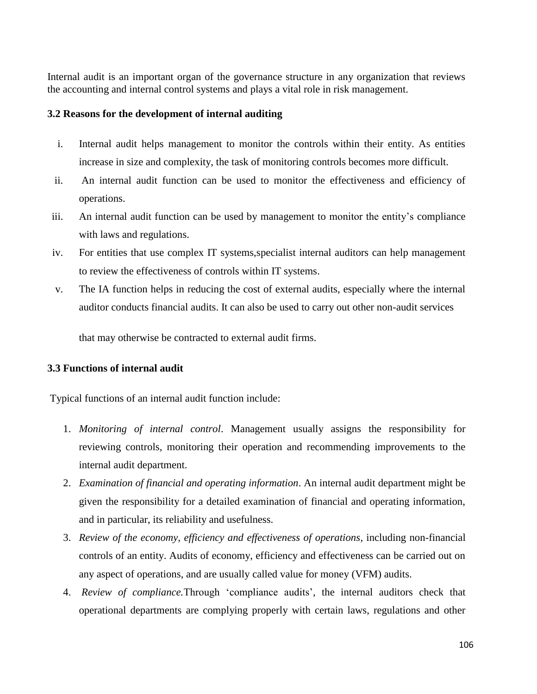Internal audit is an important organ of the governance structure in any organization that reviews the accounting and internal control systems and plays a vital role in risk management.

## **3.2 Reasons for the development of internal auditing**

- i. Internal audit helps management to monitor the controls within their entity. As entities increase in size and complexity, the task of monitoring controls becomes more difficult.
- ii. An internal audit function can be used to monitor the effectiveness and efficiency of operations.
- iii. An internal audit function can be used by management to monitor the entity's compliance with laws and regulations.
- iv. For entities that use complex IT systems,specialist internal auditors can help management to review the effectiveness of controls within IT systems.
- v. The IA function helps in reducing the cost of external audits, especially where the internal auditor conducts financial audits. It can also be used to carry out other non-audit services

that may otherwise be contracted to external audit firms.

## **3.3 Functions of internal audit**

Typical functions of an internal audit function include:

- 1. *Monitoring of internal control*. Management usually assigns the responsibility for reviewing controls, monitoring their operation and recommending improvements to the internal audit department.
- 2. *Examination of financial and operating information*. An internal audit department might be given the responsibility for a detailed examination of financial and operating information, and in particular, its reliability and usefulness.
- 3. *Review of the economy, efficiency and effectiveness of operations*, including non-financial controls of an entity. Audits of economy, efficiency and effectiveness can be carried out on any aspect of operations, and are usually called value for money (VFM) audits.
- 4. *Review of compliance.*Through 'compliance audits', the internal auditors check that operational departments are complying properly with certain laws, regulations and other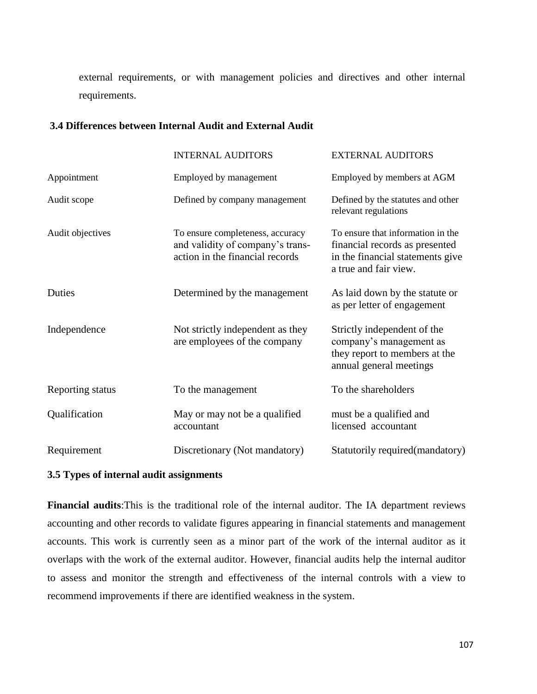external requirements, or with management policies and directives and other internal requirements.

### **3.4 Differences between Internal Audit and External Audit**

|                  | <b>INTERNAL AUDITORS</b>                                                                                | <b>EXTERNAL AUDITORS</b>                                                                                                         |
|------------------|---------------------------------------------------------------------------------------------------------|----------------------------------------------------------------------------------------------------------------------------------|
| Appointment      | Employed by management                                                                                  | Employed by members at AGM                                                                                                       |
| Audit scope      | Defined by company management                                                                           | Defined by the statutes and other<br>relevant regulations                                                                        |
| Audit objectives | To ensure completeness, accuracy<br>and validity of company's trans-<br>action in the financial records | To ensure that information in the<br>financial records as presented<br>in the financial statements give<br>a true and fair view. |
| Duties           | Determined by the management                                                                            | As laid down by the statute or<br>as per letter of engagement                                                                    |
| Independence     | Not strictly independent as they<br>are employees of the company                                        | Strictly independent of the<br>company's management as<br>they report to members at the<br>annual general meetings               |
| Reporting status | To the management                                                                                       | To the shareholders                                                                                                              |
| Qualification    | May or may not be a qualified<br>accountant                                                             | must be a qualified and<br>licensed accountant                                                                                   |
| Requirement      | Discretionary (Not mandatory)                                                                           | Statutorily required (mandatory)                                                                                                 |

#### **3.5 Types of internal audit assignments**

**Financial audits**:This is the traditional role of the internal auditor. The IA department reviews accounting and other records to validate figures appearing in financial statements and management accounts. This work is currently seen as a minor part of the work of the internal auditor as it overlaps with the work of the external auditor. However, financial audits help the internal auditor to assess and monitor the strength and effectiveness of the internal controls with a view to recommend improvements if there are identified weakness in the system.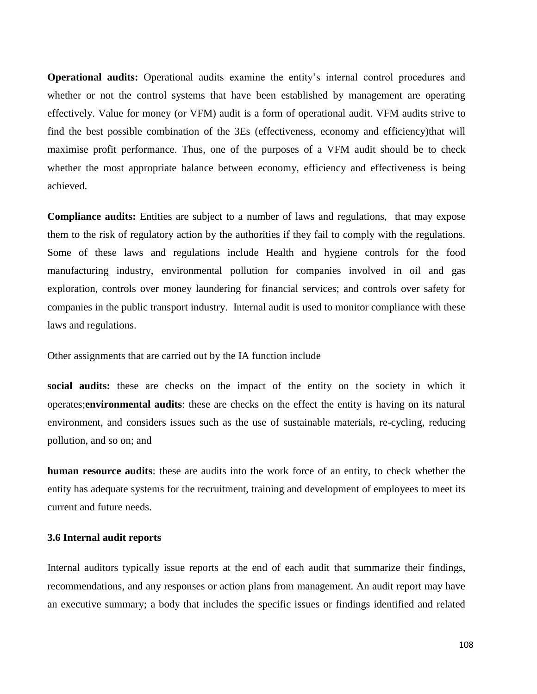**Operational audits:** Operational audits examine the entity's internal control procedures and whether or not the control systems that have been established by management are operating effectively. Value for money (or VFM) audit is a form of operational audit. VFM audits strive to find the best possible combination of the 3Es (effectiveness, economy and efficiency)that will maximise profit performance. Thus, one of the purposes of a VFM audit should be to check whether the most appropriate balance between economy, efficiency and effectiveness is being achieved.

**Compliance audits:** Entities are subject to a number of laws and regulations, that may expose them to the risk of regulatory action by the authorities if they fail to comply with the regulations. Some of these laws and regulations include Health and hygiene controls for the food manufacturing industry, environmental pollution for companies involved in oil and gas exploration, controls over money laundering for financial services; and controls over safety for companies in the public transport industry. Internal audit is used to monitor compliance with these laws and regulations.

Other assignments that are carried out by the IA function include

**social audits:** these are checks on the impact of the entity on the society in which it operates;**environmental audits**: these are checks on the effect the entity is having on its natural environment, and considers issues such as the use of sustainable materials, re-cycling, reducing pollution, and so on; and

**human resource audits**: these are audits into the work force of an entity, to check whether the entity has adequate systems for the recruitment, training and development of employees to meet its current and future needs.

#### **3.6 Internal audit reports**

Internal auditors typically issue reports at the end of each audit that summarize their findings, recommendations, and any responses or action plans from management. An audit report may have an executive summary; a body that includes the specific issues or findings identified and related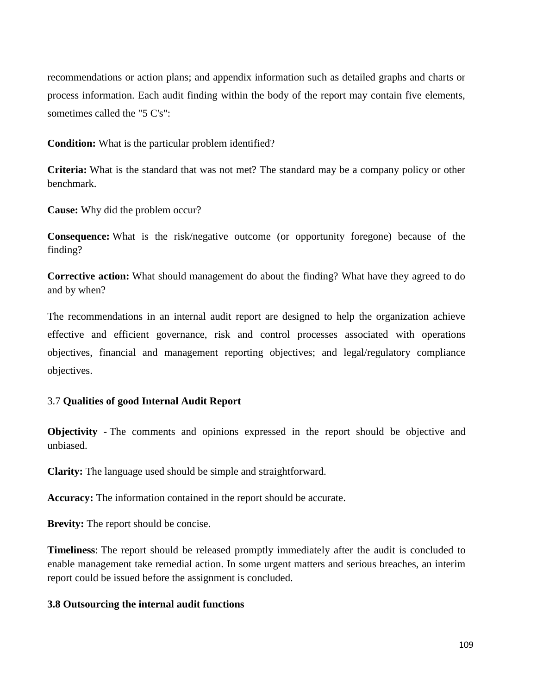recommendations or action plans; and appendix information such as detailed graphs and charts or process information. Each audit finding within the body of the report may contain five elements, sometimes called the "5 C's":

**Condition:** What is the particular problem identified?

**Criteria:** What is the standard that was not met? The standard may be a company policy or other benchmark.

**Cause:** Why did the problem occur?

**Consequence:** What is the risk/negative outcome (or opportunity foregone) because of the finding?

**Corrective action:** What should management do about the finding? What have they agreed to do and by when?

The recommendations in an internal audit report are designed to help the organization achieve effective and efficient governance, risk and control processes associated with operations objectives, financial and management reporting objectives; and legal/regulatory compliance objectives.

# 3.7 **Qualities of good Internal Audit Report**

**Objectivity** - The comments and opinions expressed in the report should be objective and unbiased.

**Clarity:** The language used should be simple and straightforward.

**Accuracy:** The information contained in the report should be accurate.

**Brevity:** The report should be concise.

**Timeliness**: The report should be released promptly immediately after the audit is concluded to enable management take remedial action. In some urgent matters and serious breaches, an interim report could be issued before the assignment is concluded.

#### **3.8 Outsourcing the internal audit functions**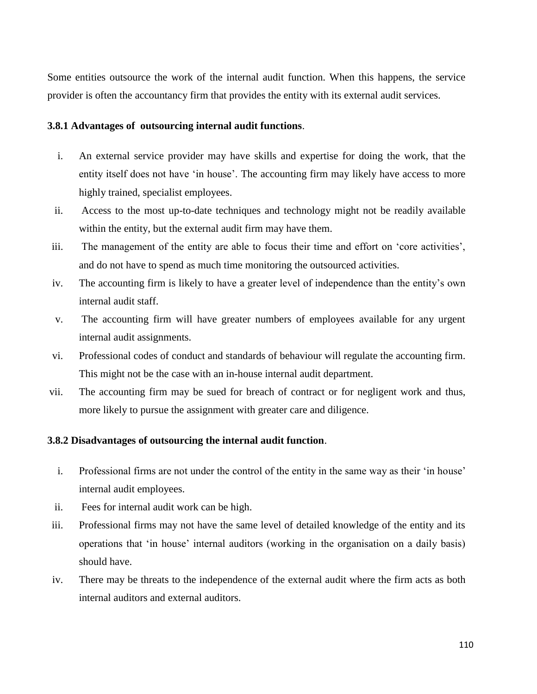Some entities outsource the work of the internal audit function. When this happens, the service provider is often the accountancy firm that provides the entity with its external audit services.

## **3.8.1 Advantages of outsourcing internal audit functions**.

- i. An external service provider may have skills and expertise for doing the work, that the entity itself does not have 'in house'. The accounting firm may likely have access to more highly trained, specialist employees.
- ii. Access to the most up-to-date techniques and technology might not be readily available within the entity, but the external audit firm may have them.
- iii. The management of the entity are able to focus their time and effort on 'core activities', and do not have to spend as much time monitoring the outsourced activities.
- iv. The accounting firm is likely to have a greater level of independence than the entity's own internal audit staff.
- v. The accounting firm will have greater numbers of employees available for any urgent internal audit assignments.
- vi. Professional codes of conduct and standards of behaviour will regulate the accounting firm. This might not be the case with an in-house internal audit department.
- vii. The accounting firm may be sued for breach of contract or for negligent work and thus, more likely to pursue the assignment with greater care and diligence.

#### **3.8.2 Disadvantages of outsourcing the internal audit function**.

- i. Professional firms are not under the control of the entity in the same way as their 'in house' internal audit employees.
- ii. Fees for internal audit work can be high.
- iii. Professional firms may not have the same level of detailed knowledge of the entity and its operations that 'in house' internal auditors (working in the organisation on a daily basis) should have.
- iv. There may be threats to the independence of the external audit where the firm acts as both internal auditors and external auditors.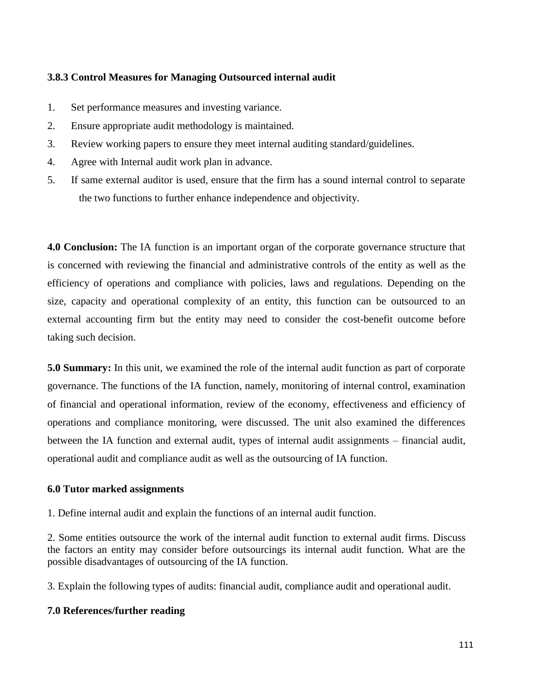# **3.8.3 Control Measures for Managing Outsourced internal audit**

- 1. Set performance measures and investing variance.
- 2. Ensure appropriate audit methodology is maintained.
- 3. Review working papers to ensure they meet internal auditing standard/guidelines.
- 4. Agree with Internal audit work plan in advance.
- 5. If same external auditor is used, ensure that the firm has a sound internal control to separate the two functions to further enhance independence and objectivity.

**4.0 Conclusion:** The IA function is an important organ of the corporate governance structure that is concerned with reviewing the financial and administrative controls of the entity as well as the efficiency of operations and compliance with policies, laws and regulations. Depending on the size, capacity and operational complexity of an entity, this function can be outsourced to an external accounting firm but the entity may need to consider the cost-benefit outcome before taking such decision.

**5.0 Summary:** In this unit, we examined the role of the internal audit function as part of corporate governance. The functions of the IA function, namely, monitoring of internal control, examination of financial and operational information, review of the economy, effectiveness and efficiency of operations and compliance monitoring, were discussed. The unit also examined the differences between the IA function and external audit, types of internal audit assignments – financial audit, operational audit and compliance audit as well as the outsourcing of IA function.

# **6.0 Tutor marked assignments**

1. Define internal audit and explain the functions of an internal audit function.

2. Some entities outsource the work of the internal audit function to external audit firms. Discuss the factors an entity may consider before outsourcings its internal audit function. What are the possible disadvantages of outsourcing of the IA function.

3. Explain the following types of audits: financial audit, compliance audit and operational audit.

# **7.0 References/further reading**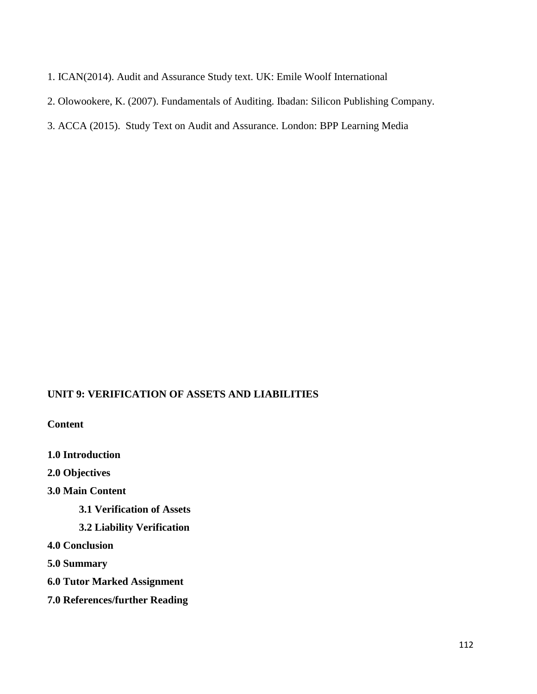- 1. ICAN(2014). Audit and Assurance Study text. UK: Emile Woolf International
- 2. Olowookere, K. (2007). Fundamentals of Auditing. Ibadan: Silicon Publishing Company.
- 3. ACCA (2015). Study Text on Audit and Assurance. London: BPP Learning Media

# **UNIT 9: VERIFICATION OF ASSETS AND LIABILITIES**

**Content**

**1.0 Introduction**

**2.0 Objectives** 

**3.0 Main Content**

**3.1 Verification of Assets**

**3.2 Liability Verification**

**4.0 Conclusion**

**5.0 Summary**

- **6.0 Tutor Marked Assignment**
- **7.0 References/further Reading**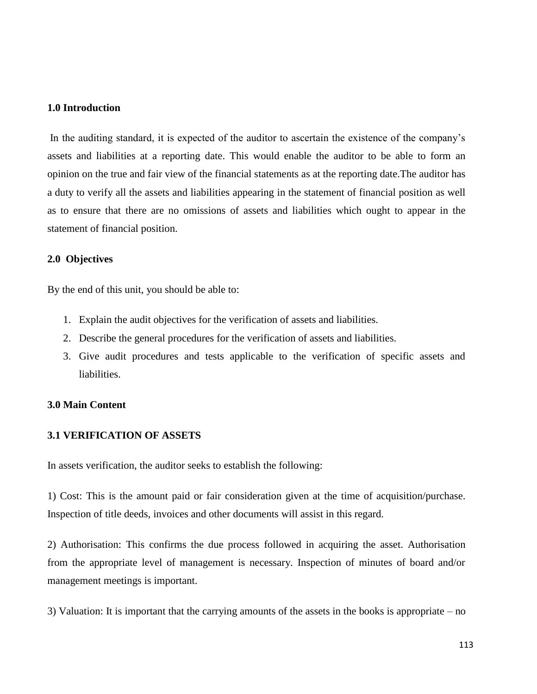#### **1.0 Introduction**

In the auditing standard, it is expected of the auditor to ascertain the existence of the company's assets and liabilities at a reporting date. This would enable the auditor to be able to form an opinion on the true and fair view of the financial statements as at the reporting date.The auditor has a duty to verify all the assets and liabilities appearing in the statement of financial position as well as to ensure that there are no omissions of assets and liabilities which ought to appear in the statement of financial position.

#### **2.0 Objectives**

By the end of this unit, you should be able to:

- 1. Explain the audit objectives for the verification of assets and liabilities.
- 2. Describe the general procedures for the verification of assets and liabilities.
- 3. Give audit procedures and tests applicable to the verification of specific assets and liabilities.

# **3.0 Main Content**

#### **3.1 VERIFICATION OF ASSETS**

In assets verification, the auditor seeks to establish the following:

1) Cost: This is the amount paid or fair consideration given at the time of acquisition/purchase. Inspection of title deeds, invoices and other documents will assist in this regard.

2) Authorisation: This confirms the due process followed in acquiring the asset. Authorisation from the appropriate level of management is necessary. Inspection of minutes of board and/or management meetings is important.

3) Valuation: It is important that the carrying amounts of the assets in the books is appropriate – no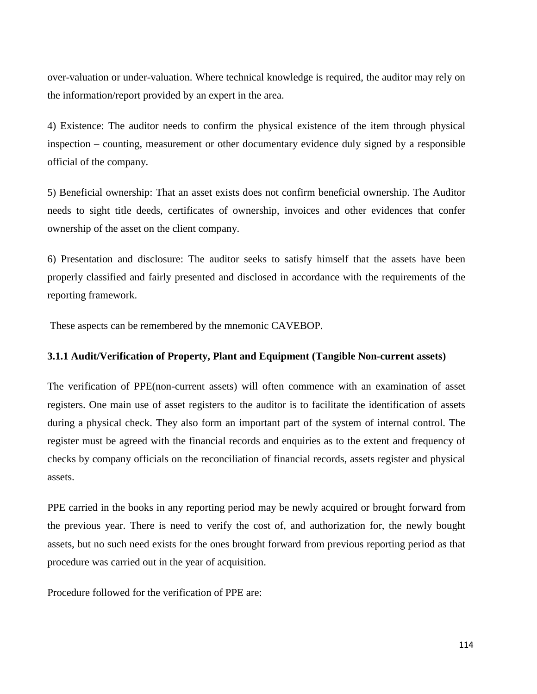over-valuation or under-valuation. Where technical knowledge is required, the auditor may rely on the information/report provided by an expert in the area.

4) Existence: The auditor needs to confirm the physical existence of the item through physical inspection – counting, measurement or other documentary evidence duly signed by a responsible official of the company.

5) Beneficial ownership: That an asset exists does not confirm beneficial ownership. The Auditor needs to sight title deeds, certificates of ownership, invoices and other evidences that confer ownership of the asset on the client company.

6) Presentation and disclosure: The auditor seeks to satisfy himself that the assets have been properly classified and fairly presented and disclosed in accordance with the requirements of the reporting framework.

These aspects can be remembered by the mnemonic CAVEBOP.

# **3.1.1 Audit/Verification of Property, Plant and Equipment (Tangible Non-current assets)**

The verification of PPE(non-current assets) will often commence with an examination of asset registers. One main use of asset registers to the auditor is to facilitate the identification of assets during a physical check. They also form an important part of the system of internal control. The register must be agreed with the financial records and enquiries as to the extent and frequency of checks by company officials on the reconciliation of financial records, assets register and physical assets.

PPE carried in the books in any reporting period may be newly acquired or brought forward from the previous year. There is need to verify the cost of, and authorization for, the newly bought assets, but no such need exists for the ones brought forward from previous reporting period as that procedure was carried out in the year of acquisition.

Procedure followed for the verification of PPE are: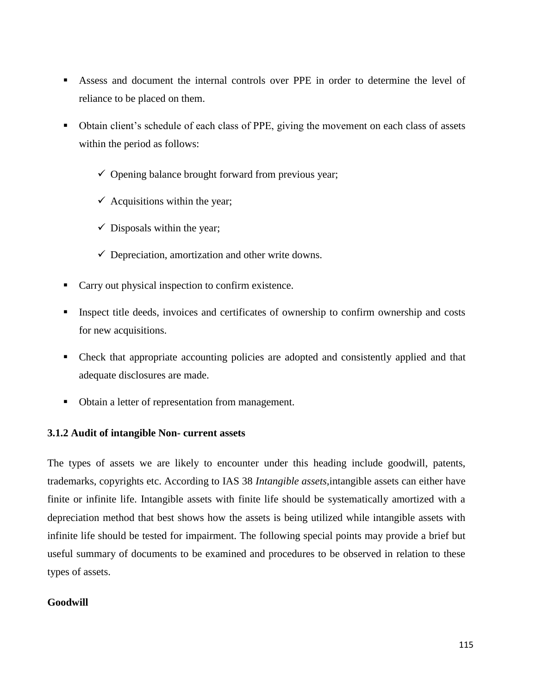- Assess and document the internal controls over PPE in order to determine the level of reliance to be placed on them.
- Obtain client's schedule of each class of PPE, giving the movement on each class of assets within the period as follows:
	- $\checkmark$  Opening balance brought forward from previous year;
	- $\checkmark$  Acquisitions within the year;
	- $\checkmark$  Disposals within the year;
	- $\checkmark$  Depreciation, amortization and other write downs.
- Carry out physical inspection to confirm existence.
- Inspect title deeds, invoices and certificates of ownership to confirm ownership and costs for new acquisitions.
- Check that appropriate accounting policies are adopted and consistently applied and that adequate disclosures are made.
- Obtain a letter of representation from management.

# **3.1.2 Audit of intangible Non- current assets**

The types of assets we are likely to encounter under this heading include goodwill, patents, trademarks, copyrights etc. According to IAS 38 *Intangible assets,*intangible assets can either have finite or infinite life. Intangible assets with finite life should be systematically amortized with a depreciation method that best shows how the assets is being utilized while intangible assets with infinite life should be tested for impairment. The following special points may provide a brief but useful summary of documents to be examined and procedures to be observed in relation to these types of assets.

# **Goodwill**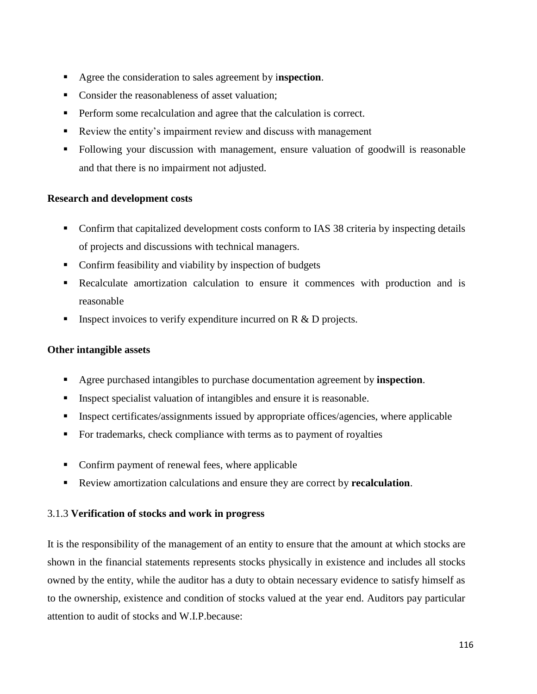- Agree the consideration to sales agreement by i**nspection**.
- Consider the reasonableness of asset valuation:
- **Perform some recalculation and agree that the calculation is correct.**
- Review the entity's impairment review and discuss with management
- Following your discussion with management, ensure valuation of goodwill is reasonable and that there is no impairment not adjusted.

# **Research and development costs**

- Confirm that capitalized development costs conform to IAS 38 criteria by inspecting details of projects and discussions with technical managers.
- Confirm feasibility and viability by inspection of budgets
- Recalculate amortization calculation to ensure it commences with production and is reasonable
- Inspect invoices to verify expenditure incurred on R & D projects.

# **Other intangible assets**

- Agree purchased intangibles to purchase documentation agreement by **inspection**.
- Inspect specialist valuation of intangibles and ensure it is reasonable.
- **Inspect certificates/assignments issued by appropriate offices/agencies, where applicable**
- For trademarks, check compliance with terms as to payment of royalties
- Confirm payment of renewal fees, where applicable
- Review amortization calculations and ensure they are correct by **recalculation**.

# 3.1.3 **Verification of stocks and work in progress**

It is the responsibility of the management of an entity to ensure that the amount at which stocks are shown in the financial statements represents stocks physically in existence and includes all stocks owned by the entity, while the auditor has a duty to obtain necessary evidence to satisfy himself as to the ownership, existence and condition of stocks valued at the year end. Auditors pay particular attention to audit of stocks and W.I.P.because: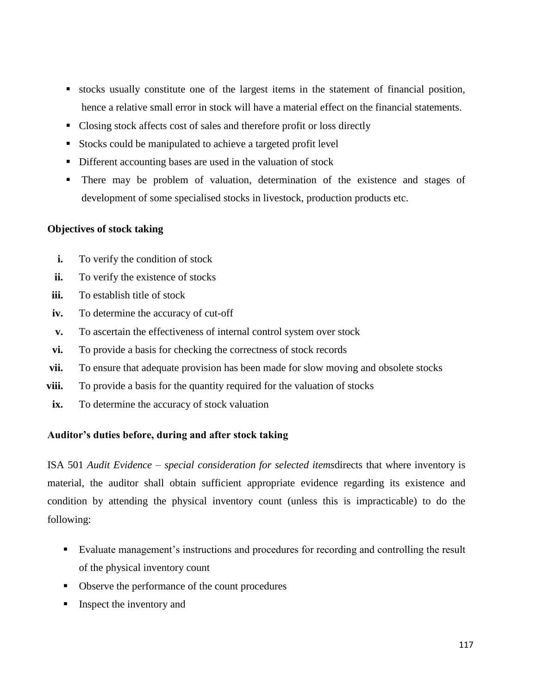- stocks usually constitute one of the largest items in the statement of financial position, hence a relative small error in stock will have a material effect on the financial statements.
- Closing stock affects cost of sales and therefore profit or loss directly
- Stocks could be manipulated to achieve a targeted profit level
- Different accounting bases are used in the valuation of stock
- There may be problem of valuation, determination of the existence and stages of development of some specialised stocks in livestock, production products etc.

#### **Objectives of stock taking**

- **i.** To verify the condition of stock
- **ii.** To verify the existence of stocks
- **iii.** To establish title of stock
- **iv.** To determine the accuracy of cut-off
- **v.** To ascertain the effectiveness of internal control system over stock
- **vi.** To provide a basis for checking the correctness of stock records
- **vii.** To ensure that adequate provision has been made for slow moving and obsolete stocks
- **viii.** To provide a basis for the quantity required for the valuation of stocks
- ix. To determine the accuracy of stock valuation

#### **Auditor's duties before, during and after stock taking**

ISA 501 *Audit Evidence* – *special consideration for selected items*directs that where inventory is material, the auditor shall obtain sufficient appropriate evidence regarding its existence and condition by attending the physical inventory count (unless this is impracticable) to do the following:

- Evaluate management's instructions and procedures for recording and controlling the result of the physical inventory count
- Observe the performance of the count procedures
- Inspect the inventory and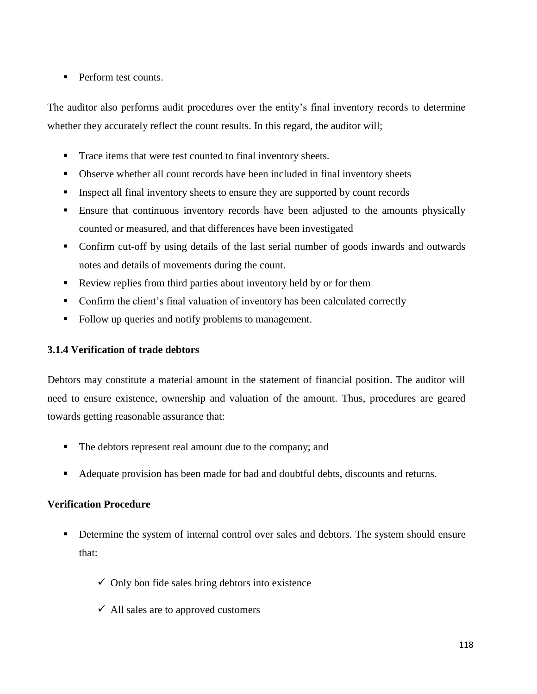Perform test counts.

The auditor also performs audit procedures over the entity's final inventory records to determine whether they accurately reflect the count results. In this regard, the auditor will;

- Trace items that were test counted to final inventory sheets.
- Observe whether all count records have been included in final inventory sheets
- Inspect all final inventory sheets to ensure they are supported by count records
- Ensure that continuous inventory records have been adjusted to the amounts physically counted or measured, and that differences have been investigated
- Confirm cut-off by using details of the last serial number of goods inwards and outwards notes and details of movements during the count.
- Review replies from third parties about inventory held by or for them
- Confirm the client's final valuation of inventory has been calculated correctly
- Follow up queries and notify problems to management.

# **3.1.4 Verification of trade debtors**

Debtors may constitute a material amount in the statement of financial position. The auditor will need to ensure existence, ownership and valuation of the amount. Thus, procedures are geared towards getting reasonable assurance that:

- The debtors represent real amount due to the company; and
- Adequate provision has been made for bad and doubtful debts, discounts and returns.

# **Verification Procedure**

- Determine the system of internal control over sales and debtors. The system should ensure that:
	- $\checkmark$  Only bon fide sales bring debtors into existence
	- $\checkmark$  All sales are to approved customers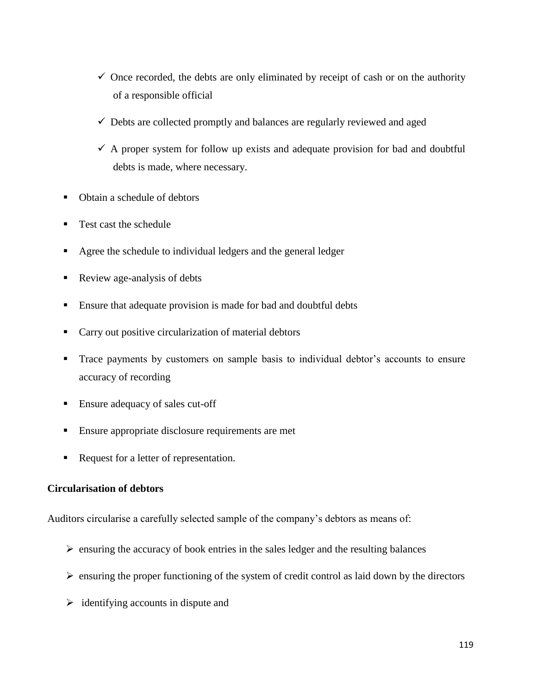- $\checkmark$  Once recorded, the debts are only eliminated by receipt of cash or on the authority of a responsible official
- $\checkmark$  Debts are collected promptly and balances are regularly reviewed and aged
- $\checkmark$  A proper system for follow up exists and adequate provision for bad and doubtful debts is made, where necessary.
- Obtain a schedule of debtors
- Test cast the schedule
- Agree the schedule to individual ledgers and the general ledger
- Review age-analysis of debts
- Ensure that adequate provision is made for bad and doubtful debts
- **Carry out positive circularization of material debtors**
- Trace payments by customers on sample basis to individual debtor's accounts to ensure accuracy of recording
- Ensure adequacy of sales cut-off
- **Ensure appropriate disclosure requirements are met**
- Request for a letter of representation.

# **Circularisation of debtors**

Auditors circularise a carefully selected sample of the company's debtors as means of:

- $\triangleright$  ensuring the accuracy of book entries in the sales ledger and the resulting balances
- $\triangleright$  ensuring the proper functioning of the system of credit control as laid down by the directors
- $\triangleright$  identifying accounts in dispute and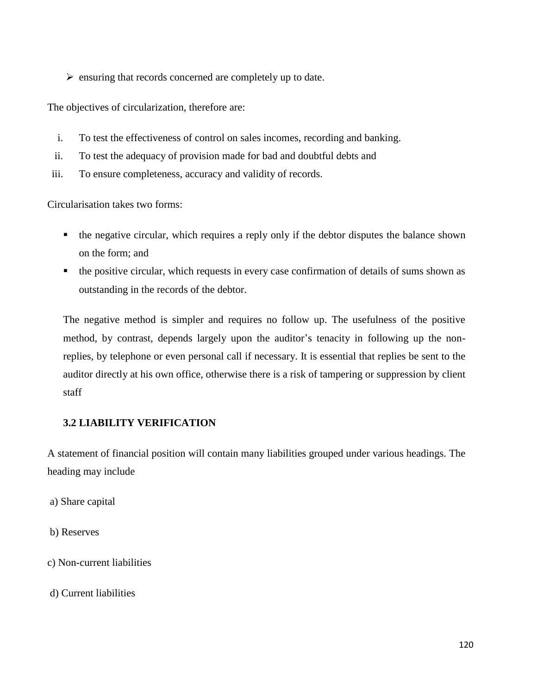$\triangleright$  ensuring that records concerned are completely up to date.

The objectives of circularization, therefore are:

- i. To test the effectiveness of control on sales incomes, recording and banking.
- ii. To test the adequacy of provision made for bad and doubtful debts and
- iii. To ensure completeness, accuracy and validity of records.

Circularisation takes two forms:

- the negative circular, which requires a reply only if the debtor disputes the balance shown on the form; and
- the positive circular, which requests in every case confirmation of details of sums shown as outstanding in the records of the debtor.

The negative method is simpler and requires no follow up. The usefulness of the positive method, by contrast, depends largely upon the auditor's tenacity in following up the nonreplies, by telephone or even personal call if necessary. It is essential that replies be sent to the auditor directly at his own office, otherwise there is a risk of tampering or suppression by client staff

# **3.2 LIABILITY VERIFICATION**

A statement of financial position will contain many liabilities grouped under various headings. The heading may include

a) Share capital

b) Reserves

c) Non-current liabilities

d) Current liabilities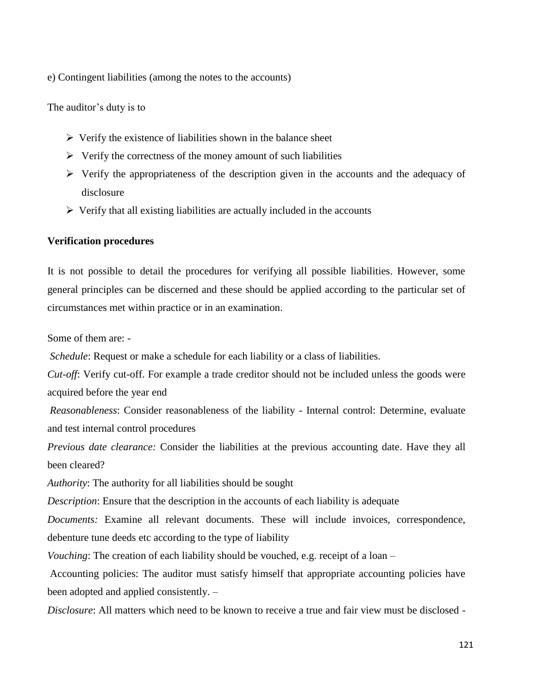e) Contingent liabilities (among the notes to the accounts)

The auditor's duty is to

- $\triangleright$  Verify the existence of liabilities shown in the balance sheet
- $\triangleright$  Verify the correctness of the money amount of such liabilities
- $\triangleright$  Verify the appropriateness of the description given in the accounts and the adequacy of disclosure
- $\triangleright$  Verify that all existing liabilities are actually included in the accounts

#### **Verification procedures**

It is not possible to detail the procedures for verifying all possible liabilities. However, some general principles can be discerned and these should be applied according to the particular set of circumstances met within practice or in an examination.

Some of them are: -

*Schedule*: Request or make a schedule for each liability or a class of liabilities.

*Cut-off*: Verify cut-off. For example a trade creditor should not be included unless the goods were acquired before the year end

*Reasonableness*: Consider reasonableness of the liability - Internal control: Determine, evaluate and test internal control procedures

*Previous date clearance:* Consider the liabilities at the previous accounting date. Have they all been cleared?

*Authority*: The authority for all liabilities should be sought

*Description*: Ensure that the description in the accounts of each liability is adequate

*Documents:* Examine all relevant documents. These will include invoices, correspondence, debenture tune deeds etc according to the type of liability

*Vouching*: The creation of each liability should be vouched, e.g. receipt of a loan –

Accounting policies: The auditor must satisfy himself that appropriate accounting policies have been adopted and applied consistently. –

*Disclosure*: All matters which need to be known to receive a true and fair view must be disclosed -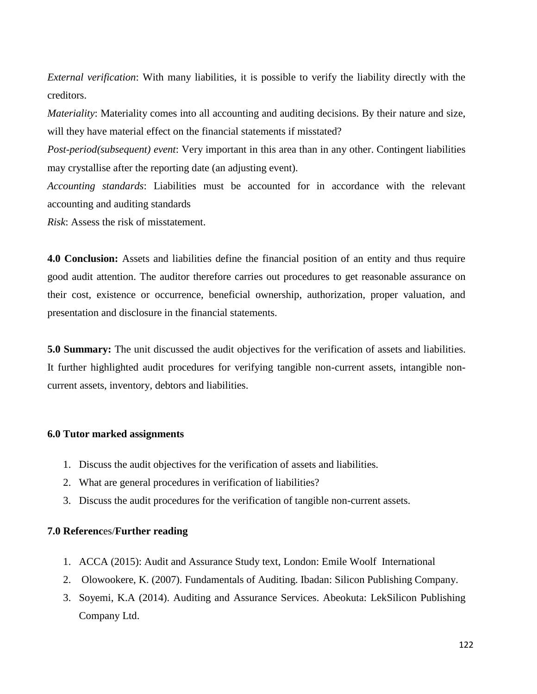*External verification*: With many liabilities, it is possible to verify the liability directly with the creditors.

*Materiality*: Materiality comes into all accounting and auditing decisions. By their nature and size, will they have material effect on the financial statements if misstated?

*Post-period(subsequent) event*: Very important in this area than in any other. Contingent liabilities may crystallise after the reporting date (an adjusting event).

*Accounting standards*: Liabilities must be accounted for in accordance with the relevant accounting and auditing standards

*Risk*: Assess the risk of misstatement.

**4.0 Conclusion:** Assets and liabilities define the financial position of an entity and thus require good audit attention. The auditor therefore carries out procedures to get reasonable assurance on their cost, existence or occurrence, beneficial ownership, authorization, proper valuation, and presentation and disclosure in the financial statements.

**5.0 Summary:** The unit discussed the audit objectives for the verification of assets and liabilities. It further highlighted audit procedures for verifying tangible non-current assets, intangible noncurrent assets, inventory, debtors and liabilities.

#### **6.0 Tutor marked assignments**

- 1. Discuss the audit objectives for the verification of assets and liabilities.
- 2. What are general procedures in verification of liabilities?
- 3. Discuss the audit procedures for the verification of tangible non-current assets.

#### **7.0 Referenc**es/**Further reading**

- 1. ACCA (2015): Audit and Assurance Study text, London: Emile Woolf International
- 2. Olowookere, K. (2007). Fundamentals of Auditing. Ibadan: Silicon Publishing Company.
- 3. Soyemi, K.A (2014). Auditing and Assurance Services. Abeokuta: LekSilicon Publishing Company Ltd.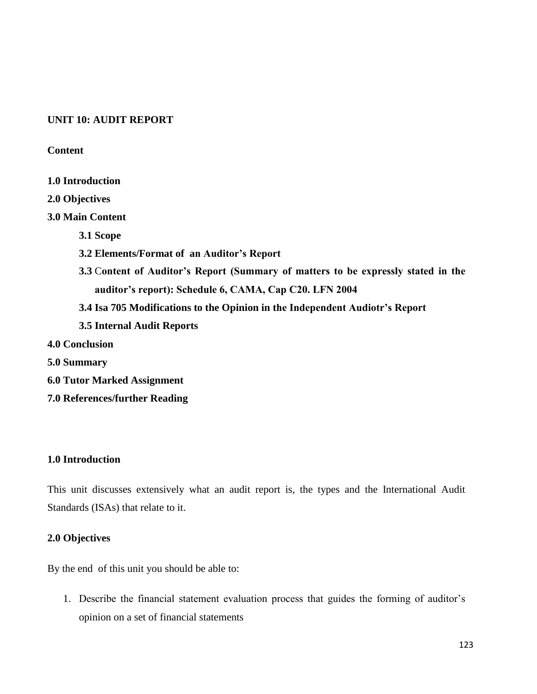# **UNIT 10: AUDIT REPORT**

## **Content**

- **1.0 Introduction**
- **2.0 Objectives**

## **3.0 Main Content**

- **3.1 Scope**
- **3.2 Elements/Format of an Auditor's Report**
- **3.3** C**ontent of Auditor's Report (Summary of matters to be expressly stated in the auditor's report): Schedule 6, CAMA, Cap C20. LFN 2004**
- **3.4 Isa 705 Modifications to the Opinion in the Independent Audiotr's Report**
- **3.5 Internal Audit Reports**
- **4.0 Conclusion**
- **5.0 Summary**
- **6.0 Tutor Marked Assignment**
- **7.0 References/further Reading**

# **1.0 Introduction**

This unit discusses extensively what an audit report is, the types and the International Audit Standards (ISAs) that relate to it.

#### **2.0 Objectives**

By the end of this unit you should be able to:

1. Describe the financial statement evaluation process that guides the forming of auditor's opinion on a set of financial statements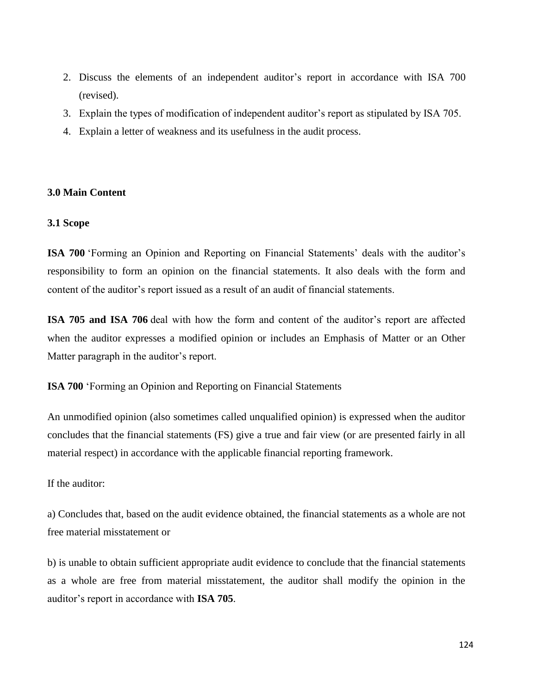- 2. Discuss the elements of an independent auditor's report in accordance with ISA 700 (revised).
- 3. Explain the types of modification of independent auditor's report as stipulated by ISA 705.
- 4. Explain a letter of weakness and its usefulness in the audit process.

#### **3.0 Main Content**

#### **3.1 Scope**

**ISA 700** 'Forming an Opinion and Reporting on Financial Statements' deals with the auditor's responsibility to form an opinion on the financial statements. It also deals with the form and content of the auditor's report issued as a result of an audit of financial statements.

**ISA 705 and ISA 706** deal with how the form and content of the auditor's report are affected when the auditor expresses a modified opinion or includes an Emphasis of Matter or an Other Matter paragraph in the auditor's report.

**ISA 700** 'Forming an Opinion and Reporting on Financial Statements

An unmodified opinion (also sometimes called unqualified opinion) is expressed when the auditor concludes that the financial statements (FS) give a true and fair view (or are presented fairly in all material respect) in accordance with the applicable financial reporting framework.

If the auditor:

a) Concludes that, based on the audit evidence obtained, the financial statements as a whole are not free material misstatement or

b) is unable to obtain sufficient appropriate audit evidence to conclude that the financial statements as a whole are free from material misstatement, the auditor shall modify the opinion in the auditor's report in accordance with **ISA 705**.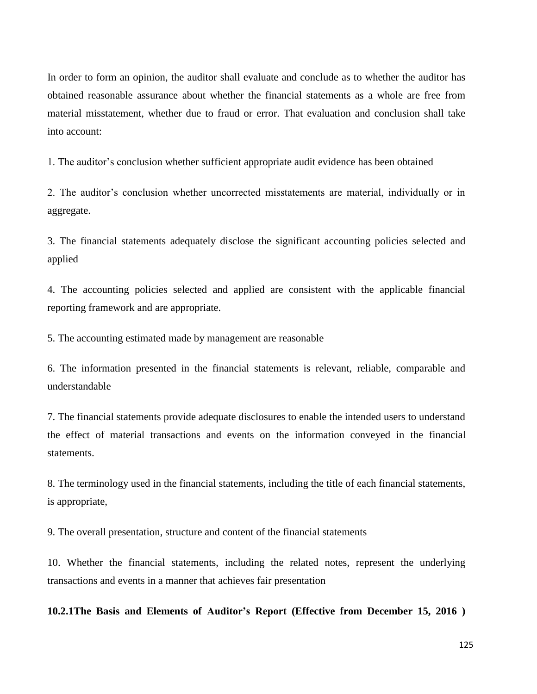In order to form an opinion, the auditor shall evaluate and conclude as to whether the auditor has obtained reasonable assurance about whether the financial statements as a whole are free from material misstatement, whether due to fraud or error. That evaluation and conclusion shall take into account:

1. The auditor's conclusion whether sufficient appropriate audit evidence has been obtained

2. The auditor's conclusion whether uncorrected misstatements are material, individually or in aggregate.

3. The financial statements adequately disclose the significant accounting policies selected and applied

4. The accounting policies selected and applied are consistent with the applicable financial reporting framework and are appropriate.

5. The accounting estimated made by management are reasonable

6. The information presented in the financial statements is relevant, reliable, comparable and understandable

7. The financial statements provide adequate disclosures to enable the intended users to understand the effect of material transactions and events on the information conveyed in the financial statements.

8. The terminology used in the financial statements, including the title of each financial statements, is appropriate,

9. The overall presentation, structure and content of the financial statements

10. Whether the financial statements, including the related notes, represent the underlying transactions and events in a manner that achieves fair presentation

**10.2.1The Basis and Elements of Auditor's Report (Effective from December 15, 2016 )**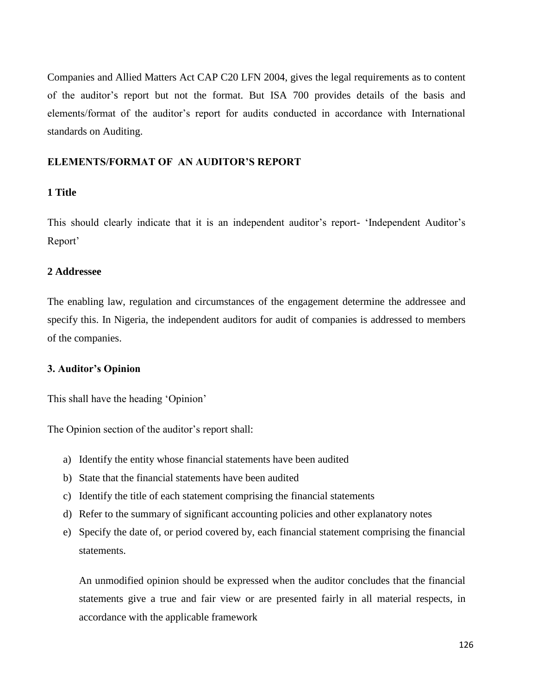Companies and Allied Matters Act CAP C20 LFN 2004, gives the legal requirements as to content of the auditor's report but not the format. But ISA 700 provides details of the basis and elements/format of the auditor's report for audits conducted in accordance with International standards on Auditing.

# **ELEMENTS/FORMAT OF AN AUDITOR'S REPORT**

#### **1 Title**

This should clearly indicate that it is an independent auditor's report- 'Independent Auditor's Report'

## **2 Addressee**

The enabling law, regulation and circumstances of the engagement determine the addressee and specify this. In Nigeria, the independent auditors for audit of companies is addressed to members of the companies.

#### **3. Auditor's Opinion**

This shall have the heading 'Opinion'

The Opinion section of the auditor's report shall:

- a) Identify the entity whose financial statements have been audited
- b) State that the financial statements have been audited
- c) Identify the title of each statement comprising the financial statements
- d) Refer to the summary of significant accounting policies and other explanatory notes
- e) Specify the date of, or period covered by, each financial statement comprising the financial statements.

An unmodified opinion should be expressed when the auditor concludes that the financial statements give a true and fair view or are presented fairly in all material respects, in accordance with the applicable framework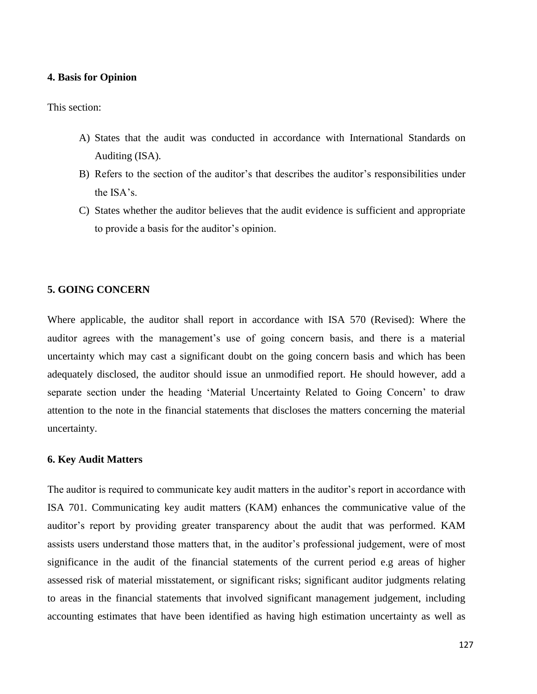#### **4. Basis for Opinion**

This section:

- A) States that the audit was conducted in accordance with International Standards on Auditing (ISA).
- B) Refers to the section of the auditor's that describes the auditor's responsibilities under the ISA's.
- C) States whether the auditor believes that the audit evidence is sufficient and appropriate to provide a basis for the auditor's opinion.

#### **5. GOING CONCERN**

Where applicable, the auditor shall report in accordance with ISA 570 (Revised): Where the auditor agrees with the management's use of going concern basis, and there is a material uncertainty which may cast a significant doubt on the going concern basis and which has been adequately disclosed, the auditor should issue an unmodified report. He should however, add a separate section under the heading 'Material Uncertainty Related to Going Concern' to draw attention to the note in the financial statements that discloses the matters concerning the material uncertainty.

#### **6. Key Audit Matters**

The auditor is required to communicate key audit matters in the auditor's report in accordance with ISA 701. Communicating key audit matters (KAM) enhances the communicative value of the auditor's report by providing greater transparency about the audit that was performed. KAM assists users understand those matters that, in the auditor's professional judgement, were of most significance in the audit of the financial statements of the current period e.g areas of higher assessed risk of material misstatement, or significant risks; significant auditor judgments relating to areas in the financial statements that involved significant management judgement, including accounting estimates that have been identified as having high estimation uncertainty as well as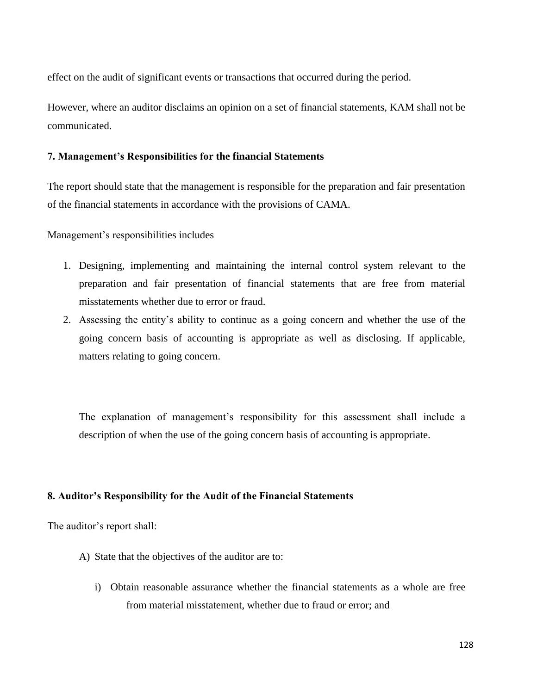effect on the audit of significant events or transactions that occurred during the period.

However, where an auditor disclaims an opinion on a set of financial statements, KAM shall not be communicated.

# **7. Management's Responsibilities for the financial Statements**

The report should state that the management is responsible for the preparation and fair presentation of the financial statements in accordance with the provisions of CAMA.

Management's responsibilities includes

- 1. Designing, implementing and maintaining the internal control system relevant to the preparation and fair presentation of financial statements that are free from material misstatements whether due to error or fraud.
- 2. Assessing the entity's ability to continue as a going concern and whether the use of the going concern basis of accounting is appropriate as well as disclosing. If applicable, matters relating to going concern.

The explanation of management's responsibility for this assessment shall include a description of when the use of the going concern basis of accounting is appropriate.

# **8. Auditor's Responsibility for the Audit of the Financial Statements**

The auditor's report shall:

- A) State that the objectives of the auditor are to:
	- i) Obtain reasonable assurance whether the financial statements as a whole are free from material misstatement, whether due to fraud or error; and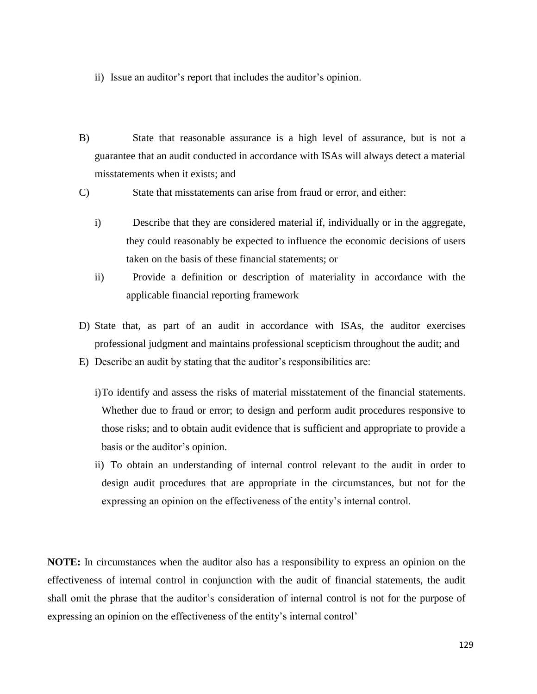- ii) Issue an auditor's report that includes the auditor's opinion.
- B) State that reasonable assurance is a high level of assurance, but is not a guarantee that an audit conducted in accordance with ISAs will always detect a material misstatements when it exists; and

C) State that misstatements can arise from fraud or error, and either:

- i) Describe that they are considered material if, individually or in the aggregate, they could reasonably be expected to influence the economic decisions of users taken on the basis of these financial statements; or
- ii) Provide a definition or description of materiality in accordance with the applicable financial reporting framework
- D) State that, as part of an audit in accordance with ISAs, the auditor exercises professional judgment and maintains professional scepticism throughout the audit; and
- E) Describe an audit by stating that the auditor's responsibilities are:
	- i)To identify and assess the risks of material misstatement of the financial statements. Whether due to fraud or error; to design and perform audit procedures responsive to those risks; and to obtain audit evidence that is sufficient and appropriate to provide a basis or the auditor's opinion.
	- ii) To obtain an understanding of internal control relevant to the audit in order to design audit procedures that are appropriate in the circumstances, but not for the expressing an opinion on the effectiveness of the entity's internal control.

**NOTE:** In circumstances when the auditor also has a responsibility to express an opinion on the effectiveness of internal control in conjunction with the audit of financial statements, the audit shall omit the phrase that the auditor's consideration of internal control is not for the purpose of expressing an opinion on the effectiveness of the entity's internal control'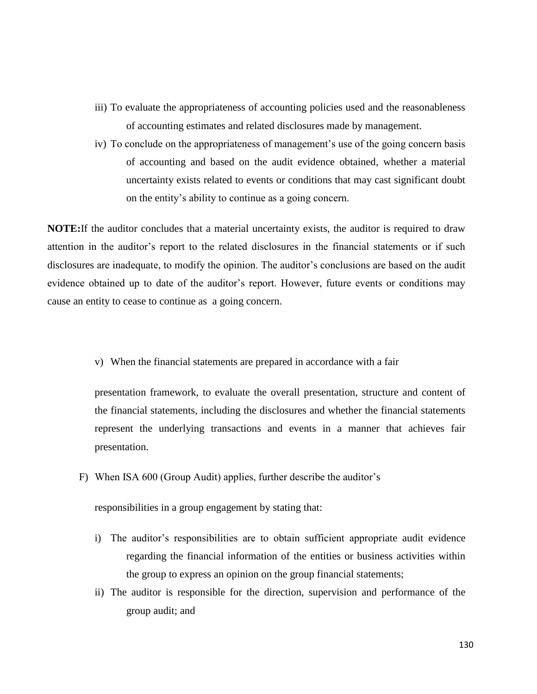- iii) To evaluate the appropriateness of accounting policies used and the reasonableness of accounting estimates and related disclosures made by management.
- iv) To conclude on the appropriateness of management's use of the going concern basis of accounting and based on the audit evidence obtained, whether a material uncertainty exists related to events or conditions that may cast significant doubt on the entity's ability to continue as a going concern.

**NOTE:**If the auditor concludes that a material uncertainty exists, the auditor is required to draw attention in the auditor's report to the related disclosures in the financial statements or if such disclosures are inadequate, to modify the opinion. The auditor's conclusions are based on the audit evidence obtained up to date of the auditor's report. However, future events or conditions may cause an entity to cease to continue as a going concern.

v) When the financial statements are prepared in accordance with a fair

presentation framework, to evaluate the overall presentation, structure and content of the financial statements, including the disclosures and whether the financial statements represent the underlying transactions and events in a manner that achieves fair presentation.

F) When ISA 600 (Group Audit) applies, further describe the auditor's

responsibilities in a group engagement by stating that:

- i) The auditor's responsibilities are to obtain sufficient appropriate audit evidence regarding the financial information of the entities or business activities within the group to express an opinion on the group financial statements;
- ii) The auditor is responsible for the direction, supervision and performance of the group audit; and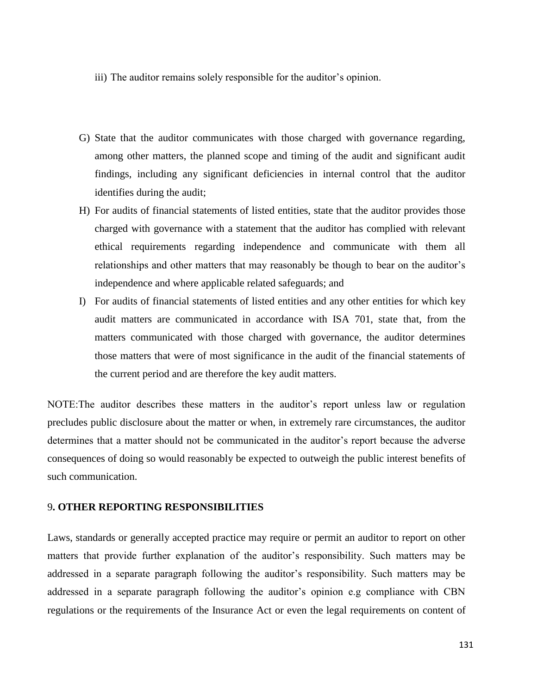- iii) The auditor remains solely responsible for the auditor's opinion.
- G) State that the auditor communicates with those charged with governance regarding, among other matters, the planned scope and timing of the audit and significant audit findings, including any significant deficiencies in internal control that the auditor identifies during the audit;
- H) For audits of financial statements of listed entities, state that the auditor provides those charged with governance with a statement that the auditor has complied with relevant ethical requirements regarding independence and communicate with them all relationships and other matters that may reasonably be though to bear on the auditor's independence and where applicable related safeguards; and
- I) For audits of financial statements of listed entities and any other entities for which key audit matters are communicated in accordance with ISA 701, state that, from the matters communicated with those charged with governance, the auditor determines those matters that were of most significance in the audit of the financial statements of the current period and are therefore the key audit matters.

NOTE:The auditor describes these matters in the auditor's report unless law or regulation precludes public disclosure about the matter or when, in extremely rare circumstances, the auditor determines that a matter should not be communicated in the auditor's report because the adverse consequences of doing so would reasonably be expected to outweigh the public interest benefits of such communication.

#### 9**. OTHER REPORTING RESPONSIBILITIES**

Laws, standards or generally accepted practice may require or permit an auditor to report on other matters that provide further explanation of the auditor's responsibility. Such matters may be addressed in a separate paragraph following the auditor's responsibility. Such matters may be addressed in a separate paragraph following the auditor's opinion e.g compliance with CBN regulations or the requirements of the Insurance Act or even the legal requirements on content of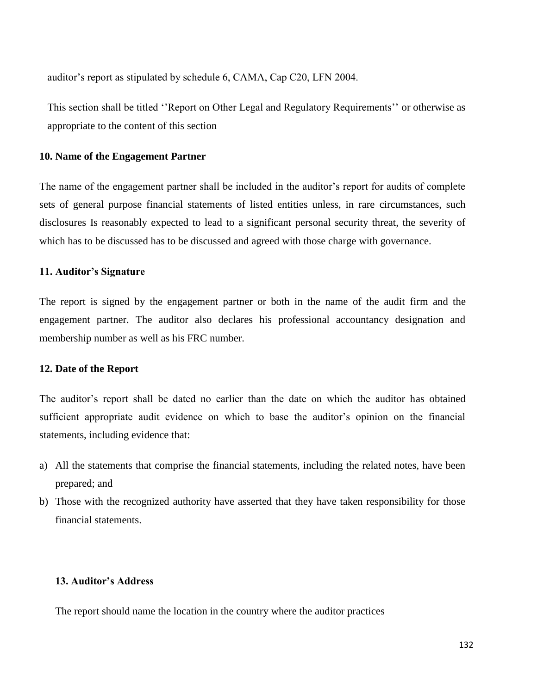auditor's report as stipulated by schedule 6, CAMA, Cap C20, LFN 2004.

This section shall be titled ''Report on Other Legal and Regulatory Requirements'' or otherwise as appropriate to the content of this section

#### **10. Name of the Engagement Partner**

The name of the engagement partner shall be included in the auditor's report for audits of complete sets of general purpose financial statements of listed entities unless, in rare circumstances, such disclosures Is reasonably expected to lead to a significant personal security threat, the severity of which has to be discussed has to be discussed and agreed with those charge with governance.

#### **11. Auditor's Signature**

The report is signed by the engagement partner or both in the name of the audit firm and the engagement partner. The auditor also declares his professional accountancy designation and membership number as well as his FRC number.

# **12. Date of the Report**

The auditor's report shall be dated no earlier than the date on which the auditor has obtained sufficient appropriate audit evidence on which to base the auditor's opinion on the financial statements, including evidence that:

- a) All the statements that comprise the financial statements, including the related notes, have been prepared; and
- b) Those with the recognized authority have asserted that they have taken responsibility for those financial statements.

# **13. Auditor's Address**

The report should name the location in the country where the auditor practices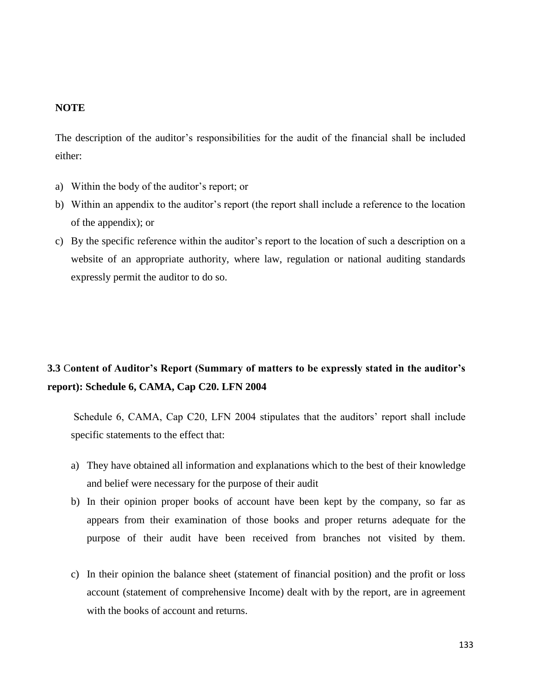# **NOTE**

The description of the auditor's responsibilities for the audit of the financial shall be included either:

- a) Within the body of the auditor's report; or
- b) Within an appendix to the auditor's report (the report shall include a reference to the location of the appendix); or
- c) By the specific reference within the auditor's report to the location of such a description on a website of an appropriate authority, where law, regulation or national auditing standards expressly permit the auditor to do so.

# **3.3** C**ontent of Auditor's Report (Summary of matters to be expressly stated in the auditor's report): Schedule 6, CAMA, Cap C20. LFN 2004**

Schedule 6, CAMA, Cap C20, LFN 2004 stipulates that the auditors' report shall include specific statements to the effect that:

- a) They have obtained all information and explanations which to the best of their knowledge and belief were necessary for the purpose of their audit
- b) In their opinion proper books of account have been kept by the company, so far as appears from their examination of those books and proper returns adequate for the purpose of their audit have been received from branches not visited by them.
- c) In their opinion the balance sheet (statement of financial position) and the profit or loss account (statement of comprehensive Income) dealt with by the report, are in agreement with the books of account and returns.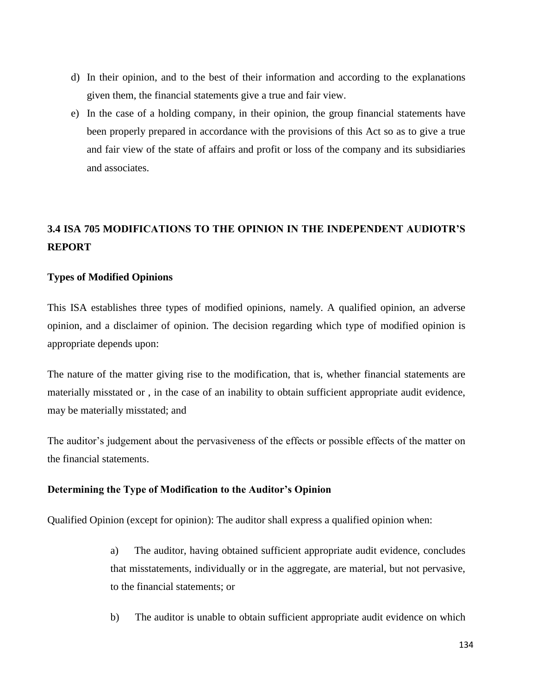- d) In their opinion, and to the best of their information and according to the explanations given them, the financial statements give a true and fair view.
- e) In the case of a holding company, in their opinion, the group financial statements have been properly prepared in accordance with the provisions of this Act so as to give a true and fair view of the state of affairs and profit or loss of the company and its subsidiaries and associates.

# **3.4 ISA 705 MODIFICATIONS TO THE OPINION IN THE INDEPENDENT AUDIOTR'S REPORT**

# **Types of Modified Opinions**

This ISA establishes three types of modified opinions, namely. A qualified opinion, an adverse opinion, and a disclaimer of opinion. The decision regarding which type of modified opinion is appropriate depends upon:

The nature of the matter giving rise to the modification, that is, whether financial statements are materially misstated or , in the case of an inability to obtain sufficient appropriate audit evidence, may be materially misstated; and

The auditor's judgement about the pervasiveness of the effects or possible effects of the matter on the financial statements.

# **Determining the Type of Modification to the Auditor's Opinion**

Qualified Opinion (except for opinion): The auditor shall express a qualified opinion when:

a) The auditor, having obtained sufficient appropriate audit evidence, concludes that misstatements, individually or in the aggregate, are material, but not pervasive, to the financial statements; or

b) The auditor is unable to obtain sufficient appropriate audit evidence on which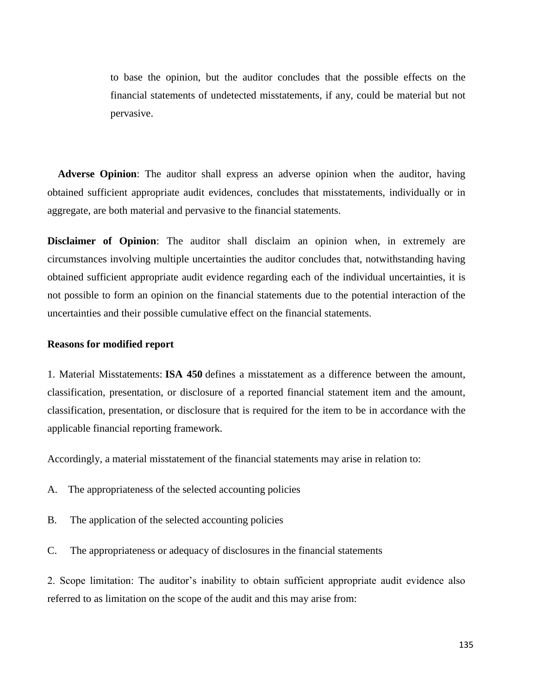to base the opinion, but the auditor concludes that the possible effects on the financial statements of undetected misstatements, if any, could be material but not pervasive.

 **Adverse Opinion**: The auditor shall express an adverse opinion when the auditor, having obtained sufficient appropriate audit evidences, concludes that misstatements, individually or in aggregate, are both material and pervasive to the financial statements.

**Disclaimer of Opinion**: The auditor shall disclaim an opinion when, in extremely are circumstances involving multiple uncertainties the auditor concludes that, notwithstanding having obtained sufficient appropriate audit evidence regarding each of the individual uncertainties, it is not possible to form an opinion on the financial statements due to the potential interaction of the uncertainties and their possible cumulative effect on the financial statements.

#### **Reasons for modified report**

1. Material Misstatements: **ISA 450** defines a misstatement as a difference between the amount, classification, presentation, or disclosure of a reported financial statement item and the amount, classification, presentation, or disclosure that is required for the item to be in accordance with the applicable financial reporting framework.

Accordingly, a material misstatement of the financial statements may arise in relation to:

- A. The appropriateness of the selected accounting policies
- B. The application of the selected accounting policies
- C. The appropriateness or adequacy of disclosures in the financial statements

2. Scope limitation: The auditor's inability to obtain sufficient appropriate audit evidence also referred to as limitation on the scope of the audit and this may arise from: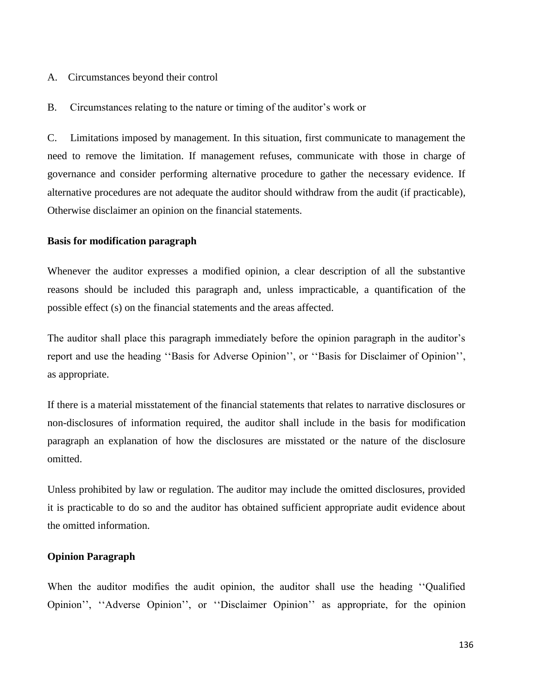#### A. Circumstances beyond their control

B. Circumstances relating to the nature or timing of the auditor's work or

C. Limitations imposed by management. In this situation, first communicate to management the need to remove the limitation. If management refuses, communicate with those in charge of governance and consider performing alternative procedure to gather the necessary evidence. If alternative procedures are not adequate the auditor should withdraw from the audit (if practicable), Otherwise disclaimer an opinion on the financial statements.

#### **Basis for modification paragraph**

Whenever the auditor expresses a modified opinion, a clear description of all the substantive reasons should be included this paragraph and, unless impracticable, a quantification of the possible effect (s) on the financial statements and the areas affected.

The auditor shall place this paragraph immediately before the opinion paragraph in the auditor's report and use the heading ''Basis for Adverse Opinion'', or ''Basis for Disclaimer of Opinion'', as appropriate.

If there is a material misstatement of the financial statements that relates to narrative disclosures or non-disclosures of information required, the auditor shall include in the basis for modification paragraph an explanation of how the disclosures are misstated or the nature of the disclosure omitted.

Unless prohibited by law or regulation. The auditor may include the omitted disclosures, provided it is practicable to do so and the auditor has obtained sufficient appropriate audit evidence about the omitted information.

#### **Opinion Paragraph**

When the auditor modifies the audit opinion, the auditor shall use the heading ''Qualified Opinion'', ''Adverse Opinion'', or ''Disclaimer Opinion'' as appropriate, for the opinion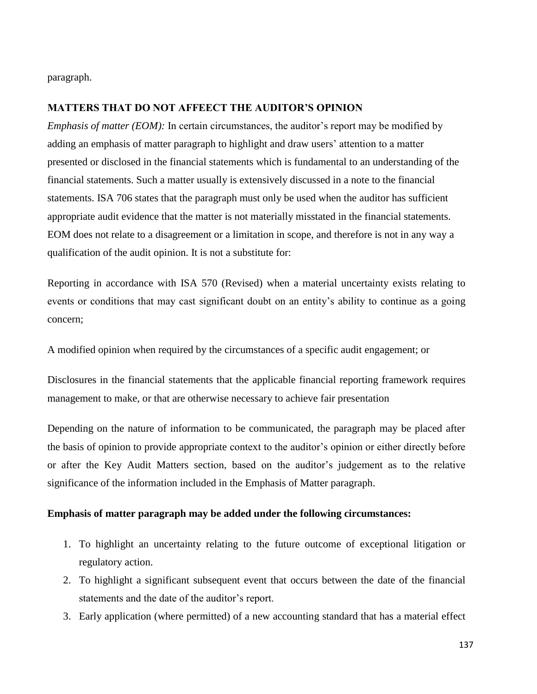paragraph.

## **MATTERS THAT DO NOT AFFEECT THE AUDITOR'S OPINION**

*Emphasis of matter (EOM):* In certain circumstances, the auditor's report may be modified by adding an emphasis of matter paragraph to highlight and draw users' attention to a matter presented or disclosed in the financial statements which is fundamental to an understanding of the financial statements. Such a matter usually is extensively discussed in a note to the financial statements. ISA 706 states that the paragraph must only be used when the auditor has sufficient appropriate audit evidence that the matter is not materially misstated in the financial statements. EOM does not relate to a disagreement or a limitation in scope, and therefore is not in any way a qualification of the audit opinion. It is not a substitute for:

Reporting in accordance with ISA 570 (Revised) when a material uncertainty exists relating to events or conditions that may cast significant doubt on an entity's ability to continue as a going concern;

A modified opinion when required by the circumstances of a specific audit engagement; or

Disclosures in the financial statements that the applicable financial reporting framework requires management to make, or that are otherwise necessary to achieve fair presentation

Depending on the nature of information to be communicated, the paragraph may be placed after the basis of opinion to provide appropriate context to the auditor's opinion or either directly before or after the Key Audit Matters section, based on the auditor's judgement as to the relative significance of the information included in the Emphasis of Matter paragraph.

#### **Emphasis of matter paragraph may be added under the following circumstances:**

- 1. To highlight an uncertainty relating to the future outcome of exceptional litigation or regulatory action.
- 2. To highlight a significant subsequent event that occurs between the date of the financial statements and the date of the auditor's report.
- 3. Early application (where permitted) of a new accounting standard that has a material effect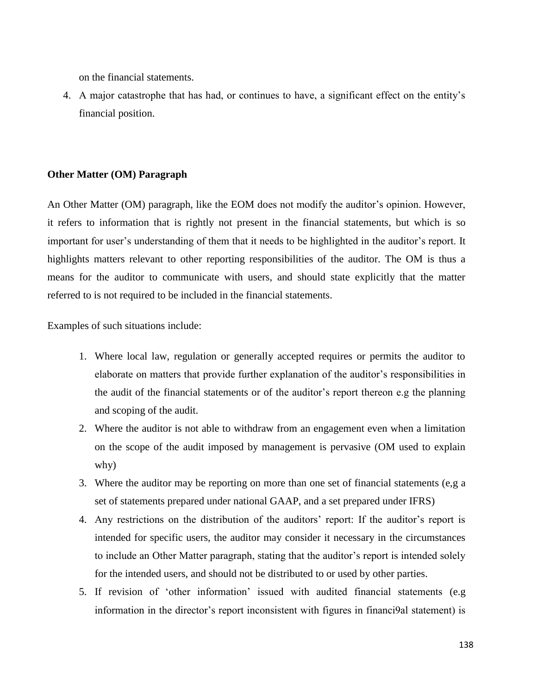on the financial statements.

4. A major catastrophe that has had, or continues to have, a significant effect on the entity's financial position.

# **Other Matter (OM) Paragraph**

An Other Matter (OM) paragraph, like the EOM does not modify the auditor's opinion. However, it refers to information that is rightly not present in the financial statements, but which is so important for user's understanding of them that it needs to be highlighted in the auditor's report. It highlights matters relevant to other reporting responsibilities of the auditor. The OM is thus a means for the auditor to communicate with users, and should state explicitly that the matter referred to is not required to be included in the financial statements.

Examples of such situations include:

- 1. Where local law, regulation or generally accepted requires or permits the auditor to elaborate on matters that provide further explanation of the auditor's responsibilities in the audit of the financial statements or of the auditor's report thereon e.g the planning and scoping of the audit.
- 2. Where the auditor is not able to withdraw from an engagement even when a limitation on the scope of the audit imposed by management is pervasive (OM used to explain why)
- 3. Where the auditor may be reporting on more than one set of financial statements (e,g a set of statements prepared under national GAAP, and a set prepared under IFRS)
- 4. Any restrictions on the distribution of the auditors' report: If the auditor's report is intended for specific users, the auditor may consider it necessary in the circumstances to include an Other Matter paragraph, stating that the auditor's report is intended solely for the intended users, and should not be distributed to or used by other parties.
- 5. If revision of 'other information' issued with audited financial statements (e.g information in the director's report inconsistent with figures in financi9al statement) is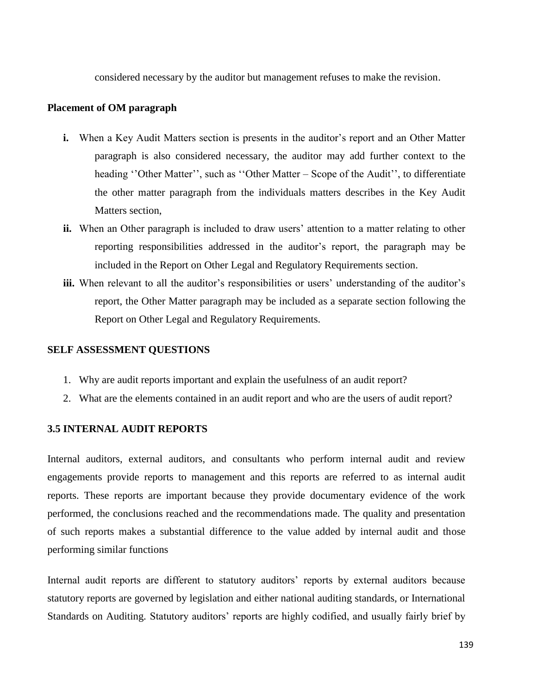considered necessary by the auditor but management refuses to make the revision.

#### **Placement of OM paragraph**

- **i.** When a Key Audit Matters section is presents in the auditor's report and an Other Matter paragraph is also considered necessary, the auditor may add further context to the heading "Other Matter", such as "Other Matter – Scope of the Audit", to differentiate the other matter paragraph from the individuals matters describes in the Key Audit Matters section,
- **ii.** When an Other paragraph is included to draw users' attention to a matter relating to other reporting responsibilities addressed in the auditor's report, the paragraph may be included in the Report on Other Legal and Regulatory Requirements section.
- iii. When relevant to all the auditor's responsibilities or users' understanding of the auditor's report, the Other Matter paragraph may be included as a separate section following the Report on Other Legal and Regulatory Requirements.

#### **SELF ASSESSMENT QUESTIONS**

- 1. Why are audit reports important and explain the usefulness of an audit report?
- 2. What are the elements contained in an audit report and who are the users of audit report?

# **3.5 INTERNAL AUDIT REPORTS**

Internal auditors, external auditors, and consultants who perform internal audit and review engagements provide reports to management and this reports are referred to as internal audit reports. These reports are important because they provide documentary evidence of the work performed, the conclusions reached and the recommendations made. The quality and presentation of such reports makes a substantial difference to the value added by internal audit and those performing similar functions

Internal audit reports are different to statutory auditors' reports by external auditors because statutory reports are governed by legislation and either national auditing standards, or International Standards on Auditing. Statutory auditors' reports are highly codified, and usually fairly brief by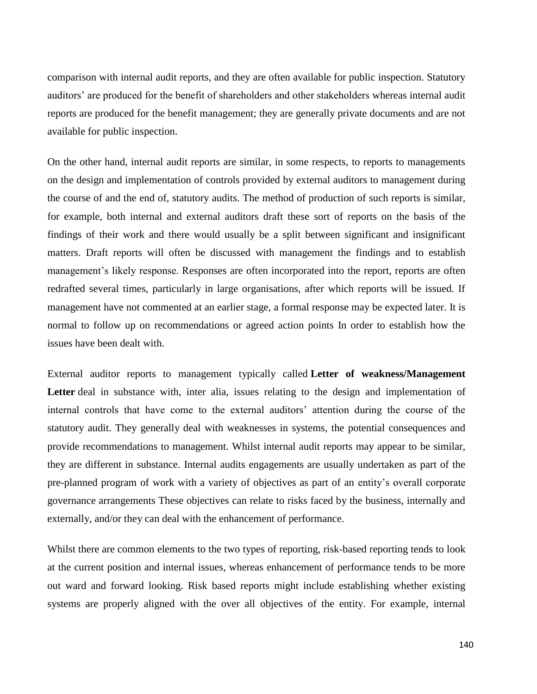comparison with internal audit reports, and they are often available for public inspection. Statutory auditors' are produced for the benefit of shareholders and other stakeholders whereas internal audit reports are produced for the benefit management; they are generally private documents and are not available for public inspection.

On the other hand, internal audit reports are similar, in some respects, to reports to managements on the design and implementation of controls provided by external auditors to management during the course of and the end of, statutory audits. The method of production of such reports is similar, for example, both internal and external auditors draft these sort of reports on the basis of the findings of their work and there would usually be a split between significant and insignificant matters. Draft reports will often be discussed with management the findings and to establish management's likely response. Responses are often incorporated into the report, reports are often redrafted several times, particularly in large organisations, after which reports will be issued. If management have not commented at an earlier stage, a formal response may be expected later. It is normal to follow up on recommendations or agreed action points In order to establish how the issues have been dealt with.

External auditor reports to management typically called **Letter of weakness/Management**  Letter deal in substance with, inter alia, issues relating to the design and implementation of internal controls that have come to the external auditors' attention during the course of the statutory audit. They generally deal with weaknesses in systems, the potential consequences and provide recommendations to management. Whilst internal audit reports may appear to be similar, they are different in substance. Internal audits engagements are usually undertaken as part of the pre-planned program of work with a variety of objectives as part of an entity's overall corporate governance arrangements These objectives can relate to risks faced by the business, internally and externally, and/or they can deal with the enhancement of performance.

Whilst there are common elements to the two types of reporting, risk-based reporting tends to look at the current position and internal issues, whereas enhancement of performance tends to be more out ward and forward looking. Risk based reports might include establishing whether existing systems are properly aligned with the over all objectives of the entity. For example, internal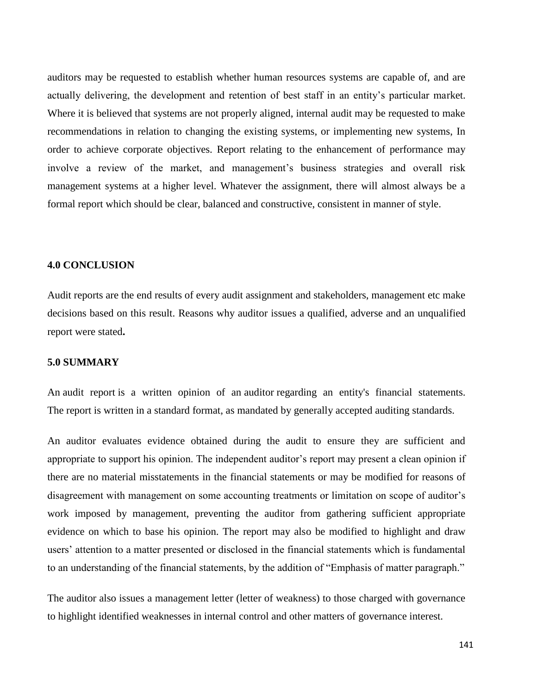auditors may be requested to establish whether human resources systems are capable of, and are actually delivering, the development and retention of best staff in an entity's particular market. Where it is believed that systems are not properly aligned, internal audit may be requested to make recommendations in relation to changing the existing systems, or implementing new systems, In order to achieve corporate objectives. Report relating to the enhancement of performance may involve a review of the market, and management's business strategies and overall risk management systems at a higher level. Whatever the assignment, there will almost always be a formal report which should be clear, balanced and constructive, consistent in manner of style.

# **4.0 CONCLUSION**

Audit reports are the end results of every audit assignment and stakeholders, management etc make decisions based on this result. Reasons why auditor issues a qualified, adverse and an unqualified report were stated**.**

# **5.0 SUMMARY**

An audit report is a written opinion of an auditor regarding an entity's financial statements. The report is written in a standard format, as mandated by generally accepted auditing standards.

An auditor evaluates evidence obtained during the audit to ensure they are sufficient and appropriate to support his opinion. The independent auditor's report may present a clean opinion if there are no material misstatements in the financial statements or may be modified for reasons of disagreement with management on some accounting treatments or limitation on scope of auditor's work imposed by management, preventing the auditor from gathering sufficient appropriate evidence on which to base his opinion. The report may also be modified to highlight and draw users' attention to a matter presented or disclosed in the financial statements which is fundamental to an understanding of the financial statements, by the addition of "Emphasis of matter paragraph."

The auditor also issues a management letter (letter of weakness) to those charged with governance to highlight identified weaknesses in internal control and other matters of governance interest.